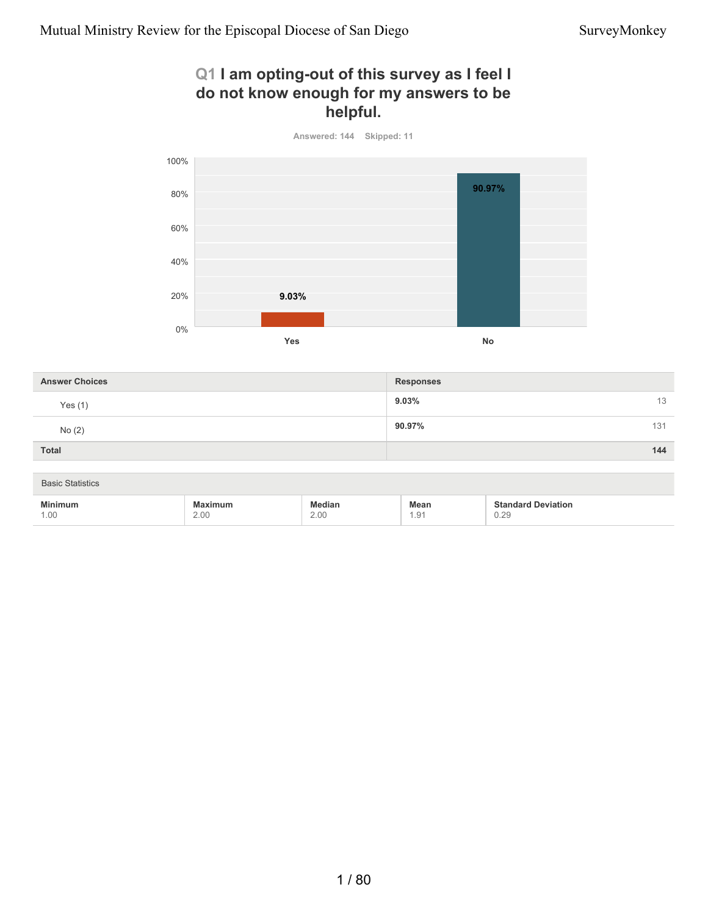#### **Q1 I am opting-out of this survey as I feel I do not know enough for my answers to be helpful.**



| <b>Answer Choices</b>   |                        |                       | <b>Responses</b>    |                                   |  |
|-------------------------|------------------------|-----------------------|---------------------|-----------------------------------|--|
| Yes $(1)$               |                        |                       | 9.03%               |                                   |  |
| No(2)                   |                        |                       | 90.97%              |                                   |  |
| Total                   |                        |                       |                     | 144                               |  |
| <b>Basic Statistics</b> |                        |                       |                     |                                   |  |
| Minimum<br>1.00         | <b>Maximum</b><br>2.00 | <b>Median</b><br>2.00 | <b>Mean</b><br>1.91 | <b>Standard Deviation</b><br>0.29 |  |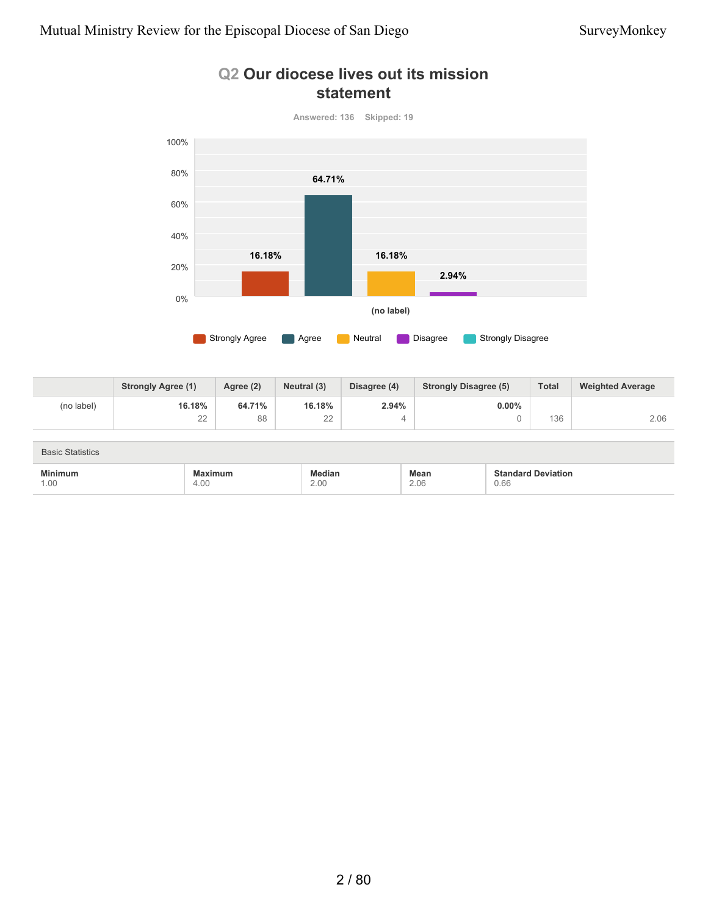### **Q2 Our diocese lives out its mission statement**



|            | <b>Strongly Agree (1)</b> | Agree (2) | Neutral (3)  | Disagree (4) | <b>Strongly Disagree (5)</b> | <b>Total</b> | <b>Weighted Average</b> |
|------------|---------------------------|-----------|--------------|--------------|------------------------------|--------------|-------------------------|
| (no label) | 16.18%                    | 64.71%    | 16.18%       | 2.94%        | $0.00\%$                     |              |                         |
|            | $\cap$<br>∠∠              | 88        | $\cap$<br>∠∠ |              |                              | 136          | 2.06                    |

| <b>Basic Statistics</b> |         |        |             |                           |  |  |  |
|-------------------------|---------|--------|-------------|---------------------------|--|--|--|
| <b>Minimum</b>          | Maximum | Median | <b>Mean</b> | <b>Standard Deviation</b> |  |  |  |
| 1.00                    | 4.00    | 2.00   | 2.06        | 0.66                      |  |  |  |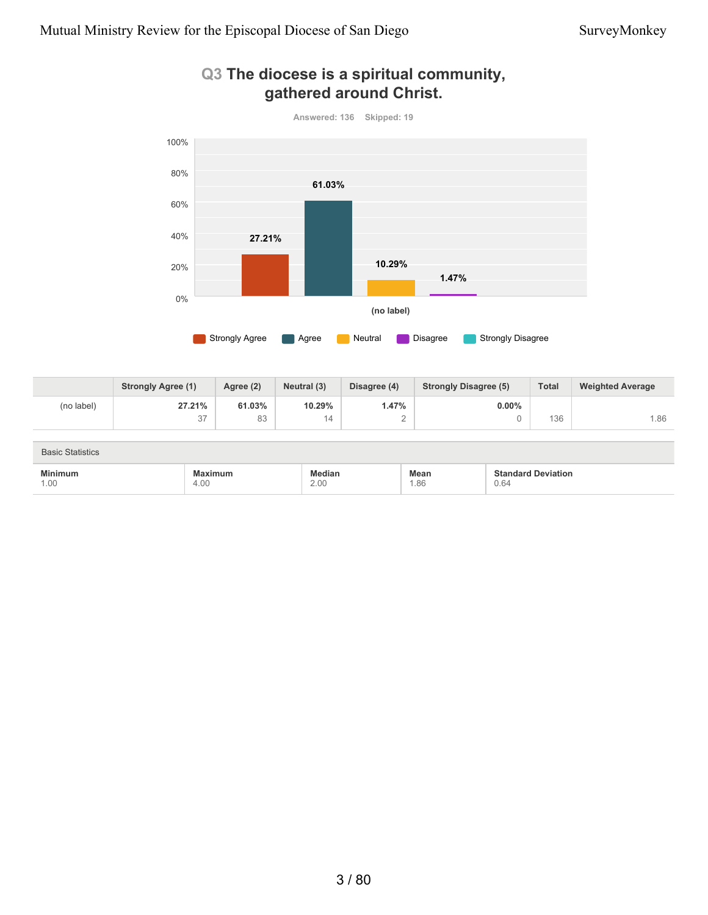

#### **Q3 The diocese is a spiritual community, gathered around Christ.**

|            | <b>Strongly Agree (1)</b> | Agree (2)     | Neutral (3) | Disagree (4) | <b>Strongly Disagree (5)</b> | <b>Total</b> | <b>Weighted Average</b> |
|------------|---------------------------|---------------|-------------|--------------|------------------------------|--------------|-------------------------|
| (no label) | 27.21%                    | 61.03%        | 10.29%      | i .47%       | $0.00\%$                     |              |                         |
|            | 27<br>، ب                 | $\circ$<br>ŏპ |             | -            |                              | 136          | .86                     |

| <b>Basic Statistics</b> |                        |                |                                           |                                   |  |
|-------------------------|------------------------|----------------|-------------------------------------------|-----------------------------------|--|
| <b>Minimum</b><br>1.00  | <b>Maximum</b><br>4.00 | Median<br>2.00 | Mean<br>86، ا<br>$\overline{\phantom{a}}$ | <b>Standard Deviation</b><br>0.64 |  |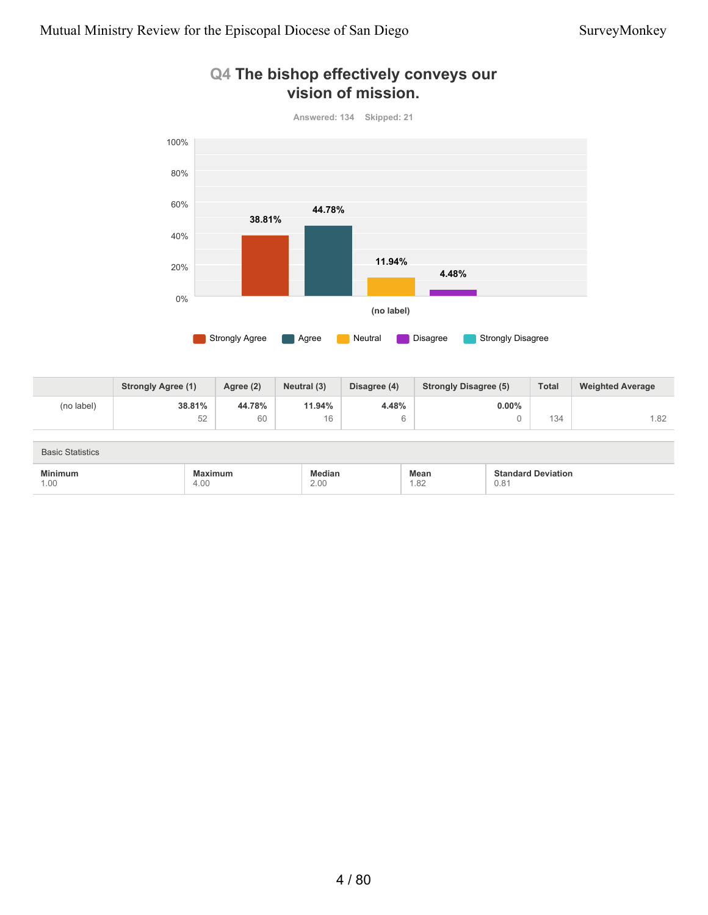

#### **Q4 The bishop effectively conveys our vision of mission.**

|            | <b>Strongly Agree (1)</b> | Agree (2) | Neutral (3) | Disagree (4) | <b>Strongly Disagree (5)</b> | <b>Total</b> | <b>Weighted Average</b> |
|------------|---------------------------|-----------|-------------|--------------|------------------------------|--------------|-------------------------|
| (no label) | 38.81%                    | 44.78%    | 11.94%      | 4.48%        | $0.00\%$                     |              |                         |
|            | 52                        | 60        | 16          |              |                              | 134          | .82                     |

| <b>Basic Statistics</b>                                                   |                 |                       |              |                                   |  |
|---------------------------------------------------------------------------|-----------------|-----------------------|--------------|-----------------------------------|--|
| <b>Minimum</b><br>the contract of the contract of the contract of<br>1.00 | Maximum<br>4.00 | <b>fedian</b><br>2.00 | Mean<br>1.82 | <b>Standard Deviation</b><br>0.81 |  |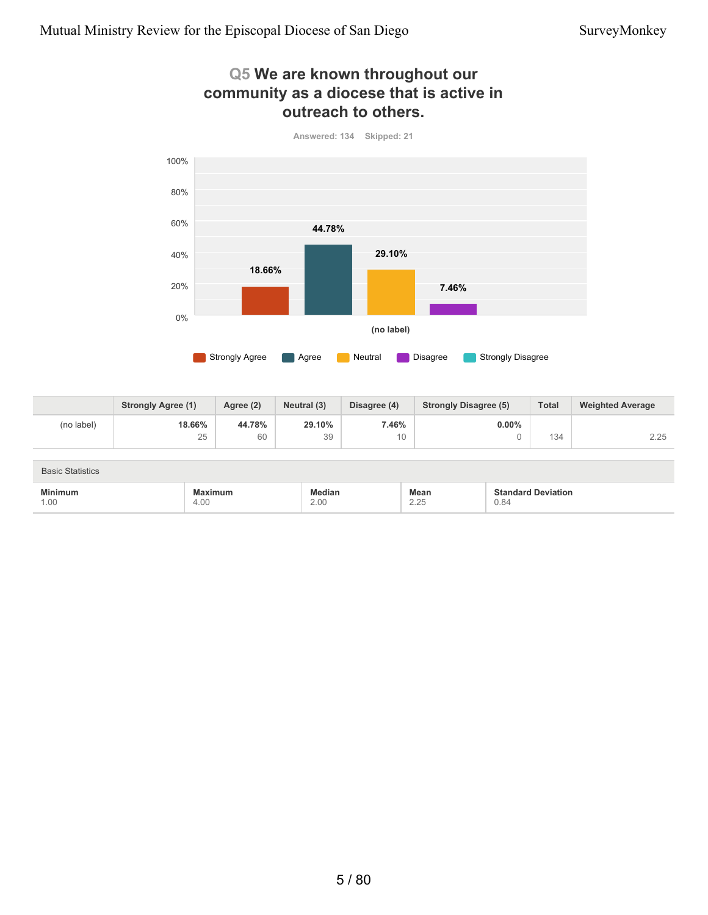### **Q5 We are known throughout our community as a diocese that is active in outreach to others.**



**18.66%** 25 **44.78%** 60 **29.10%** 39 **7.46%** 10 **0.00%** 0 134 2.25 **Strongly Agree (1) Agree (2) Neutral (3) Disagree (4) Strongly Disagree (5) Total Weighted Average** (no label)

| <b>Basic Statistics</b>                                                                                   |                 |                       |                     |                                   |  |  |
|-----------------------------------------------------------------------------------------------------------|-----------------|-----------------------|---------------------|-----------------------------------|--|--|
| <b>Minimum</b><br>the contract of the contract of the contract of the contract of the contract of<br>1.00 | Maximum<br>4.00 | <b>ledian</b><br>2.00 | <b>Mean</b><br>2.25 | <b>Standard Deviation</b><br>0.84 |  |  |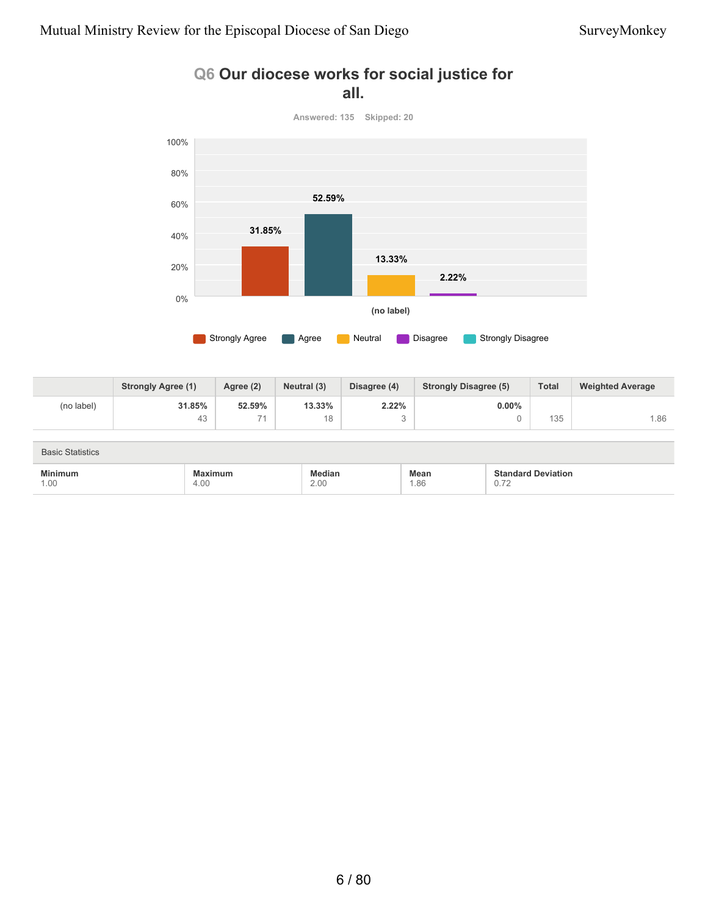



|            | <b>Strongly Agree (1)</b> | Agree (2)       | Neutral (3) | Disagree (4) | <b>Strongly Disagree (5)</b> | <b>Total</b> | <b>Weighted Average</b> |
|------------|---------------------------|-----------------|-------------|--------------|------------------------------|--------------|-------------------------|
| (no label) | 31.85%                    | 52.59%          | 13.33%      | 2.22%        | $0.00\%$                     |              |                         |
|            | 43                        | $\rightarrow$ 4 | 18          |              |                              | 135          | .86                     |

| <b>Basic Statistics</b> |                 |                       |                    |                                                                                            |  |  |  |
|-------------------------|-----------------|-----------------------|--------------------|--------------------------------------------------------------------------------------------|--|--|--|
| <b>Minimum</b><br>1.00  | Maximum<br>4.00 | <b>Median</b><br>2.00 | <b>Mean</b><br>.86 | <b>Standard Deviation</b><br>0.70<br>$\cup$ . $\iota$ 4<br>the contract of the contract of |  |  |  |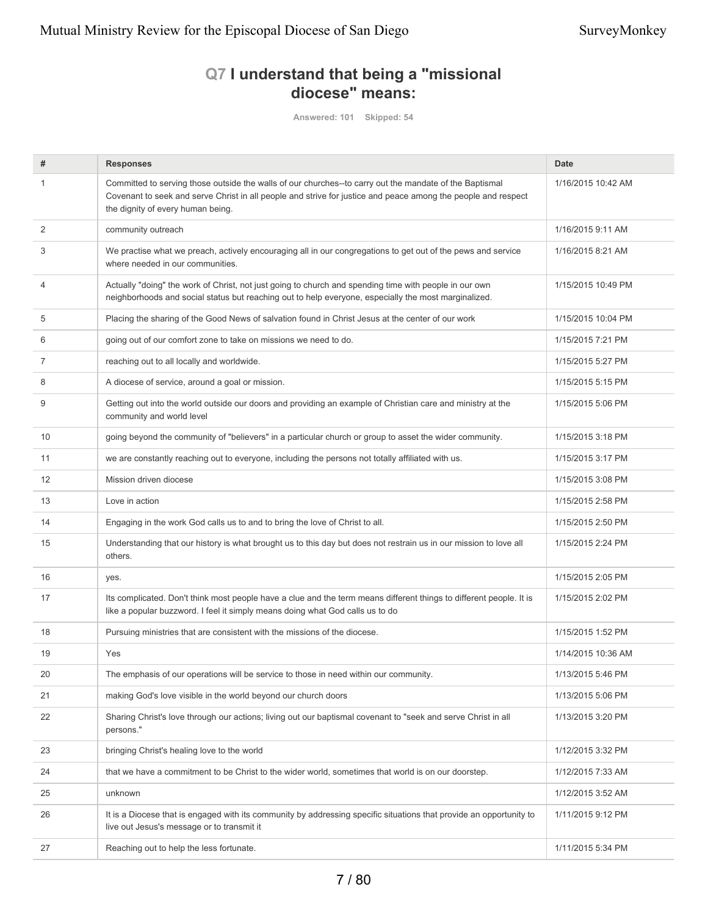### **Q7 I understand that being a "missional diocese" means:**

**Answered: 101 Skipped: 54**

| #              | <b>Responses</b>                                                                                                                                                                                                                                              | <b>Date</b>        |
|----------------|---------------------------------------------------------------------------------------------------------------------------------------------------------------------------------------------------------------------------------------------------------------|--------------------|
| $\mathbf{1}$   | Committed to serving those outside the walls of our churches--to carry out the mandate of the Baptismal<br>Covenant to seek and serve Christ in all people and strive for justice and peace among the people and respect<br>the dignity of every human being. | 1/16/2015 10:42 AM |
| 2              | community outreach                                                                                                                                                                                                                                            | 1/16/2015 9:11 AM  |
| 3              | We practise what we preach, actively encouraging all in our congregations to get out of the pews and service<br>where needed in our communities.                                                                                                              | 1/16/2015 8:21 AM  |
| $\overline{4}$ | Actually "doing" the work of Christ, not just going to church and spending time with people in our own<br>neighborhoods and social status but reaching out to help everyone, especially the most marginalized.                                                | 1/15/2015 10:49 PM |
| 5              | Placing the sharing of the Good News of salvation found in Christ Jesus at the center of our work                                                                                                                                                             | 1/15/2015 10:04 PM |
| 6              | going out of our comfort zone to take on missions we need to do.                                                                                                                                                                                              | 1/15/2015 7:21 PM  |
| 7              | reaching out to all locally and worldwide.                                                                                                                                                                                                                    | 1/15/2015 5:27 PM  |
| 8              | A diocese of service, around a goal or mission.                                                                                                                                                                                                               | 1/15/2015 5:15 PM  |
| 9              | Getting out into the world outside our doors and providing an example of Christian care and ministry at the<br>community and world level                                                                                                                      | 1/15/2015 5:06 PM  |
| 10             | going beyond the community of "believers" in a particular church or group to asset the wider community.                                                                                                                                                       | 1/15/2015 3:18 PM  |
| 11             | we are constantly reaching out to everyone, including the persons not totally affiliated with us.                                                                                                                                                             | 1/15/2015 3:17 PM  |
| 12             | Mission driven diocese                                                                                                                                                                                                                                        | 1/15/2015 3:08 PM  |
| 13             | Love in action                                                                                                                                                                                                                                                | 1/15/2015 2:58 PM  |
| 14             | Engaging in the work God calls us to and to bring the love of Christ to all.                                                                                                                                                                                  | 1/15/2015 2:50 PM  |
| 15             | Understanding that our history is what brought us to this day but does not restrain us in our mission to love all<br>others.                                                                                                                                  | 1/15/2015 2:24 PM  |
| 16             | yes.                                                                                                                                                                                                                                                          | 1/15/2015 2:05 PM  |
| 17             | Its complicated. Don't think most people have a clue and the term means different things to different people. It is<br>like a popular buzzword. I feel it simply means doing what God calls us to do                                                          | 1/15/2015 2:02 PM  |
| 18             | Pursuing ministries that are consistent with the missions of the diocese.                                                                                                                                                                                     | 1/15/2015 1:52 PM  |
| 19             | Yes                                                                                                                                                                                                                                                           | 1/14/2015 10:36 AM |
| 20             | The emphasis of our operations will be service to those in need within our community.                                                                                                                                                                         | 1/13/2015 5:46 PM  |
| 21             | making God's love visible in the world beyond our church doors                                                                                                                                                                                                | 1/13/2015 5:06 PM  |
| 22             | Sharing Christ's love through our actions; living out our baptismal covenant to "seek and serve Christ in all<br>persons."                                                                                                                                    | 1/13/2015 3:20 PM  |
| 23             | bringing Christ's healing love to the world                                                                                                                                                                                                                   | 1/12/2015 3:32 PM  |
| 24             | that we have a commitment to be Christ to the wider world, sometimes that world is on our doorstep.                                                                                                                                                           | 1/12/2015 7:33 AM  |
| 25             | unknown                                                                                                                                                                                                                                                       | 1/12/2015 3:52 AM  |
| 26             | It is a Diocese that is engaged with its community by addressing specific situations that provide an opportunity to<br>live out Jesus's message or to transmit it                                                                                             | 1/11/2015 9:12 PM  |
| 27             | Reaching out to help the less fortunate.                                                                                                                                                                                                                      | 1/11/2015 5:34 PM  |
|                |                                                                                                                                                                                                                                                               |                    |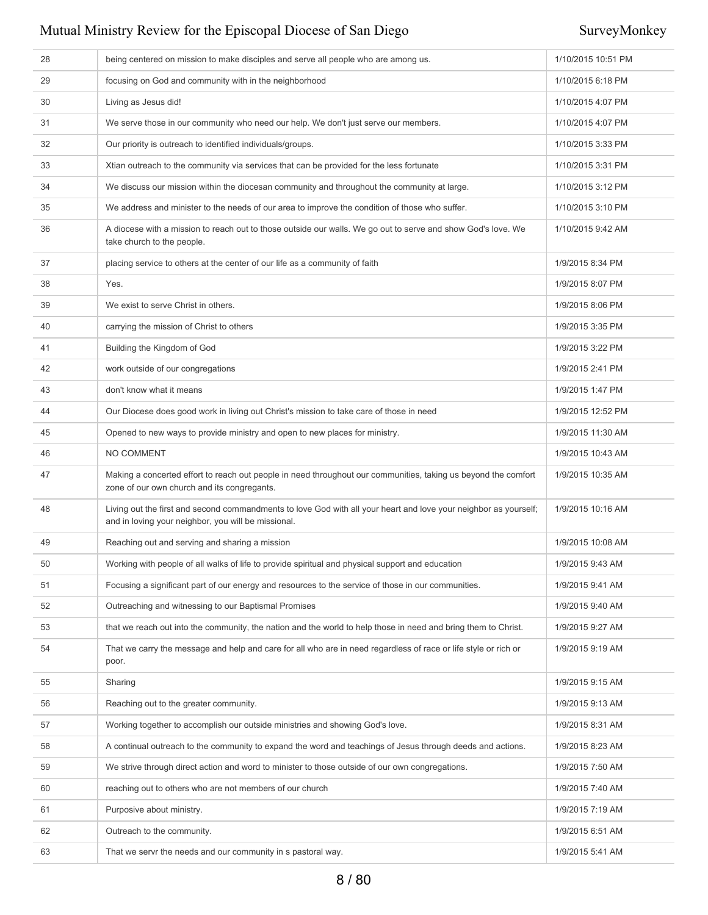| 28 | being centered on mission to make disciples and serve all people who are among us.                                                                                      | 1/10/2015 10:51 PM |
|----|-------------------------------------------------------------------------------------------------------------------------------------------------------------------------|--------------------|
| 29 | focusing on God and community with in the neighborhood                                                                                                                  | 1/10/2015 6:18 PM  |
| 30 | Living as Jesus did!                                                                                                                                                    | 1/10/2015 4:07 PM  |
| 31 | We serve those in our community who need our help. We don't just serve our members.                                                                                     | 1/10/2015 4:07 PM  |
| 32 | Our priority is outreach to identified individuals/groups.                                                                                                              | 1/10/2015 3:33 PM  |
| 33 | Xtian outreach to the community via services that can be provided for the less fortunate                                                                                | 1/10/2015 3:31 PM  |
| 34 | We discuss our mission within the diocesan community and throughout the community at large.                                                                             | 1/10/2015 3:12 PM  |
| 35 | We address and minister to the needs of our area to improve the condition of those who suffer.                                                                          | 1/10/2015 3:10 PM  |
| 36 | A diocese with a mission to reach out to those outside our walls. We go out to serve and show God's love. We<br>take church to the people.                              | 1/10/2015 9:42 AM  |
| 37 | placing service to others at the center of our life as a community of faith                                                                                             | 1/9/2015 8:34 PM   |
| 38 | Yes.                                                                                                                                                                    | 1/9/2015 8:07 PM   |
| 39 | We exist to serve Christ in others.                                                                                                                                     | 1/9/2015 8:06 PM   |
| 40 | carrying the mission of Christ to others                                                                                                                                | 1/9/2015 3:35 PM   |
| 41 | Building the Kingdom of God                                                                                                                                             | 1/9/2015 3:22 PM   |
| 42 | work outside of our congregations                                                                                                                                       | 1/9/2015 2:41 PM   |
| 43 | don't know what it means                                                                                                                                                | 1/9/2015 1:47 PM   |
| 44 | Our Diocese does good work in living out Christ's mission to take care of those in need                                                                                 | 1/9/2015 12:52 PM  |
| 45 | Opened to new ways to provide ministry and open to new places for ministry.                                                                                             | 1/9/2015 11:30 AM  |
| 46 | NO COMMENT                                                                                                                                                              | 1/9/2015 10:43 AM  |
| 47 | Making a concerted effort to reach out people in need throughout our communities, taking us beyond the comfort<br>zone of our own church and its congregants.           | 1/9/2015 10:35 AM  |
| 48 | Living out the first and second commandments to love God with all your heart and love your neighbor as yourself;<br>and in loving your neighbor, you will be missional. | 1/9/2015 10:16 AM  |
| 49 | Reaching out and serving and sharing a mission                                                                                                                          | 1/9/2015 10:08 AM  |
| 50 | Working with people of all walks of life to provide spiritual and physical support and education                                                                        | 1/9/2015 9:43 AM   |
| 51 | Focusing a significant part of our energy and resources to the service of those in our communities.                                                                     | 1/9/2015 9:41 AM   |
| 52 | Outreaching and witnessing to our Baptismal Promises                                                                                                                    | 1/9/2015 9:40 AM   |
| 53 | that we reach out into the community, the nation and the world to help those in need and bring them to Christ.                                                          | 1/9/2015 9:27 AM   |
| 54 | That we carry the message and help and care for all who are in need regardless of race or life style or rich or<br>poor.                                                | 1/9/2015 9:19 AM   |
| 55 | Sharing                                                                                                                                                                 | 1/9/2015 9:15 AM   |
| 56 | Reaching out to the greater community.                                                                                                                                  | 1/9/2015 9:13 AM   |
| 57 | Working together to accomplish our outside ministries and showing God's love.                                                                                           | 1/9/2015 8:31 AM   |
| 58 | A continual outreach to the community to expand the word and teachings of Jesus through deeds and actions.                                                              | 1/9/2015 8:23 AM   |
| 59 | We strive through direct action and word to minister to those outside of our own congregations.                                                                         | 1/9/2015 7:50 AM   |
| 60 | reaching out to others who are not members of our church                                                                                                                | 1/9/2015 7:40 AM   |
| 61 | Purposive about ministry.                                                                                                                                               | 1/9/2015 7:19 AM   |
| 62 | Outreach to the community.                                                                                                                                              | 1/9/2015 6:51 AM   |
| 63 | That we servr the needs and our community in s pastoral way.                                                                                                            | 1/9/2015 5:41 AM   |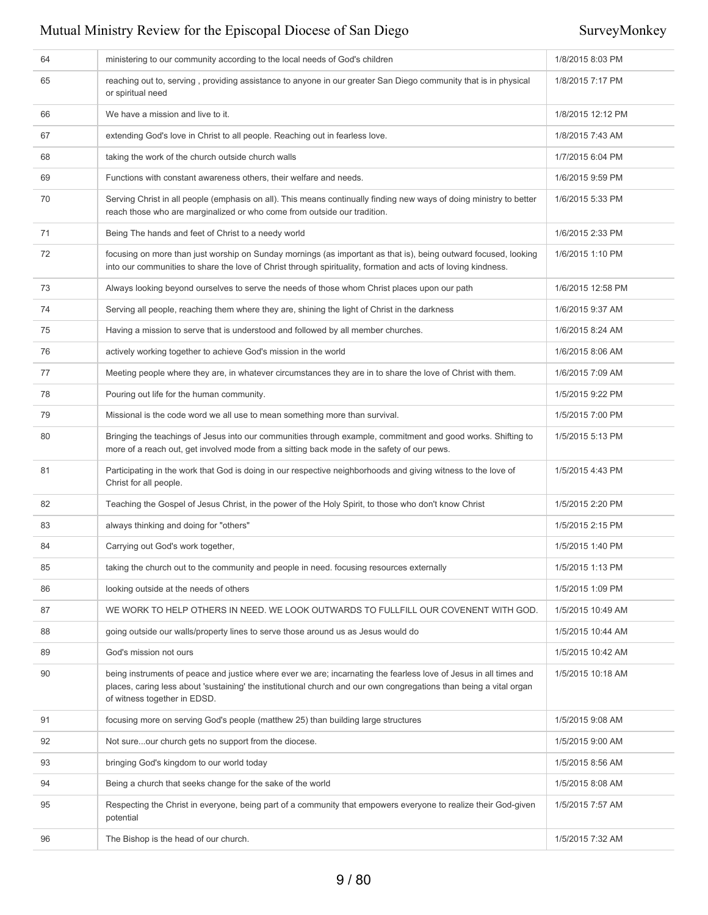| 64 | ministering to our community according to the local needs of God's children                                                                                                                                                                                             | 1/8/2015 8:03 PM  |
|----|-------------------------------------------------------------------------------------------------------------------------------------------------------------------------------------------------------------------------------------------------------------------------|-------------------|
| 65 | reaching out to, serving, providing assistance to anyone in our greater San Diego community that is in physical<br>or spiritual need                                                                                                                                    | 1/8/2015 7:17 PM  |
| 66 | We have a mission and live to it.                                                                                                                                                                                                                                       | 1/8/2015 12:12 PM |
| 67 | extending God's love in Christ to all people. Reaching out in fearless love.                                                                                                                                                                                            | 1/8/2015 7:43 AM  |
| 68 | taking the work of the church outside church walls                                                                                                                                                                                                                      | 1/7/2015 6:04 PM  |
| 69 | Functions with constant awareness others, their welfare and needs.                                                                                                                                                                                                      | 1/6/2015 9:59 PM  |
| 70 | Serving Christ in all people (emphasis on all). This means continually finding new ways of doing ministry to better<br>reach those who are marginalized or who come from outside our tradition.                                                                         | 1/6/2015 5:33 PM  |
| 71 | Being The hands and feet of Christ to a needy world                                                                                                                                                                                                                     | 1/6/2015 2:33 PM  |
| 72 | focusing on more than just worship on Sunday mornings (as important as that is), being outward focused, looking<br>into our communities to share the love of Christ through spirituality, formation and acts of loving kindness.                                        | 1/6/2015 1:10 PM  |
| 73 | Always looking beyond ourselves to serve the needs of those whom Christ places upon our path                                                                                                                                                                            | 1/6/2015 12:58 PM |
| 74 | Serving all people, reaching them where they are, shining the light of Christ in the darkness                                                                                                                                                                           | 1/6/2015 9:37 AM  |
| 75 | Having a mission to serve that is understood and followed by all member churches.                                                                                                                                                                                       | 1/6/2015 8:24 AM  |
| 76 | actively working together to achieve God's mission in the world                                                                                                                                                                                                         | 1/6/2015 8:06 AM  |
| 77 | Meeting people where they are, in whatever circumstances they are in to share the love of Christ with them.                                                                                                                                                             | 1/6/2015 7:09 AM  |
| 78 | Pouring out life for the human community.                                                                                                                                                                                                                               | 1/5/2015 9:22 PM  |
| 79 | Missional is the code word we all use to mean something more than survival.                                                                                                                                                                                             | 1/5/2015 7:00 PM  |
| 80 | Bringing the teachings of Jesus into our communities through example, commitment and good works. Shifting to<br>more of a reach out, get involved mode from a sitting back mode in the safety of our pews.                                                              | 1/5/2015 5:13 PM  |
| 81 | Participating in the work that God is doing in our respective neighborhoods and giving witness to the love of<br>Christ for all people.                                                                                                                                 | 1/5/2015 4:43 PM  |
| 82 | Teaching the Gospel of Jesus Christ, in the power of the Holy Spirit, to those who don't know Christ                                                                                                                                                                    | 1/5/2015 2:20 PM  |
| 83 | always thinking and doing for "others"                                                                                                                                                                                                                                  | 1/5/2015 2:15 PM  |
| 84 | Carrying out God's work together,                                                                                                                                                                                                                                       | 1/5/2015 1:40 PM  |
| 85 | taking the church out to the community and people in need. focusing resources externally                                                                                                                                                                                | 1/5/2015 1:13 PM  |
| 86 | looking outside at the needs of others                                                                                                                                                                                                                                  | 1/5/2015 1:09 PM  |
| 87 | WE WORK TO HELP OTHERS IN NEED. WE LOOK OUTWARDS TO FULLFILL OUR COVENENT WITH GOD.                                                                                                                                                                                     | 1/5/2015 10:49 AM |
| 88 | going outside our walls/property lines to serve those around us as Jesus would do                                                                                                                                                                                       | 1/5/2015 10:44 AM |
| 89 | God's mission not ours                                                                                                                                                                                                                                                  | 1/5/2015 10:42 AM |
| 90 | being instruments of peace and justice where ever we are; incarnating the fearless love of Jesus in all times and<br>places, caring less about 'sustaining' the institutional church and our own congregations than being a vital organ<br>of witness together in EDSD. | 1/5/2015 10:18 AM |
| 91 | focusing more on serving God's people (matthew 25) than building large structures                                                                                                                                                                                       | 1/5/2015 9:08 AM  |
| 92 | Not sureour church gets no support from the diocese.                                                                                                                                                                                                                    | 1/5/2015 9:00 AM  |
| 93 | bringing God's kingdom to our world today                                                                                                                                                                                                                               | 1/5/2015 8:56 AM  |
| 94 | Being a church that seeks change for the sake of the world                                                                                                                                                                                                              | 1/5/2015 8:08 AM  |
| 95 | Respecting the Christ in everyone, being part of a community that empowers everyone to realize their God-given<br>potential                                                                                                                                             | 1/5/2015 7:57 AM  |
| 96 | The Bishop is the head of our church.                                                                                                                                                                                                                                   | 1/5/2015 7:32 AM  |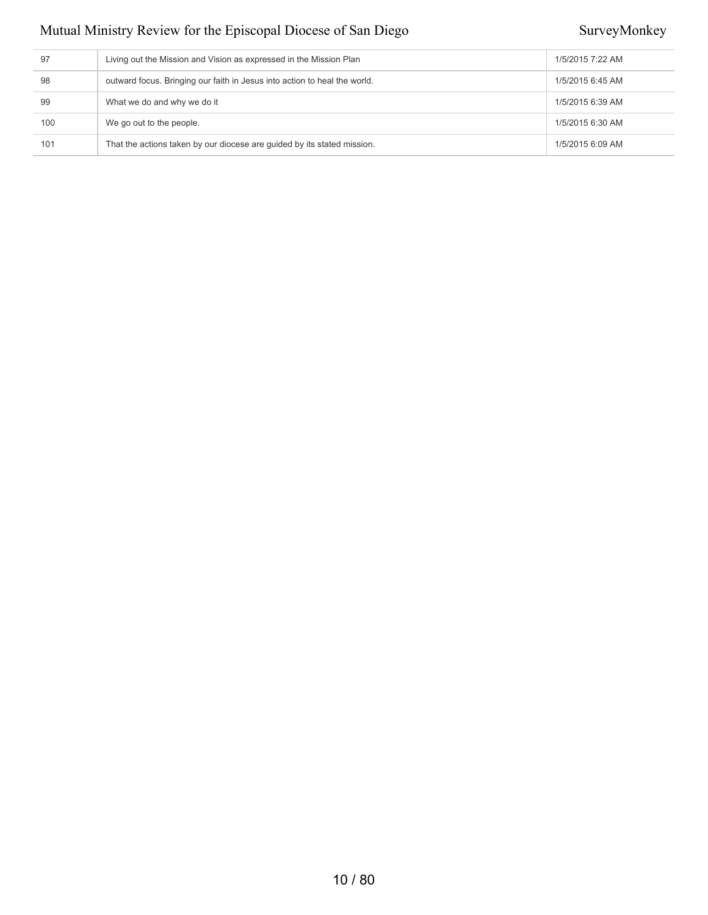| 97  | Living out the Mission and Vision as expressed in the Mission Plan        | 1/5/2015 7:22 AM |
|-----|---------------------------------------------------------------------------|------------------|
| 98  | outward focus. Bringing our faith in Jesus into action to heal the world. | 1/5/2015 6:45 AM |
| 99  | What we do and why we do it                                               | 1/5/2015 6:39 AM |
| 100 | We go out to the people.                                                  | 1/5/2015 6:30 AM |
| 101 | That the actions taken by our diocese are quided by its stated mission.   | 1/5/2015 6:09 AM |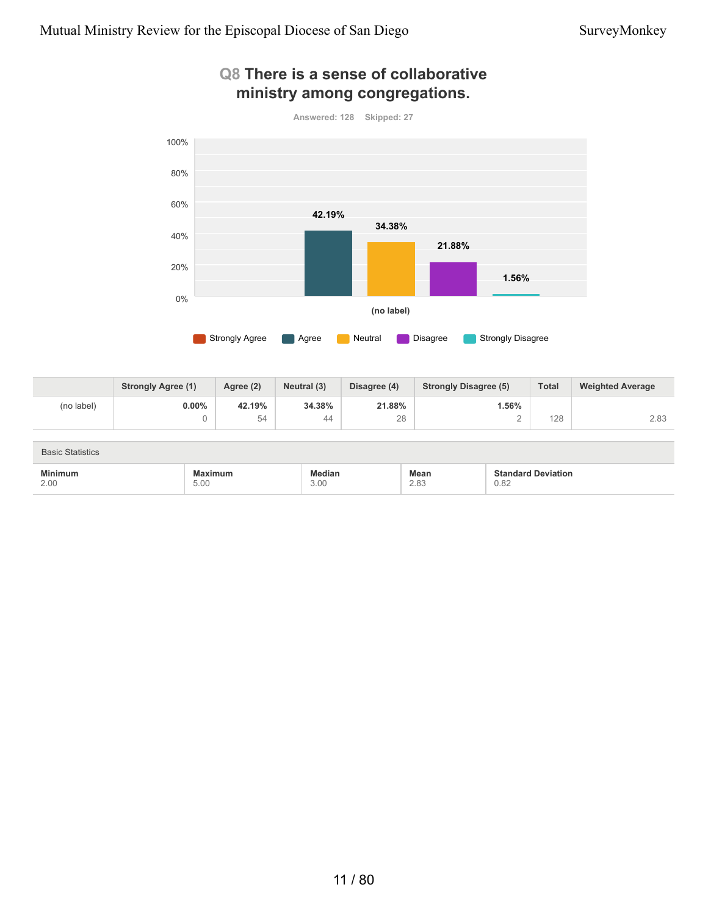

### **Q8 There is a sense of collaborative ministry among congregations.**

|            | <b>Strongly Agree (1)</b> | Agree (2) | Neutral (3) | Disagree (4) | <b>Strongly Disagree (5)</b> | <b>Total</b> | <b>Weighted Average</b> |
|------------|---------------------------|-----------|-------------|--------------|------------------------------|--------------|-------------------------|
| (no label) | $0.00\%$                  | 42.19%    | 34.38%      | 21.88%       | l.56%                        |              |                         |
|            |                           | 54        | 44          | 28           |                              | 128          | 2.83                    |

| <b>Basic Statistics</b> |         |        |      |                           |
|-------------------------|---------|--------|------|---------------------------|
| <b>Minimum</b>          | Maximum | Median | Mean | <b>Standard Deviation</b> |
| 2.00                    | 5.00    | 3.00   | 2.83 | 0.82                      |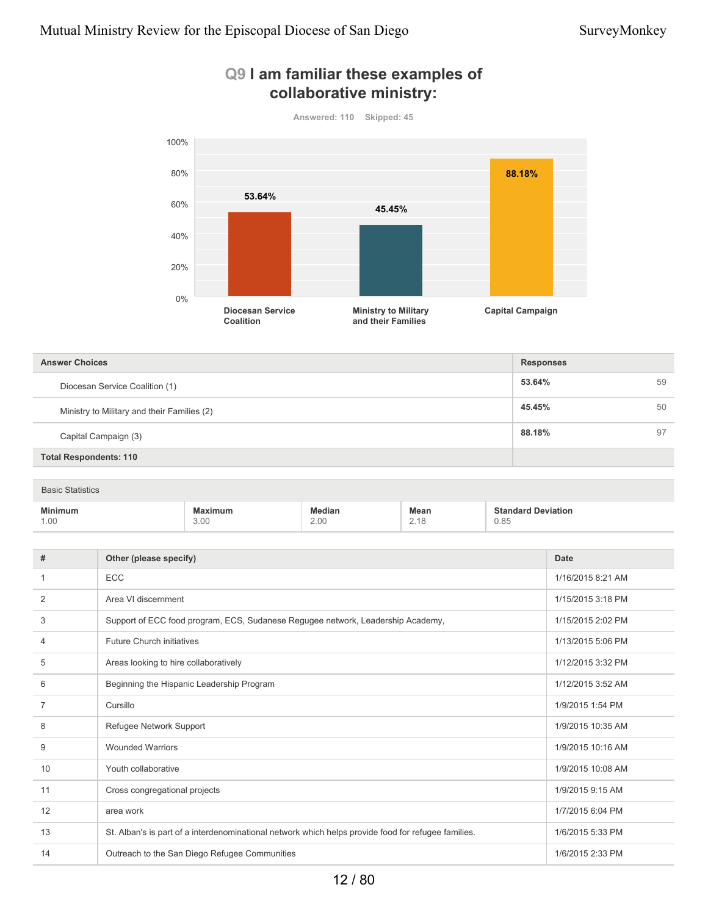

#### **Q9 I am familiar these examples of collaborative ministry:**

| <b>Answer Choices</b>                       | <b>Responses</b> |    |
|---------------------------------------------|------------------|----|
| Diocesan Service Coalition (1)              | 53.64%           | 59 |
| Ministry to Military and their Families (2) | 45.45%           | 50 |
| Capital Campaign (3)                        | 88.18%           | 97 |
| <b>Total Respondents: 110</b>               |                  |    |

| <b>Basic Statistics</b> |                        |                       |              |                                   |  |
|-------------------------|------------------------|-----------------------|--------------|-----------------------------------|--|
| <b>Minimum</b><br>1.00  | <b>Maximum</b><br>3.00 | <b>Median</b><br>2.00 | Mean<br>2.18 | <b>Standard Deviation</b><br>0.85 |  |

| #              | Other (please specify)                                                                              | Date              |
|----------------|-----------------------------------------------------------------------------------------------------|-------------------|
|                | ECC                                                                                                 | 1/16/2015 8:21 AM |
| $\overline{2}$ | Area VI discernment                                                                                 | 1/15/2015 3:18 PM |
| 3              | Support of ECC food program, ECS, Sudanese Regugee network, Leadership Academy,                     | 1/15/2015 2:02 PM |
| 4              | Future Church initiatives                                                                           | 1/13/2015 5:06 PM |
| 5              | Areas looking to hire collaboratively                                                               | 1/12/2015 3:32 PM |
| 6              | Beginning the Hispanic Leadership Program                                                           | 1/12/2015 3:52 AM |
| $\overline{7}$ | Cursillo                                                                                            | 1/9/2015 1:54 PM  |
| 8              | Refugee Network Support                                                                             | 1/9/2015 10:35 AM |
| 9              | <b>Wounded Warriors</b>                                                                             | 1/9/2015 10:16 AM |
| 10             | Youth collaborative                                                                                 | 1/9/2015 10:08 AM |
| 11             | Cross congregational projects                                                                       | 1/9/2015 9:15 AM  |
| 12             | area work                                                                                           | 1/7/2015 6:04 PM  |
| 13             | St. Alban's is part of a interdenominational network which helps provide food for refugee families. | 1/6/2015 5:33 PM  |
| 14             | Outreach to the San Diego Refugee Communities                                                       | 1/6/2015 2:33 PM  |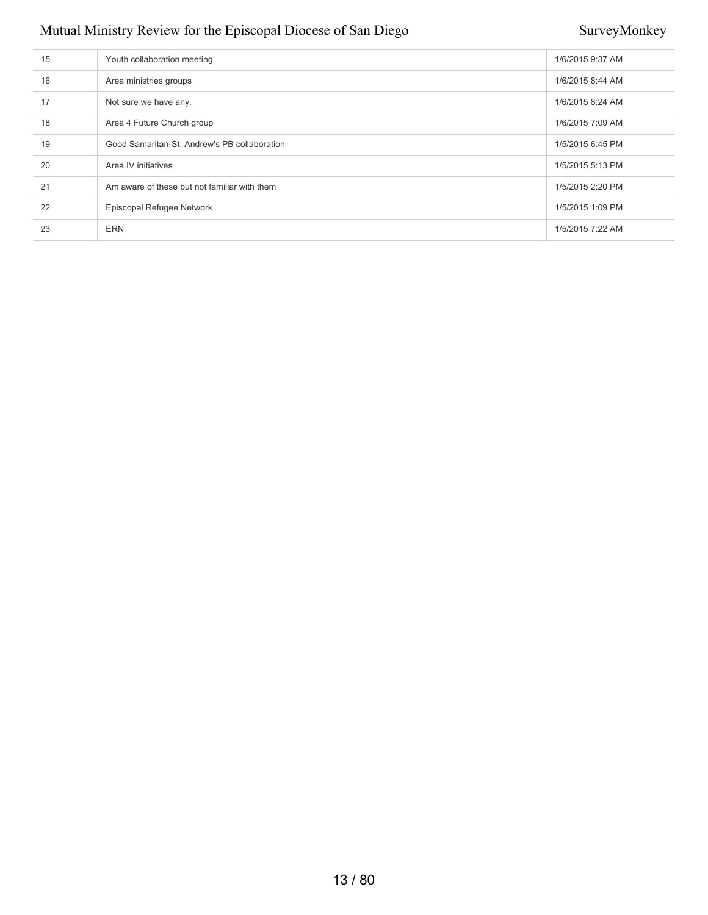| 15 | Youth collaboration meeting                  | 1/6/2015 9:37 AM |
|----|----------------------------------------------|------------------|
| 16 | Area ministries groups                       | 1/6/2015 8:44 AM |
| 17 | Not sure we have any.                        | 1/6/2015 8:24 AM |
| 18 | Area 4 Future Church group                   | 1/6/2015 7:09 AM |
| 19 | Good Samaritan-St. Andrew's PB collaboration | 1/5/2015 6:45 PM |
| 20 | Area IV initiatives                          | 1/5/2015 5:13 PM |
| 21 | Am aware of these but not familiar with them | 1/5/2015 2:20 PM |
| 22 | Episcopal Refugee Network                    | 1/5/2015 1:09 PM |
| 23 | <b>ERN</b>                                   | 1/5/2015 7:22 AM |
|    |                                              |                  |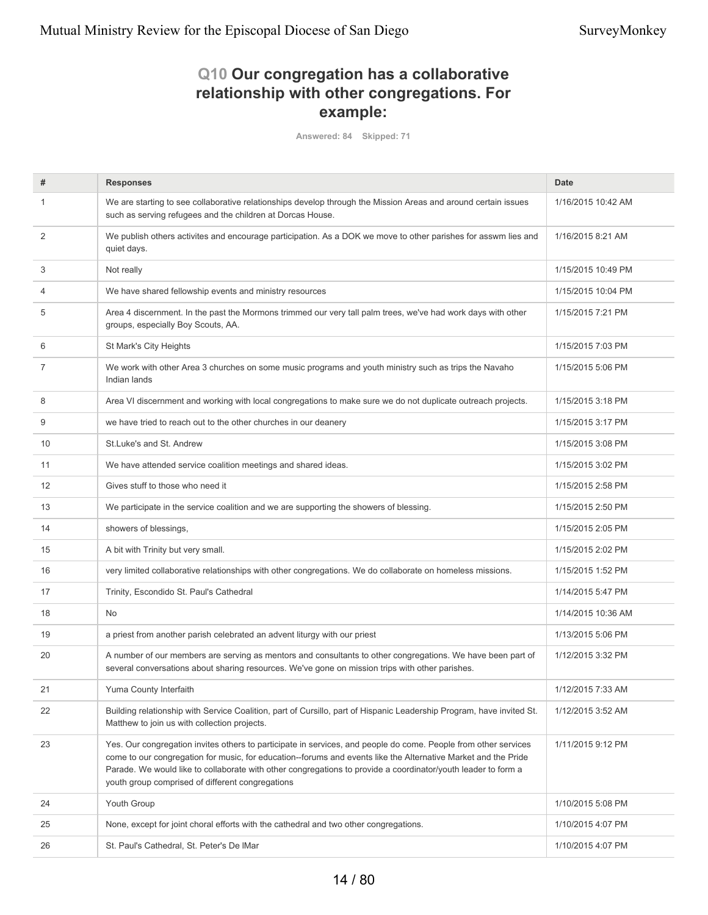### **Q10 Our congregation has a collaborative relationship with other congregations. For example:**

**Answered: 84 Skipped: 71**

| #              | <b>Responses</b>                                                                                                                                                                                                                                                                                                                                                                                       | <b>Date</b>        |
|----------------|--------------------------------------------------------------------------------------------------------------------------------------------------------------------------------------------------------------------------------------------------------------------------------------------------------------------------------------------------------------------------------------------------------|--------------------|
| 1              | We are starting to see collaborative relationships develop through the Mission Areas and around certain issues<br>such as serving refugees and the children at Dorcas House.                                                                                                                                                                                                                           | 1/16/2015 10:42 AM |
| $\overline{2}$ | We publish others activites and encourage participation. As a DOK we move to other parishes for asswm lies and<br>quiet days.                                                                                                                                                                                                                                                                          | 1/16/2015 8:21 AM  |
| 3              | Not really                                                                                                                                                                                                                                                                                                                                                                                             | 1/15/2015 10:49 PM |
| 4              | We have shared fellowship events and ministry resources                                                                                                                                                                                                                                                                                                                                                | 1/15/2015 10:04 PM |
| 5              | Area 4 discernment. In the past the Mormons trimmed our very tall palm trees, we've had work days with other<br>groups, especially Boy Scouts, AA.                                                                                                                                                                                                                                                     | 1/15/2015 7:21 PM  |
| 6              | St Mark's City Heights                                                                                                                                                                                                                                                                                                                                                                                 | 1/15/2015 7:03 PM  |
| 7              | We work with other Area 3 churches on some music programs and youth ministry such as trips the Navaho<br>Indian lands                                                                                                                                                                                                                                                                                  | 1/15/2015 5:06 PM  |
| 8              | Area VI discernment and working with local congregations to make sure we do not duplicate outreach projects.                                                                                                                                                                                                                                                                                           | 1/15/2015 3:18 PM  |
| 9              | we have tried to reach out to the other churches in our deanery                                                                                                                                                                                                                                                                                                                                        | 1/15/2015 3:17 PM  |
| 10             | St. Luke's and St. Andrew                                                                                                                                                                                                                                                                                                                                                                              | 1/15/2015 3:08 PM  |
| 11             | We have attended service coalition meetings and shared ideas.                                                                                                                                                                                                                                                                                                                                          | 1/15/2015 3:02 PM  |
| 12             | Gives stuff to those who need it                                                                                                                                                                                                                                                                                                                                                                       | 1/15/2015 2:58 PM  |
| 13             | We participate in the service coalition and we are supporting the showers of blessing.                                                                                                                                                                                                                                                                                                                 | 1/15/2015 2:50 PM  |
| 14             | showers of blessings,                                                                                                                                                                                                                                                                                                                                                                                  | 1/15/2015 2:05 PM  |
| 15             | A bit with Trinity but very small.                                                                                                                                                                                                                                                                                                                                                                     | 1/15/2015 2:02 PM  |
| 16             | very limited collaborative relationships with other congregations. We do collaborate on homeless missions.                                                                                                                                                                                                                                                                                             | 1/15/2015 1:52 PM  |
| 17             | Trinity, Escondido St. Paul's Cathedral                                                                                                                                                                                                                                                                                                                                                                | 1/14/2015 5:47 PM  |
| 18             | <b>No</b>                                                                                                                                                                                                                                                                                                                                                                                              | 1/14/2015 10:36 AM |
| 19             | a priest from another parish celebrated an advent liturgy with our priest                                                                                                                                                                                                                                                                                                                              | 1/13/2015 5:06 PM  |
| 20             | A number of our members are serving as mentors and consultants to other congregations. We have been part of<br>several conversations about sharing resources. We've gone on mission trips with other parishes.                                                                                                                                                                                         | 1/12/2015 3:32 PM  |
| 21             | Yuma County Interfaith                                                                                                                                                                                                                                                                                                                                                                                 | 1/12/2015 7:33 AM  |
| 22             | Building relationship with Service Coalition, part of Cursillo, part of Hispanic Leadership Program, have invited St.<br>Matthew to join us with collection projects.                                                                                                                                                                                                                                  | 1/12/2015 3:52 AM  |
| 23             | Yes. Our congregation invites others to participate in services, and people do come. People from other services<br>come to our congregation for music, for education--forums and events like the Alternative Market and the Pride<br>Parade. We would like to collaborate with other congregations to provide a coordinator/youth leader to form a<br>youth group comprised of different congregations | 1/11/2015 9:12 PM  |
| 24             | Youth Group                                                                                                                                                                                                                                                                                                                                                                                            | 1/10/2015 5:08 PM  |
| 25             | None, except for joint choral efforts with the cathedral and two other congregations.                                                                                                                                                                                                                                                                                                                  | 1/10/2015 4:07 PM  |
| 26             | St. Paul's Cathedral, St. Peter's De IMar                                                                                                                                                                                                                                                                                                                                                              | 1/10/2015 4:07 PM  |
|                |                                                                                                                                                                                                                                                                                                                                                                                                        |                    |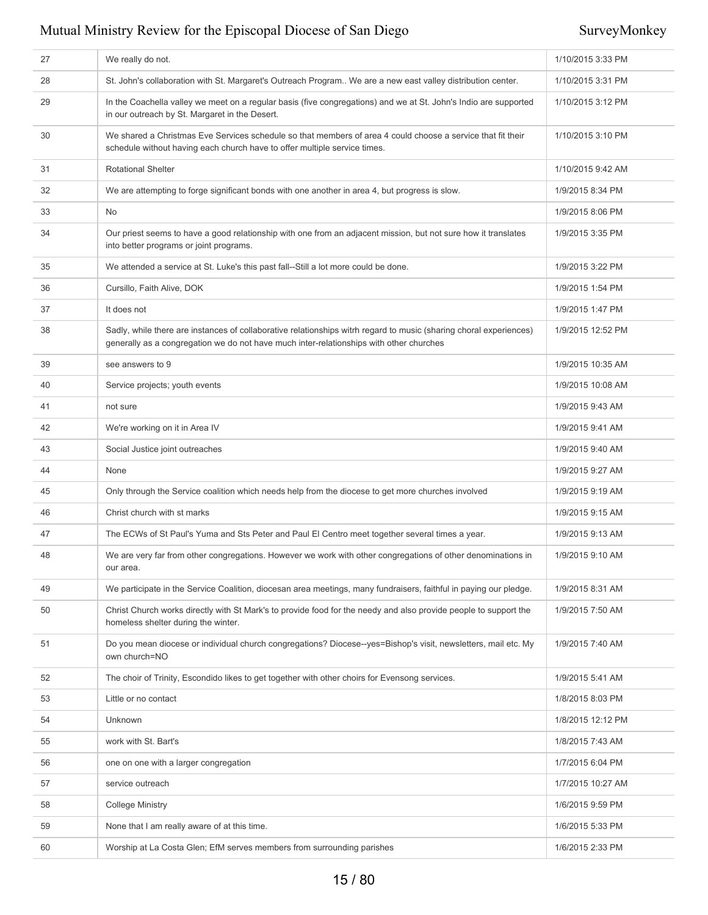| 27 | We really do not.                                                                                                                                                                                             | 1/10/2015 3:33 PM |
|----|---------------------------------------------------------------------------------------------------------------------------------------------------------------------------------------------------------------|-------------------|
| 28 | St. John's collaboration with St. Margaret's Outreach Program We are a new east valley distribution center.                                                                                                   | 1/10/2015 3:31 PM |
| 29 | In the Coachella valley we meet on a regular basis (five congregations) and we at St. John's Indio are supported<br>in our outreach by St. Margaret in the Desert.                                            | 1/10/2015 3:12 PM |
| 30 | We shared a Christmas Eve Services schedule so that members of area 4 could choose a service that fit their<br>schedule without having each church have to offer multiple service times.                      | 1/10/2015 3:10 PM |
| 31 | <b>Rotational Shelter</b>                                                                                                                                                                                     | 1/10/2015 9:42 AM |
| 32 | We are attempting to forge significant bonds with one another in area 4, but progress is slow.                                                                                                                | 1/9/2015 8:34 PM  |
| 33 | No                                                                                                                                                                                                            | 1/9/2015 8:06 PM  |
| 34 | Our priest seems to have a good relationship with one from an adjacent mission, but not sure how it translates<br>into better programs or joint programs.                                                     | 1/9/2015 3:35 PM  |
| 35 | We attended a service at St. Luke's this past fall--Still a lot more could be done.                                                                                                                           | 1/9/2015 3:22 PM  |
| 36 | Cursillo, Faith Alive, DOK                                                                                                                                                                                    | 1/9/2015 1:54 PM  |
| 37 | It does not                                                                                                                                                                                                   | 1/9/2015 1:47 PM  |
| 38 | Sadly, while there are instances of collaborative relationships witrh regard to music (sharing choral experiences)<br>generally as a congregation we do not have much inter-relationships with other churches | 1/9/2015 12:52 PM |
| 39 | see answers to 9                                                                                                                                                                                              | 1/9/2015 10:35 AM |
| 40 | Service projects; youth events                                                                                                                                                                                | 1/9/2015 10:08 AM |
| 41 | not sure                                                                                                                                                                                                      | 1/9/2015 9:43 AM  |
| 42 | We're working on it in Area IV                                                                                                                                                                                | 1/9/2015 9:41 AM  |
| 43 | Social Justice joint outreaches                                                                                                                                                                               | 1/9/2015 9:40 AM  |
| 44 | None                                                                                                                                                                                                          | 1/9/2015 9:27 AM  |
| 45 | Only through the Service coalition which needs help from the diocese to get more churches involved                                                                                                            | 1/9/2015 9:19 AM  |
| 46 | Christ church with st marks                                                                                                                                                                                   | 1/9/2015 9:15 AM  |
| 47 | The ECWs of St Paul's Yuma and Sts Peter and Paul El Centro meet together several times a year.                                                                                                               | 1/9/2015 9:13 AM  |
| 48 | We are very far from other congregations. However we work with other congregations of other denominations in<br>our area.                                                                                     | 1/9/2015 9:10 AM  |
| 49 | We participate in the Service Coalition, diocesan area meetings, many fundraisers, faithful in paying our pledge.                                                                                             | 1/9/2015 8:31 AM  |
| 50 | Christ Church works directly with St Mark's to provide food for the needy and also provide people to support the<br>homeless shelter during the winter.                                                       | 1/9/2015 7:50 AM  |
| 51 | Do you mean diocese or individual church congregations? Diocese--yes=Bishop's visit, newsletters, mail etc. My<br>own church=NO                                                                               | 1/9/2015 7:40 AM  |
| 52 | The choir of Trinity, Escondido likes to get together with other choirs for Evensong services.                                                                                                                | 1/9/2015 5:41 AM  |
| 53 | Little or no contact                                                                                                                                                                                          | 1/8/2015 8:03 PM  |
| 54 | Unknown                                                                                                                                                                                                       | 1/8/2015 12:12 PM |
| 55 | work with St. Bart's                                                                                                                                                                                          | 1/8/2015 7:43 AM  |
| 56 | one on one with a larger congregation                                                                                                                                                                         | 1/7/2015 6:04 PM  |
| 57 | service outreach                                                                                                                                                                                              | 1/7/2015 10:27 AM |
| 58 | <b>College Ministry</b>                                                                                                                                                                                       | 1/6/2015 9:59 PM  |
| 59 | None that I am really aware of at this time.                                                                                                                                                                  | 1/6/2015 5:33 PM  |
| 60 | Worship at La Costa Glen; EfM serves members from surrounding parishes                                                                                                                                        | 1/6/2015 2:33 PM  |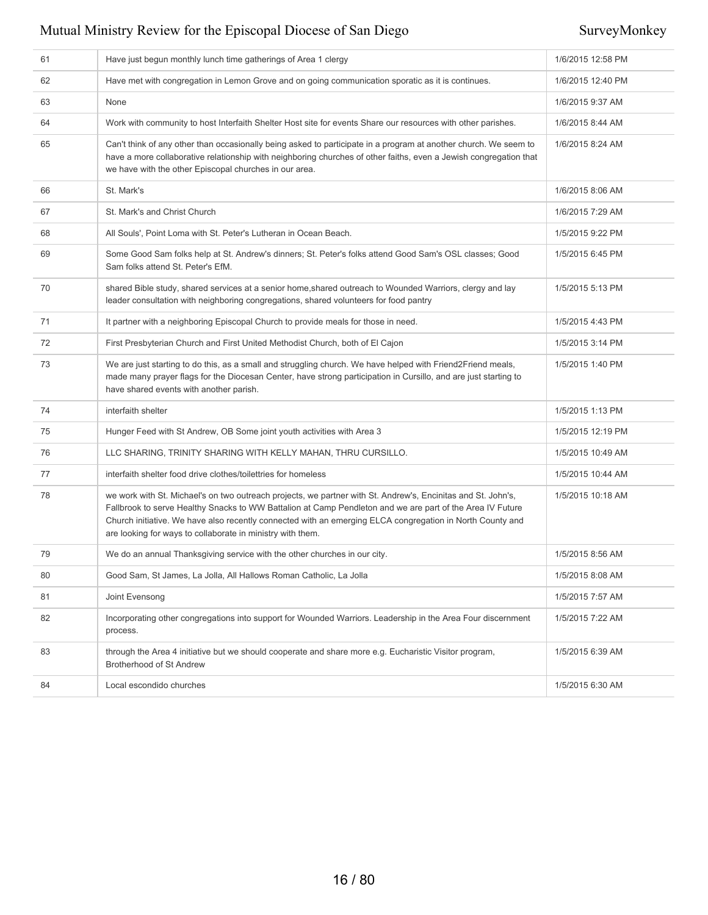| 61 | Have just begun monthly lunch time gatherings of Area 1 clergy                                                                                                                                                                                                                                                                                                                                       | 1/6/2015 12:58 PM |
|----|------------------------------------------------------------------------------------------------------------------------------------------------------------------------------------------------------------------------------------------------------------------------------------------------------------------------------------------------------------------------------------------------------|-------------------|
| 62 | Have met with congregation in Lemon Grove and on going communication sporatic as it is continues.                                                                                                                                                                                                                                                                                                    | 1/6/2015 12:40 PM |
| 63 | None                                                                                                                                                                                                                                                                                                                                                                                                 | 1/6/2015 9:37 AM  |
| 64 | Work with community to host Interfaith Shelter Host site for events Share our resources with other parishes.                                                                                                                                                                                                                                                                                         | 1/6/2015 8:44 AM  |
| 65 | Can't think of any other than occasionally being asked to participate in a program at another church. We seem to<br>have a more collaborative relationship with neighboring churches of other faiths, even a Jewish congregation that<br>we have with the other Episcopal churches in our area.                                                                                                      | 1/6/2015 8:24 AM  |
| 66 | St. Mark's                                                                                                                                                                                                                                                                                                                                                                                           | 1/6/2015 8:06 AM  |
| 67 | St. Mark's and Christ Church                                                                                                                                                                                                                                                                                                                                                                         | 1/6/2015 7:29 AM  |
| 68 | All Souls', Point Loma with St. Peter's Lutheran in Ocean Beach.                                                                                                                                                                                                                                                                                                                                     | 1/5/2015 9:22 PM  |
| 69 | Some Good Sam folks help at St. Andrew's dinners; St. Peter's folks attend Good Sam's OSL classes; Good<br>Sam folks attend St. Peter's EfM.                                                                                                                                                                                                                                                         | 1/5/2015 6:45 PM  |
| 70 | shared Bible study, shared services at a senior home, shared outreach to Wounded Warriors, clergy and lay<br>leader consultation with neighboring congregations, shared volunteers for food pantry                                                                                                                                                                                                   | 1/5/2015 5:13 PM  |
| 71 | It partner with a neighboring Episcopal Church to provide meals for those in need.                                                                                                                                                                                                                                                                                                                   | 1/5/2015 4:43 PM  |
| 72 | First Presbyterian Church and First United Methodist Church, both of El Cajon                                                                                                                                                                                                                                                                                                                        | 1/5/2015 3:14 PM  |
| 73 | We are just starting to do this, as a small and struggling church. We have helped with Friend2Friend meals,<br>made many prayer flags for the Diocesan Center, have strong participation in Cursillo, and are just starting to<br>have shared events with another parish.                                                                                                                            | 1/5/2015 1:40 PM  |
| 74 | interfaith shelter                                                                                                                                                                                                                                                                                                                                                                                   | 1/5/2015 1:13 PM  |
| 75 | Hunger Feed with St Andrew, OB Some joint youth activities with Area 3                                                                                                                                                                                                                                                                                                                               | 1/5/2015 12:19 PM |
| 76 | LLC SHARING, TRINITY SHARING WITH KELLY MAHAN, THRU CURSILLO.                                                                                                                                                                                                                                                                                                                                        | 1/5/2015 10:49 AM |
| 77 | interfaith shelter food drive clothes/toilettries for homeless                                                                                                                                                                                                                                                                                                                                       | 1/5/2015 10:44 AM |
| 78 | we work with St. Michael's on two outreach projects, we partner with St. Andrew's, Encinitas and St. John's,<br>Fallbrook to serve Healthy Snacks to WW Battalion at Camp Pendleton and we are part of the Area IV Future<br>Church initiative. We have also recently connected with an emerging ELCA congregation in North County and<br>are looking for ways to collaborate in ministry with them. | 1/5/2015 10:18 AM |
| 79 | We do an annual Thanksgiving service with the other churches in our city.                                                                                                                                                                                                                                                                                                                            | 1/5/2015 8:56 AM  |
| 80 | Good Sam, St James, La Jolla, All Hallows Roman Catholic, La Jolla                                                                                                                                                                                                                                                                                                                                   | 1/5/2015 8:08 AM  |
| 81 | Joint Evensong                                                                                                                                                                                                                                                                                                                                                                                       | 1/5/2015 7:57 AM  |
| 82 | Incorporating other congregations into support for Wounded Warriors. Leadership in the Area Four discernment<br>process.                                                                                                                                                                                                                                                                             | 1/5/2015 7:22 AM  |
| 83 | through the Area 4 initiative but we should cooperate and share more e.g. Eucharistic Visitor program,<br>Brotherhood of St Andrew                                                                                                                                                                                                                                                                   | 1/5/2015 6:39 AM  |
| 84 | Local escondido churches                                                                                                                                                                                                                                                                                                                                                                             | 1/5/2015 6:30 AM  |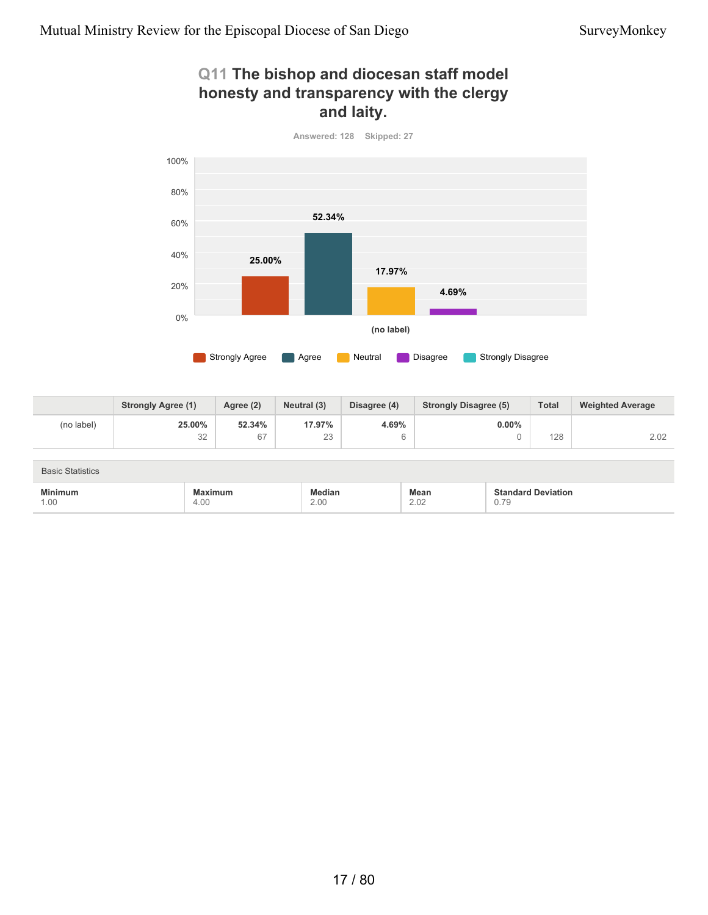### **Q11 The bishop and diocesan staff model honesty and transparency with the clergy and laity.**



**25.00%** 32 **52.34%** 67 **17.97%** 23 **4.69%** 6 **0.00%** 0 128 2.02 **Strongly Agree (1) Agree (2) Neutral (3) Disagree (4) Strongly Disagree (5) Total Weighted Average** (no label)

| <b>Basic Statistics</b> |                 |                |                     |                                                                      |
|-------------------------|-----------------|----------------|---------------------|----------------------------------------------------------------------|
| <b>Minimum</b><br>1.00  | Maximum<br>4.00 | Median<br>2.00 | <b>Mean</b><br>2.02 | <b>Standard Deviation</b><br>0.79<br>the contract of the contract of |

# 17 / 80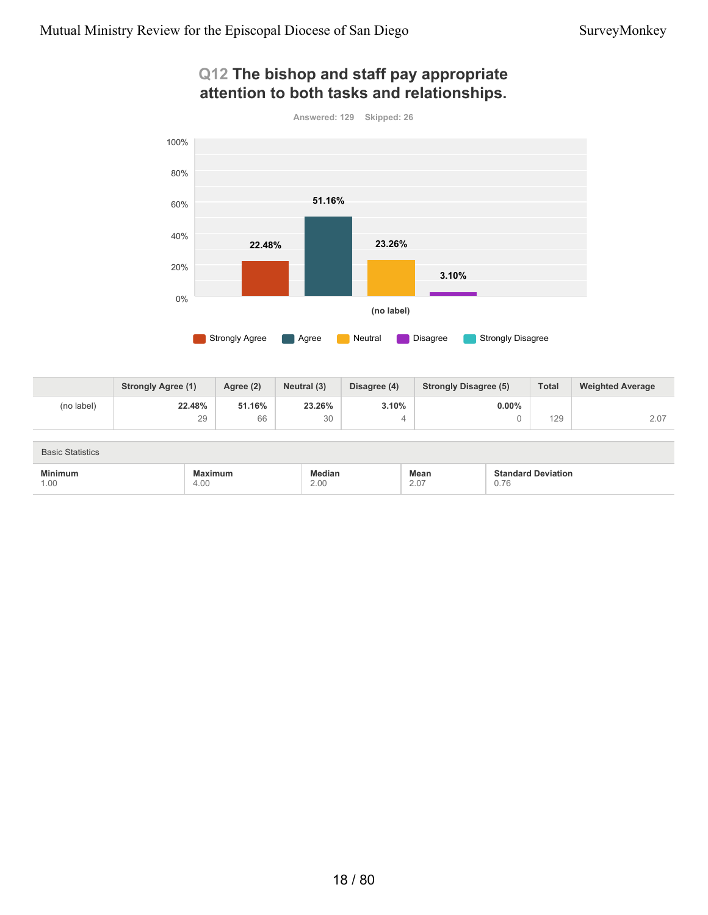### **Q12 The bishop and staff pay appropriate attention to both tasks and relationships.**





|            | <b>Strongly Agree (1)</b> | Agree (2) | Neutral (3) | Disagree (4) | <b>Strongly Disagree (5)</b> | <b>Total</b> | <b>Weighted Average</b> |
|------------|---------------------------|-----------|-------------|--------------|------------------------------|--------------|-------------------------|
| (no label) | 22.48%                    | 51.16%    | 23.26%      | 3.10%        | $0.00\%$                     |              |                         |
|            | 29                        | 66        | 30          |              |                              | 129          | 2.07                    |

| <b>Basic Statistics</b> |                 |                |              |                                   |
|-------------------------|-----------------|----------------|--------------|-----------------------------------|
| <b>Minimum</b><br>1.00  | Maximum<br>4.00 | Median<br>2.00 | Mean<br>2.07 | <b>Standard Deviation</b><br>0.76 |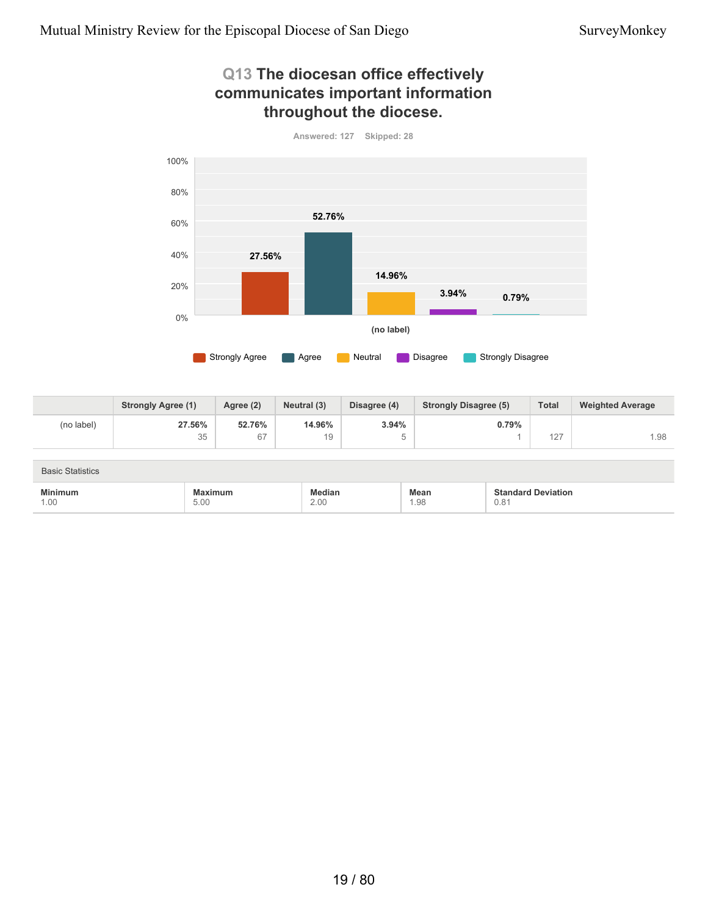#### **Q13 The diocesan office effectively communicates important information throughout the diocese.**



**27.56%** 35 **52.76%** 67 **14.96%** 19 **3.94%** 5 **0.79%** 1 127 1.98 **Strongly Agree (1) Agree (2) Neutral (3) Disagree (4) Strongly Disagree (5) Total Weighted Average** (no label)

| <b>Basic Statistics</b> |                                                              |                       |                     |                                   |
|-------------------------|--------------------------------------------------------------|-----------------------|---------------------|-----------------------------------|
| <b>Minimum</b><br>1.00  | timum:<br>Лах<br>the contract of the contract of the<br>5.00 | <b>fedian</b><br>2.00 | <b>Mean</b><br>1.98 | <b>Standard Deviation</b><br>0.81 |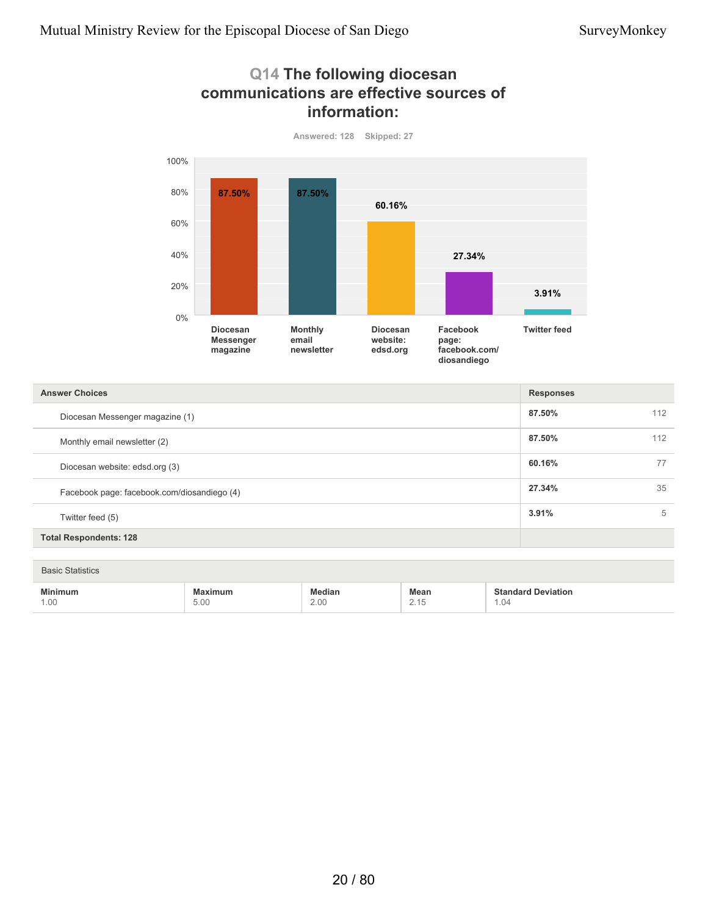### **Q14 The following diocesan communications are effective sources of information:**



**Answered: 128 Skipped: 27**

| <b>Answer Choices</b>                       | <b>Responses</b> |     |
|---------------------------------------------|------------------|-----|
| Diocesan Messenger magazine (1)             | 87.50%           | 112 |
| Monthly email newsletter (2)                | 87.50%           | 112 |
| Diocesan website: edsd.org (3)              | 60.16%           |     |
| Facebook page: facebook.com/diosandiego (4) | 27.34%           | 35  |
| Twitter feed (5)                            | 3.91%            | 5   |
| <b>Total Respondents: 128</b>               |                  |     |

Basic Statistics

| $- - -$<br>the contract of the contract of the contract of the contract of the contract of<br>1.00<br>$\sim$<br>$\cup \cdot \cup \cup$<br>. | 2.00 | Mear<br>$\sim \cdot$ $\cdot$ | 1.04 |  |
|---------------------------------------------------------------------------------------------------------------------------------------------|------|------------------------------|------|--|
|---------------------------------------------------------------------------------------------------------------------------------------------|------|------------------------------|------|--|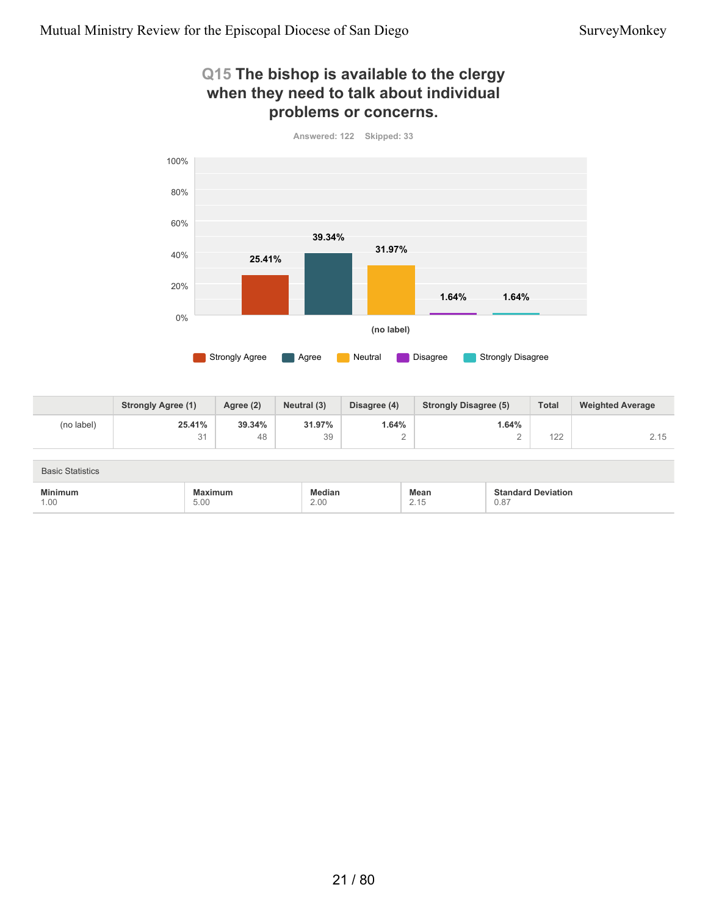#### **Q15 The bishop is available to the clergy when they need to talk about individual problems or concerns.**



**Answered: 122 Skipped: 33**

|            | <b>Strongly Agree (1)</b> | Agree (2) | Neutral (3) | Disagree (4) | <b>Strongly Disagree (5)</b> | <b>Total</b>            | <b>Weighted Average</b> |
|------------|---------------------------|-----------|-------------|--------------|------------------------------|-------------------------|-------------------------|
| (no label) | 25.41%                    | 39.34%    | 31.97%      | .64%         | 1.64%                        |                         |                         |
|            | $\Omega$                  | 48        | 39          |              |                              | $\overline{100}$<br>▎∠∠ | つ 15                    |

| <b>Basic Statistics</b> |                                                                                                    |                |                              |                                   |
|-------------------------|----------------------------------------------------------------------------------------------------|----------------|------------------------------|-----------------------------------|
| <b>Minimum</b><br>1.00  | Maximum<br>the contract of the contract of the contract of the contract of the contract of<br>5.00 | Median<br>2.00 | Mean<br>245<br>$\sim$ $\cup$ | <b>Standard Deviation</b><br>0.87 |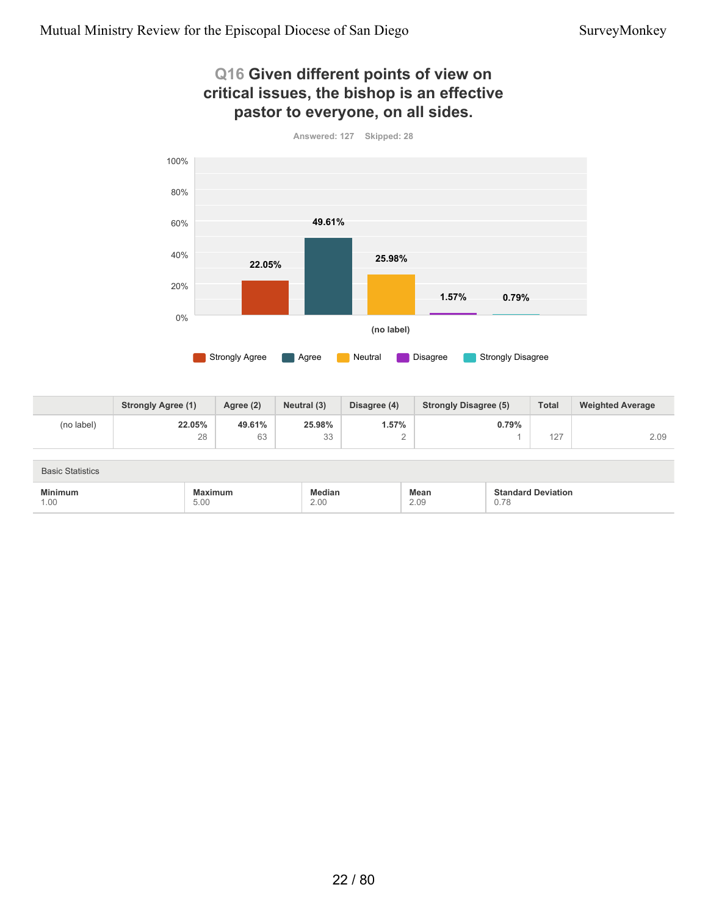### **Q16 Given different points of view on critical issues, the bishop is an effective pastor to everyone, on all sides.**



**22.05%** 28 **49.61%** 63 **25.98%** 33 **1.57%** 2 **0.79%** 1 127 2.09 **Strongly Agree (1) Agree (2) Neutral (3) Disagree (4) Strongly Disagree (5) Total Weighted Average** (no label)

| <b>Basic Statistics</b> |                                                                                                    |                |              |                                   |
|-------------------------|----------------------------------------------------------------------------------------------------|----------------|--------------|-----------------------------------|
| Minimum<br>1.00         | Maximum<br>the contract of the contract of the contract of the contract of the contract of<br>5.00 | ledian<br>2.00 | Mean<br>2.09 | <b>Standard Deviation</b><br>0.78 |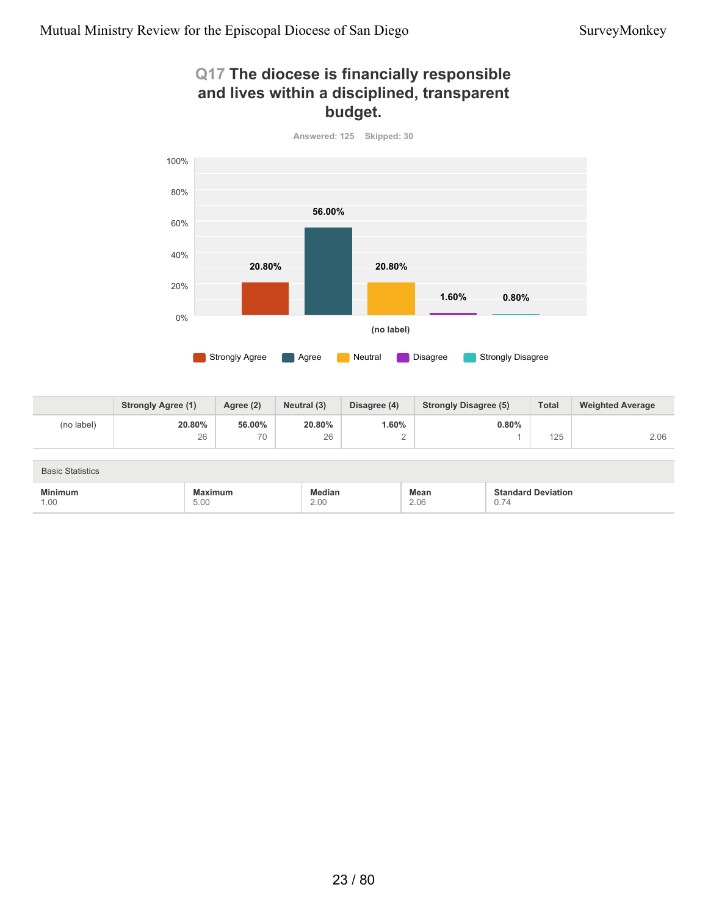### **Q17 The diocese is financially responsible and lives within a disciplined, transparent budget.**



**Answered: 125 Skipped: 30**

|            | <b>Strongly Agree (1)</b> | Agree (2) | Neutral (3) | Disagree (4) | <b>Strongly Disagree (5)</b> | <b>Total</b> | <b>Weighted Average</b> |
|------------|---------------------------|-----------|-------------|--------------|------------------------------|--------------|-------------------------|
| (no label) | 20.80%                    | 56.00%    | 20.80%      | .60%         | 0.80%                        |              |                         |
|            | 26                        | 70        | 26          | ⌒<br>∼       |                              | 125          | 2.06                    |

| <b>Basic Statistics</b> |                                                                    |                       |              |                                   |
|-------------------------|--------------------------------------------------------------------|-----------------------|--------------|-----------------------------------|
| <b>Minimum</b><br>1.00  | Maximum<br>the contract of the contract of the contract of<br>5.00 | <b>fedian</b><br>2.00 | Mean<br>2.06 | <b>Standard Deviation</b><br>0.74 |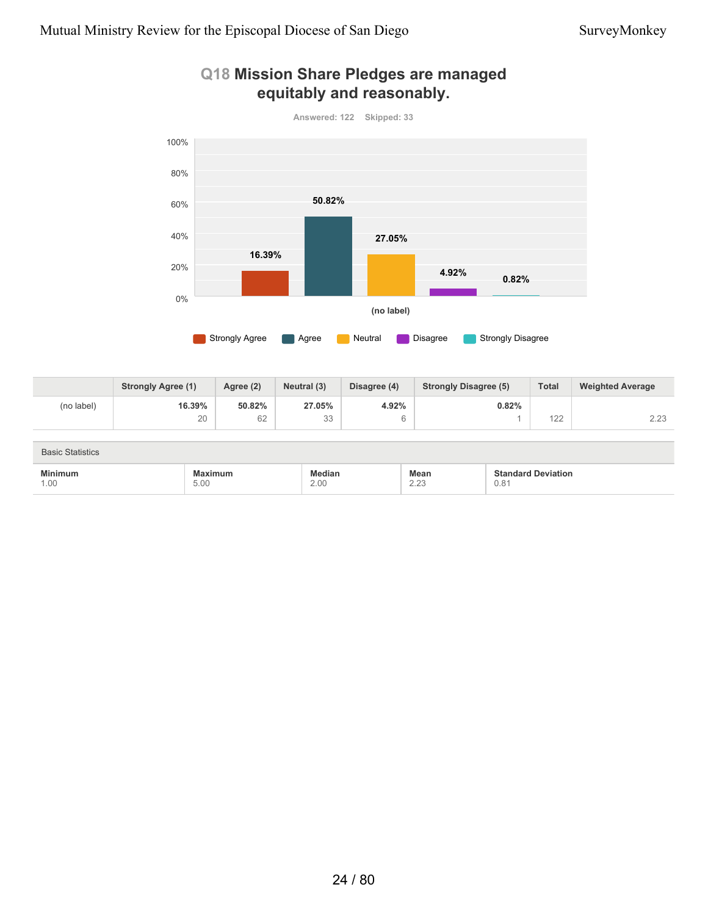

#### **Q18 Mission Share Pledges are managed equitably and reasonably.**

|            | <b>Strongly Agree (1)</b> | Agree (2) | Neutral (3) | Disagree (4) | <b>Strongly Disagree (5)</b> | <b>Total</b>    | <b>Weighted Average</b> |
|------------|---------------------------|-----------|-------------|--------------|------------------------------|-----------------|-------------------------|
| (no label) | 16.39%                    | 50.82%    | 27.05%      | 4.92%        | 0.82%                        |                 |                         |
|            | 20                        | 62        | 33          |              |                              | 400<br>$\angle$ | 0.00<br>د.∠ے            |

| <b>Basic Statistics</b> |                 |                |                      |                                   |
|-------------------------|-----------------|----------------|----------------------|-----------------------------------|
| <b>Minimum</b><br>1.00  | Maximum<br>5.00 | Median<br>2.00 | Mean<br>0.00<br>2.20 | <b>Standard Deviation</b><br>0.81 |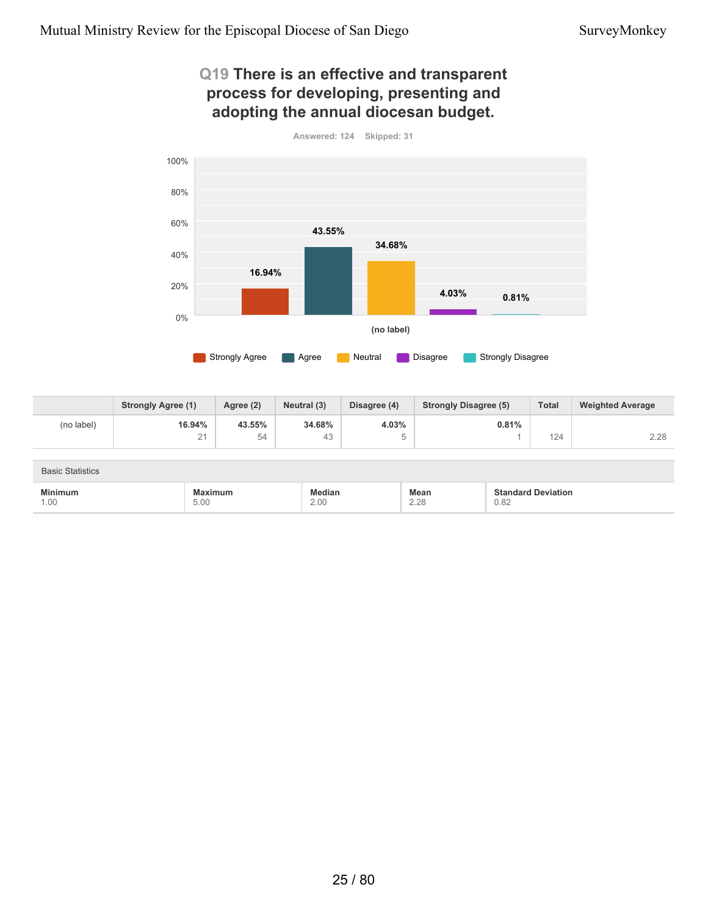### **Q19 There is an effective and transparent process for developing, presenting and adopting the annual diocesan budget.**



**16.94%** 21 **43.55%** 54 **34.68%** 43 **4.03%** 5 **0.81%** 1 124 2.28 **Strongly Agree (1) Agree (2) Neutral (3) Disagree (4) Strongly Disagree (5) Total Weighted Average** (no label)

| <b>Basic Statistics</b> |                                                                          |                       |              |                                   |
|-------------------------|--------------------------------------------------------------------------|-----------------------|--------------|-----------------------------------|
| <b>Minimum</b><br>1.00  | timum:<br>Лах<br>the contract of the contract of the contract of<br>5.00 | <b>fedian</b><br>2.00 | Mean<br>2.28 | <b>Standard Deviation</b><br>0.82 |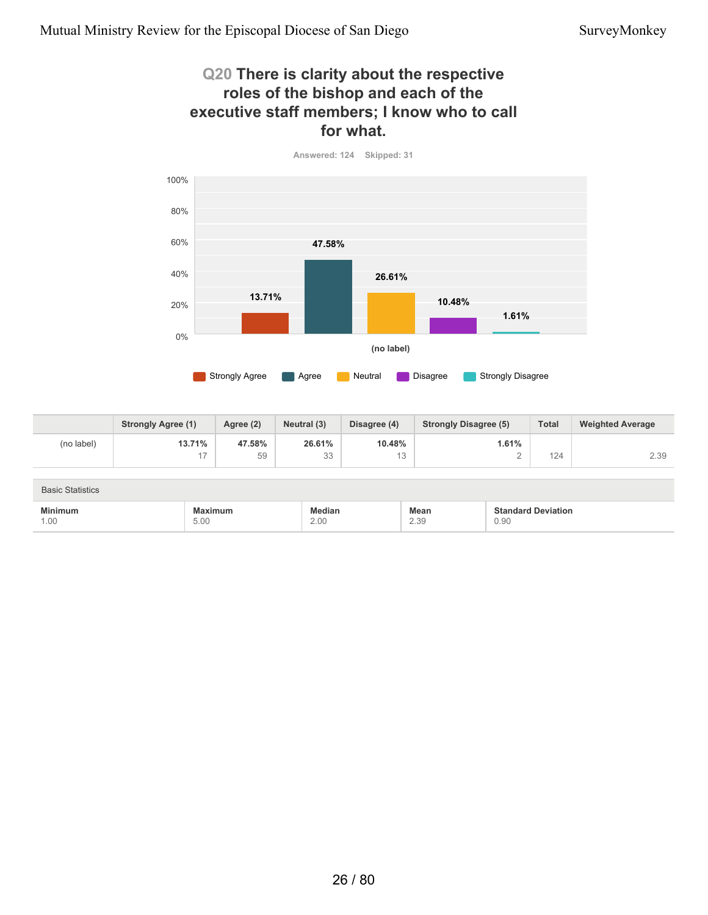5.00

1.00

#### **Q20 There is clarity about the respective roles of the bishop and each of the executive staff members; I know who to call for what.**



|                         | <b>Strongly Agree (1)</b> | Agree (2) | Neutral (3)   | Disagree (4) | <b>Strongly Disagree (5)</b> | <b>Total</b>              | <b>Weighted Average</b> |
|-------------------------|---------------------------|-----------|---------------|--------------|------------------------------|---------------------------|-------------------------|
| (no label)              | 13.71%                    | 47.58%    | 26.61%        | 10.48%       | 1.61%                        |                           |                         |
|                         | 17                        | 59        | 33            | 13           |                              | 124                       | 2.39                    |
|                         |                           |           |               |              |                              |                           |                         |
| <b>Basic Statistics</b> |                           |           |               |              |                              |                           |                         |
| <b>Minimum</b>          | <b>Maximum</b>            |           | <b>Median</b> |              | <b>Mean</b>                  | <b>Standard Deviation</b> |                         |

2.39

0.90

2.00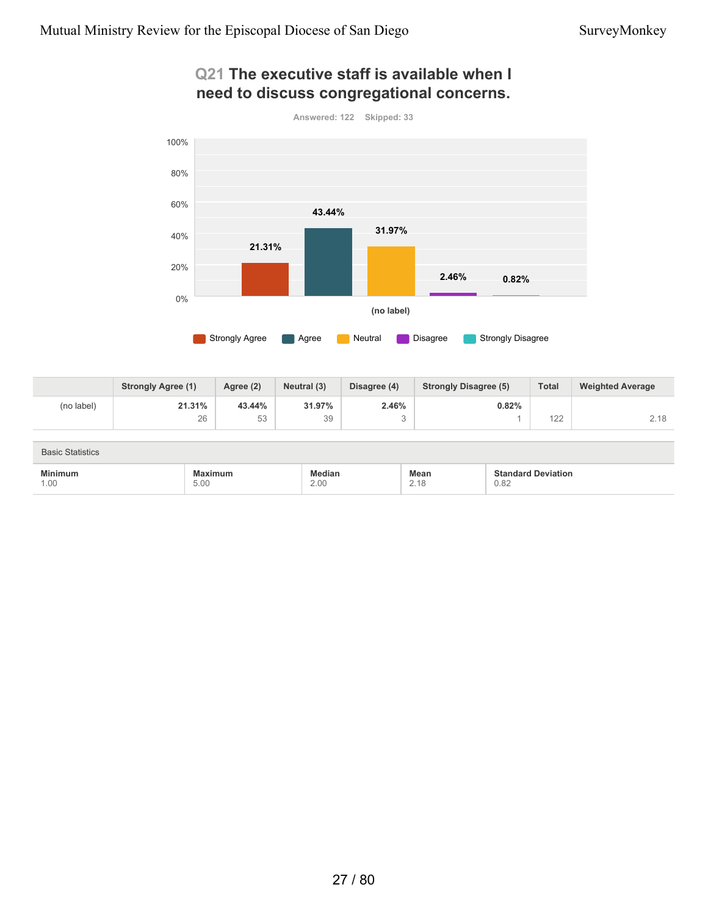### **Q21 The executive staff is available when I need to discuss congregational concerns.**



|            | <b>Strongly Agree (1)</b> | Agree (2) | Neutral (3) | Disagree (4) | <b>Strongly Disagree (5)</b> | <b>Total</b> | <b>Weighted Average</b> |
|------------|---------------------------|-----------|-------------|--------------|------------------------------|--------------|-------------------------|
| (no label) | 21.31%                    | 43.44%    | 31.97%      | 2.46%        | 0.82%                        |              |                         |
|            | 26                        | にっ<br>υU  | 39          |              |                              | 122          | 2.18                    |

| <b>Basic Statistics</b> |         |        |      |                           |
|-------------------------|---------|--------|------|---------------------------|
| <b>Minimum</b>          | Maximum | Median | Mean | <b>Standard Deviation</b> |
| 1.00                    | 5.00    | 2.00   | 2.18 | 0.82                      |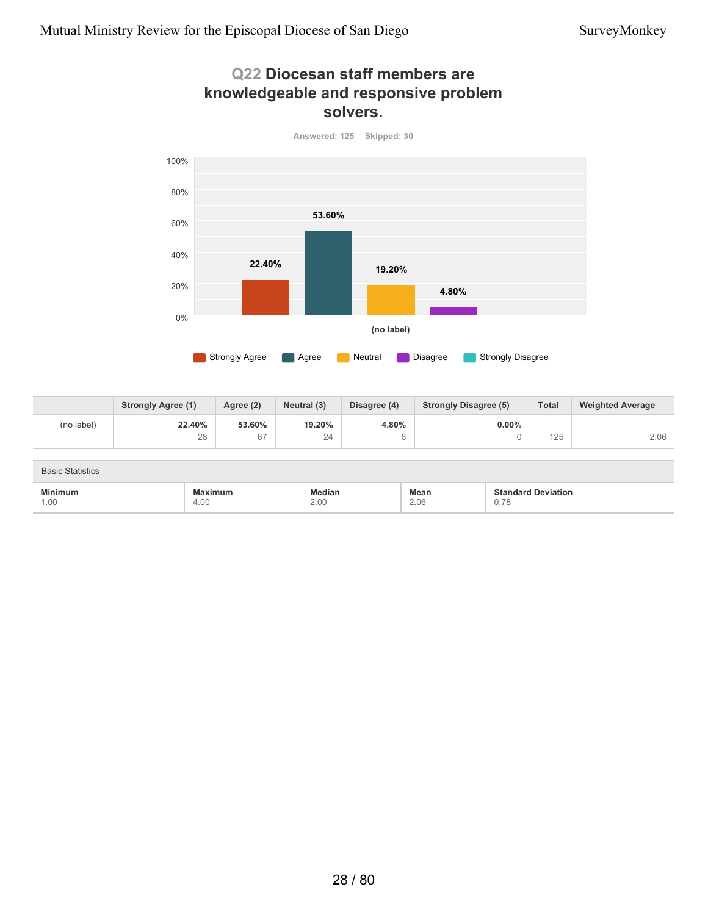### **Q22 Diocesan staff members are knowledgeable and responsive problem solvers.**



**22.40%** 28 **53.60%** 67 **19.20%** 24 **4.80%** 6 **0.00%** 0 125 2.06 **Strongly Agree (1) Agree (2) Neutral (3) Disagree (4) Strongly Disagree (5) Total Weighted Average** (no label)

| <b>Basic Statistics</b> |                 |                |              |                                   |
|-------------------------|-----------------|----------------|--------------|-----------------------------------|
| <b>Minimum</b><br>1.00  | Maximum<br>4.00 | Median<br>2.00 | Mean<br>2.06 | <b>Standard Deviation</b><br>0.78 |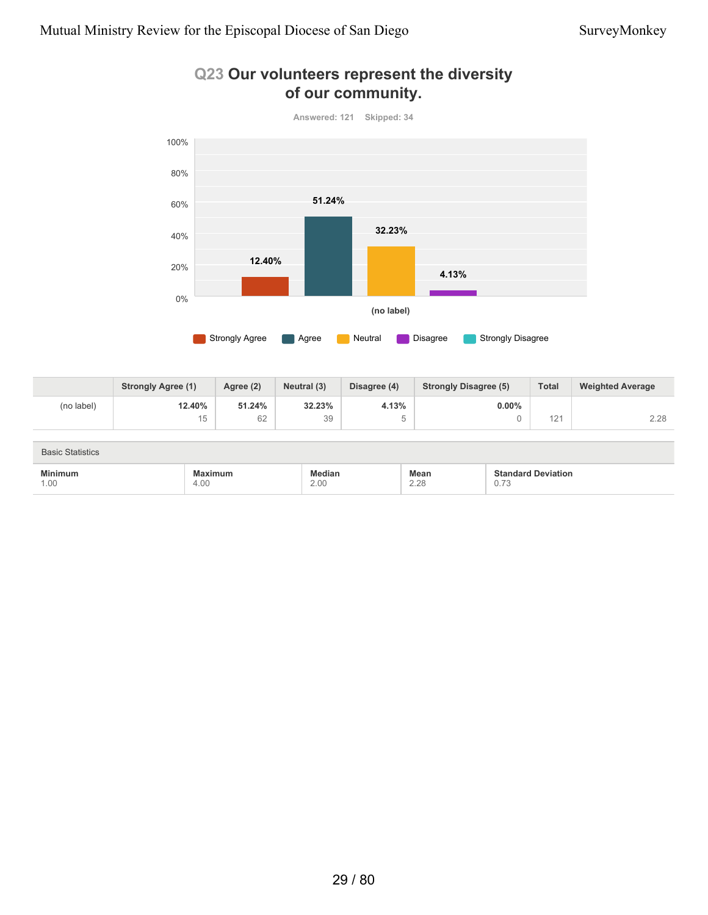

#### **Q23 Our volunteers represent the diversity of our community.**

|            | <b>Strongly Agree (1)</b> | Agree (2) | Neutral (3) | Disagree (4) | <b>Strongly Disagree (5)</b> | <b>Total</b>         | <b>Weighted Average</b> |
|------------|---------------------------|-----------|-------------|--------------|------------------------------|----------------------|-------------------------|
| (no label) | 12.40%                    | 51.24%    | 32.23%      | 4.13%        | $0.00\%$                     |                      |                         |
|            | 15                        | 62        | 39          |              |                              | 10 <sub>1</sub><br>L | 2.28                    |

| <b>Basic Statistics</b> |                 |                |                     |                                        |
|-------------------------|-----------------|----------------|---------------------|----------------------------------------|
| <b>Minimum</b><br>1.00  | Maximum<br>4.00 | Median<br>2.00 | <b>Mean</b><br>2.28 | <b>Standard Deviation</b><br>ァ<br>0.13 |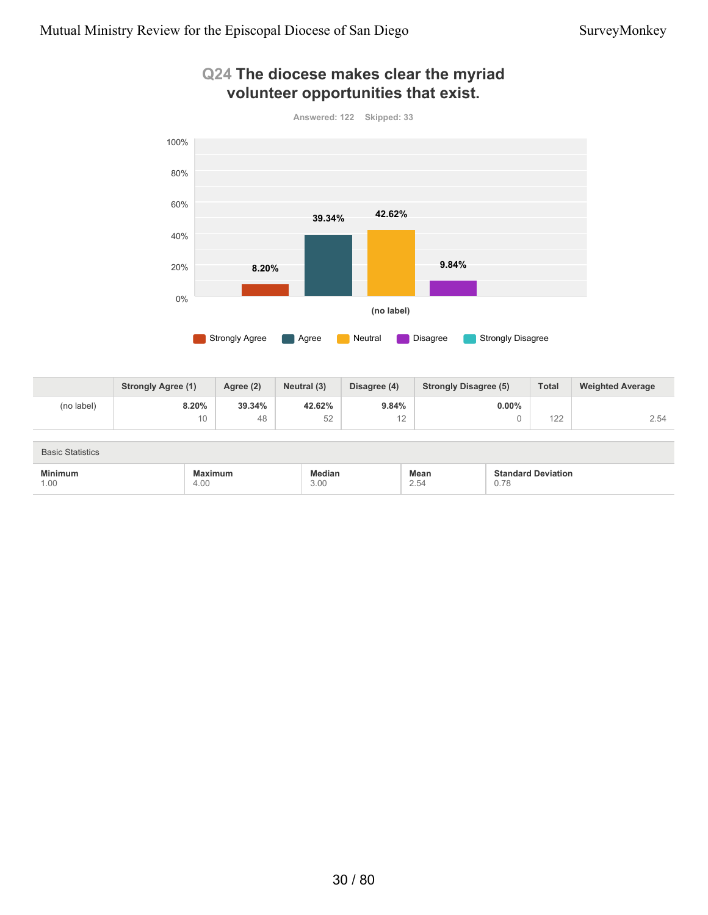

#### **Q24 The diocese makes clear the myriad volunteer opportunities that exist.**

|            | <b>Strongly Agree (1)</b> | Agree (2) | Neutral (3) | Disagree (4) | <b>Strongly Disagree (5)</b> | <b>Total</b>      | <b>Weighted Average</b> |
|------------|---------------------------|-----------|-------------|--------------|------------------------------|-------------------|-------------------------|
| (no label) | 8.20%                     | 39.34%    | 42.62%      | 9.84%        | $0.00\%$                     |                   |                         |
|            | 10                        | 48        | 52          | ے ا          |                              | $\sqrt{2}$<br>122 | 2.54                    |

| <b>Basic Statistics</b> |                 |                |              |                                             |
|-------------------------|-----------------|----------------|--------------|---------------------------------------------|
| <b>Minimum</b><br>1.00  | Maximum<br>4.00 | Median<br>3.00 | Mean<br>2.54 | <b>Standard Deviation</b><br>ገ 7Ջ<br>v. 1 v |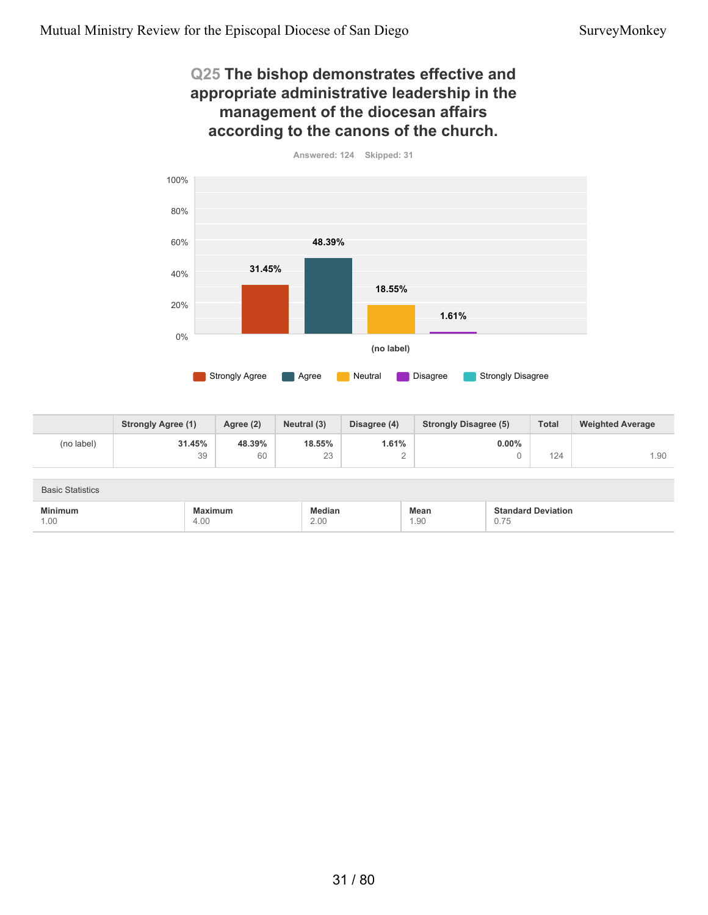4.00

1.00

#### **Q25 The bishop demonstrates effective and appropriate administrative leadership in the management of the diocesan affairs according to the canons of the church.**



|                         | <b>Strongly Agree (1)</b> | Agree (2) | Neutral (3)   | Disagree (4) | <b>Strongly Disagree (5)</b> | <b>Total</b>              | <b>Weighted Average</b> |
|-------------------------|---------------------------|-----------|---------------|--------------|------------------------------|---------------------------|-------------------------|
| (no label)              | 31.45%                    | 48.39%    | 18.55%        | 1.61%        | $0.00\%$                     |                           |                         |
|                         | 39                        | 60        | 23            | $\sim$<br>_  |                              | 124                       | 1.90                    |
|                         |                           |           |               |              |                              |                           |                         |
| <b>Basic Statistics</b> |                           |           |               |              |                              |                           |                         |
| <b>Minimum</b>          | <b>Maximum</b>            |           | <b>Median</b> |              | <b>Mean</b>                  | <b>Standard Deviation</b> |                         |

1.90

0.75

2.00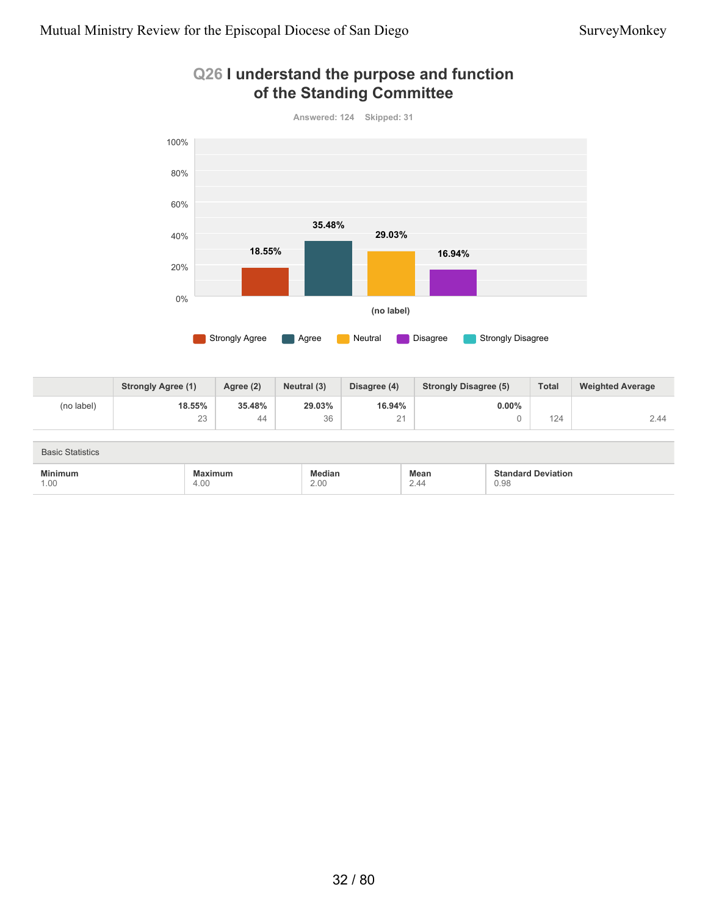

#### **Q26 I understand the purpose and function of the Standing Committee**

|            | <b>Strongly Agree (1)</b> | Agree (2) | Neutral (3) | Disagree (4)                    | <b>Strongly Disagree (5)</b> | <b>Total</b> | <b>Weighted Average</b> |
|------------|---------------------------|-----------|-------------|---------------------------------|------------------------------|--------------|-------------------------|
| (no label) | 18.55%                    | 35.48%    | 29.03%      | 16.94%                          | $0.00\%$                     |              |                         |
|            | 23                        | 44        | 36          | $\bigcap$ $\bigcap$<br><u>_</u> |                              | 124          | 2.44                    |

| <b>Basic Statistics</b> |                 |                |              |                                   |
|-------------------------|-----------------|----------------|--------------|-----------------------------------|
| <b>Minimum</b><br>1.00  | Maximum<br>4.00 | Median<br>2.00 | Mean<br>2.44 | <b>Standard Deviation</b><br>0.98 |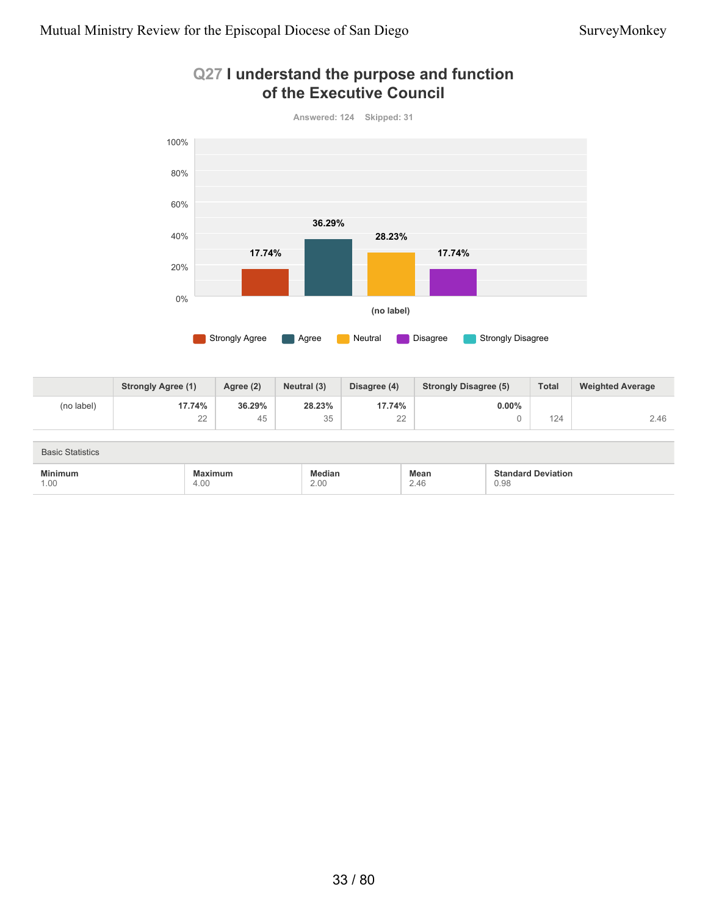

#### **Q27 I understand the purpose and function of the Executive Council**

|            | <b>Strongly Agree (1)</b> | Agree (2) | Neutral (3) | Disagree (4)  | <b>Strongly Disagree (5)</b> | <b>Total</b> | <b>Weighted Average</b> |
|------------|---------------------------|-----------|-------------|---------------|------------------------------|--------------|-------------------------|
| (no label) | 17.74%                    | 36.29%    | 28.23%      | 17.74%        | $0.00\%$                     |              |                         |
|            | 22<br>$-$                 | 45        | 35          | $\cap$<br>$-$ |                              | 124          | 2.46                    |

| <b>Basic Statistics</b> |                 |                |                     |                                   |  |  |
|-------------------------|-----------------|----------------|---------------------|-----------------------------------|--|--|
| <b>Minimum</b><br>1.00  | Maximum<br>4.00 | Median<br>2.00 | <b>Mean</b><br>2.46 | <b>Standard Deviation</b><br>0.98 |  |  |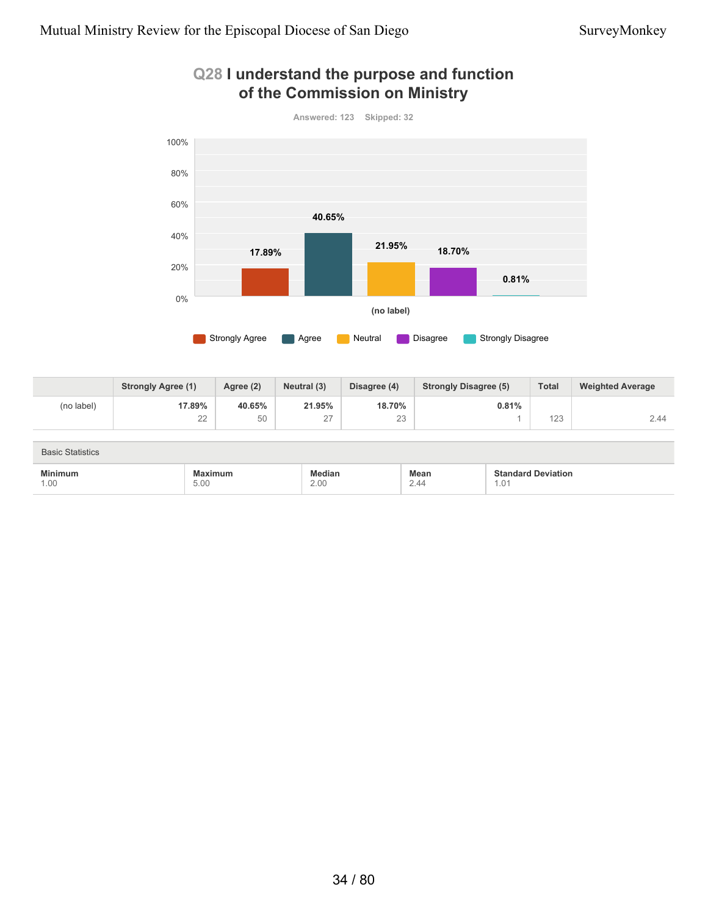

#### **Q28 I understand the purpose and function of the Commission on Ministry**

|            | <b>Strongly Agree (1)</b> | Agree (2) | Neutral (3)                | Disagree (4)   | <b>Strongly Disagree (5)</b> | <b>Total</b> | <b>Weighted Average</b> |
|------------|---------------------------|-----------|----------------------------|----------------|------------------------------|--------------|-------------------------|
| (no label) | 17.89%                    | 40.65%    | 21.95%                     | 18.70%         | 0.81%                        |              |                         |
|            | $\cap$<br>∠∠              | 50        | $\sim$<br>$\leftharpoonup$ | $\Omega$<br>20 |                              | 100<br>123   | 2.44                    |

| <b>Basic Statistics</b>                                       |                 |                |                     |                                   |  |
|---------------------------------------------------------------|-----------------|----------------|---------------------|-----------------------------------|--|
| <b>Minimum</b><br>the contract of the contract of the<br>1.00 | Maximum<br>5.00 | Median<br>2.00 | <b>Mean</b><br>2.44 | <b>Standard Deviation</b><br>1.01 |  |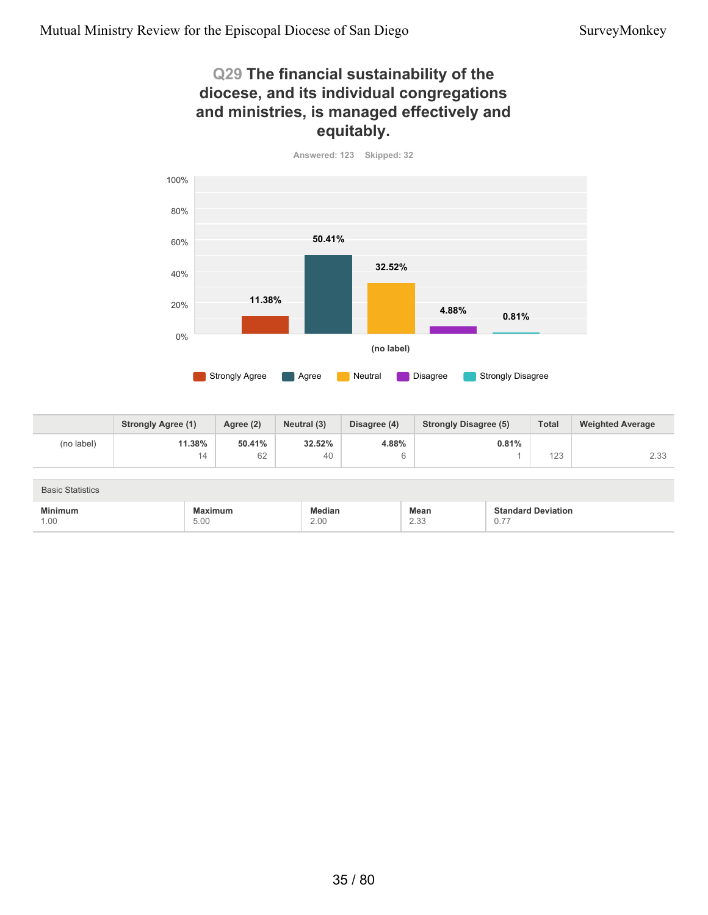5.00

1.00

#### **Q29 The financial sustainability of the diocese, and its individual congregations and ministries, is managed effectively and equitably.**



|                         | <b>Strongly Agree (1)</b> | Agree (2) | Neutral (3) | Disagree (4) | <b>Strongly Disagree (5)</b> | <b>Total</b>              | <b>Weighted Average</b> |
|-------------------------|---------------------------|-----------|-------------|--------------|------------------------------|---------------------------|-------------------------|
| (no label)              | 11.38%                    | 50.41%    | 32.52%      | 4.88%        | 0.81%                        |                           |                         |
|                         | 14                        | 62        | 40          | 6            |                              | 123                       | 2.33                    |
|                         |                           |           |             |              |                              |                           |                         |
| <b>Basic Statistics</b> |                           |           |             |              |                              |                           |                         |
| <b>Minimum</b>          | Maximum                   |           | Median      |              | Mean                         | <b>Standard Deviation</b> |                         |

2.33

0.77

2.00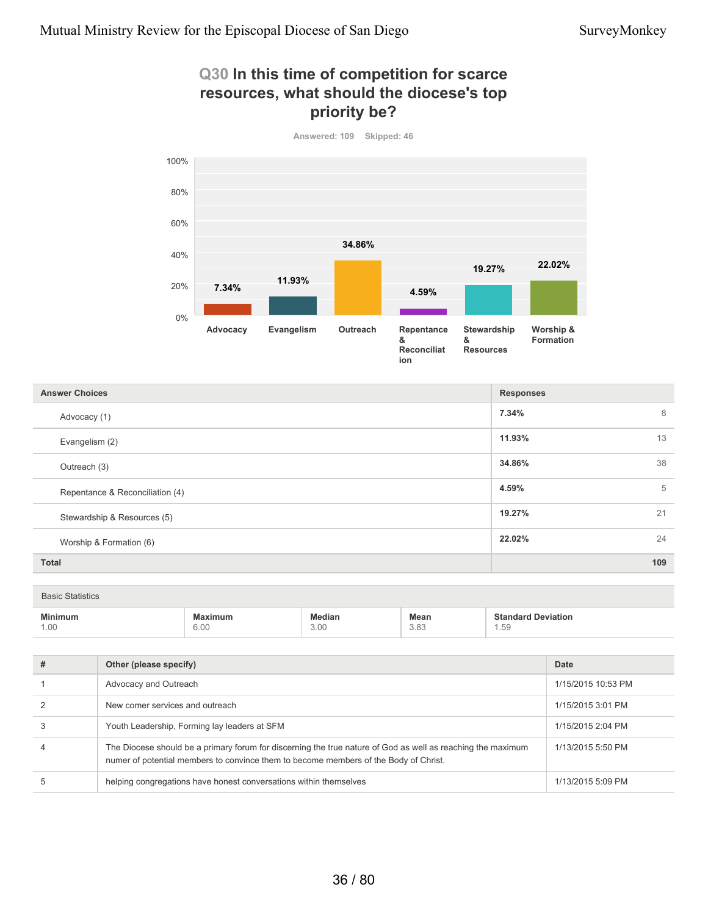#### **Q30 In this time of competition for scarce resources, what should the diocese's top priority be?**



**7.34%** 8 **11.93%** 13 **34.86%** 38 **4.59%** 5 **19.27%** 21 **22.02%** 24 **Total 109 Answer Choices Responses** Advocacy (1) Evangelism (2) Outreach (3) Repentance & Reconciliation (4) Stewardship & Resources (5) Worship & Formation (6)

Basic Statistics

| $\cdots$<br>.<br>the contract of the contract of the contract of the contract of the contract of | the contract of the contract of the contract of the contract of the contract of |                               | Mean                | $\sim$    |
|--------------------------------------------------------------------------------------------------|---------------------------------------------------------------------------------|-------------------------------|---------------------|-----------|
| $\bigcap$<br>$\cdot$ . U i $\cdot$                                                               | $\sim$ $\sim$<br><br>U.UI<br>$  -$                                              | $\cap$ $\cap$<br>$\cdot$<br>. | $\sim$<br>J.OJ<br>. | h L<br>ರಾ |

| # | Other (please specify)                                                                                                                                                                              | Date               |
|---|-----------------------------------------------------------------------------------------------------------------------------------------------------------------------------------------------------|--------------------|
|   | Advocacy and Outreach                                                                                                                                                                               | 1/15/2015 10:53 PM |
|   | New comer services and outreach                                                                                                                                                                     | 1/15/2015 3:01 PM  |
|   | Youth Leadership, Forming lay leaders at SFM                                                                                                                                                        | 1/15/2015 2:04 PM  |
| 4 | The Diocese should be a primary forum for discerning the true nature of God as well as reaching the maximum<br>numer of potential members to convince them to become members of the Body of Christ. | 1/13/2015 5:50 PM  |
|   | helping congregations have honest conversations within themselves                                                                                                                                   | 1/13/2015 5:09 PM  |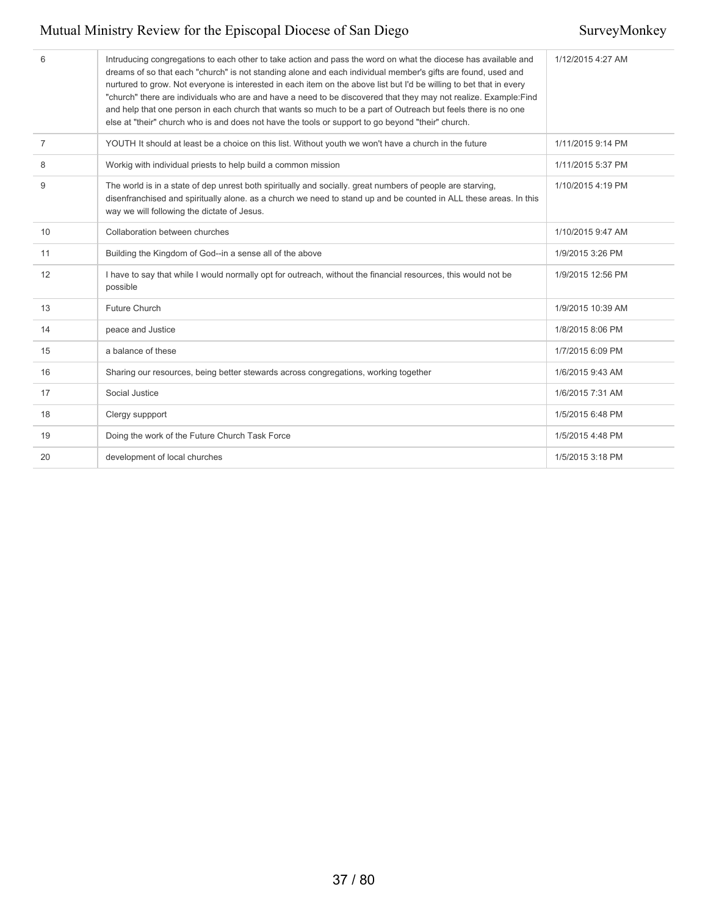| 6              | Intruducing congregations to each other to take action and pass the word on what the diocese has available and<br>dreams of so that each "church" is not standing alone and each individual member's gifts are found, used and<br>nurtured to grow. Not everyone is interested in each item on the above list but I'd be willing to bet that in every<br>"church" there are individuals who are and have a need to be discovered that they may not realize. Example:Find<br>and help that one person in each church that wants so much to be a part of Outreach but feels there is no one<br>else at "their" church who is and does not have the tools or support to go beyond "their" church. | 1/12/2015 4:27 AM |
|----------------|------------------------------------------------------------------------------------------------------------------------------------------------------------------------------------------------------------------------------------------------------------------------------------------------------------------------------------------------------------------------------------------------------------------------------------------------------------------------------------------------------------------------------------------------------------------------------------------------------------------------------------------------------------------------------------------------|-------------------|
| $\overline{7}$ | YOUTH It should at least be a choice on this list. Without youth we won't have a church in the future                                                                                                                                                                                                                                                                                                                                                                                                                                                                                                                                                                                          | 1/11/2015 9:14 PM |
| 8              | Workig with individual priests to help build a common mission                                                                                                                                                                                                                                                                                                                                                                                                                                                                                                                                                                                                                                  | 1/11/2015 5:37 PM |
| 9              | The world is in a state of dep unrest both spiritually and socially, great numbers of people are starving,<br>disenfranchised and spiritually alone. as a church we need to stand up and be counted in ALL these areas. In this<br>way we will following the dictate of Jesus.                                                                                                                                                                                                                                                                                                                                                                                                                 | 1/10/2015 4:19 PM |
| 10             | Collaboration between churches                                                                                                                                                                                                                                                                                                                                                                                                                                                                                                                                                                                                                                                                 | 1/10/2015 9:47 AM |
| 11             | Building the Kingdom of God--in a sense all of the above                                                                                                                                                                                                                                                                                                                                                                                                                                                                                                                                                                                                                                       | 1/9/2015 3:26 PM  |
| 12             | I have to say that while I would normally opt for outreach, without the financial resources, this would not be<br>possible                                                                                                                                                                                                                                                                                                                                                                                                                                                                                                                                                                     | 1/9/2015 12:56 PM |
| 13             | Future Church                                                                                                                                                                                                                                                                                                                                                                                                                                                                                                                                                                                                                                                                                  | 1/9/2015 10:39 AM |
| 14             | peace and Justice                                                                                                                                                                                                                                                                                                                                                                                                                                                                                                                                                                                                                                                                              | 1/8/2015 8:06 PM  |
| 15             | a balance of these                                                                                                                                                                                                                                                                                                                                                                                                                                                                                                                                                                                                                                                                             | 1/7/2015 6:09 PM  |
| 16             | Sharing our resources, being better stewards across congregations, working together                                                                                                                                                                                                                                                                                                                                                                                                                                                                                                                                                                                                            | 1/6/2015 9:43 AM  |
| 17             | Social Justice                                                                                                                                                                                                                                                                                                                                                                                                                                                                                                                                                                                                                                                                                 | 1/6/2015 7:31 AM  |
| 18             | Clergy suppport                                                                                                                                                                                                                                                                                                                                                                                                                                                                                                                                                                                                                                                                                | 1/5/2015 6:48 PM  |
| 19             | Doing the work of the Future Church Task Force                                                                                                                                                                                                                                                                                                                                                                                                                                                                                                                                                                                                                                                 | 1/5/2015 4:48 PM  |
| 20             | development of local churches                                                                                                                                                                                                                                                                                                                                                                                                                                                                                                                                                                                                                                                                  | 1/5/2015 3:18 PM  |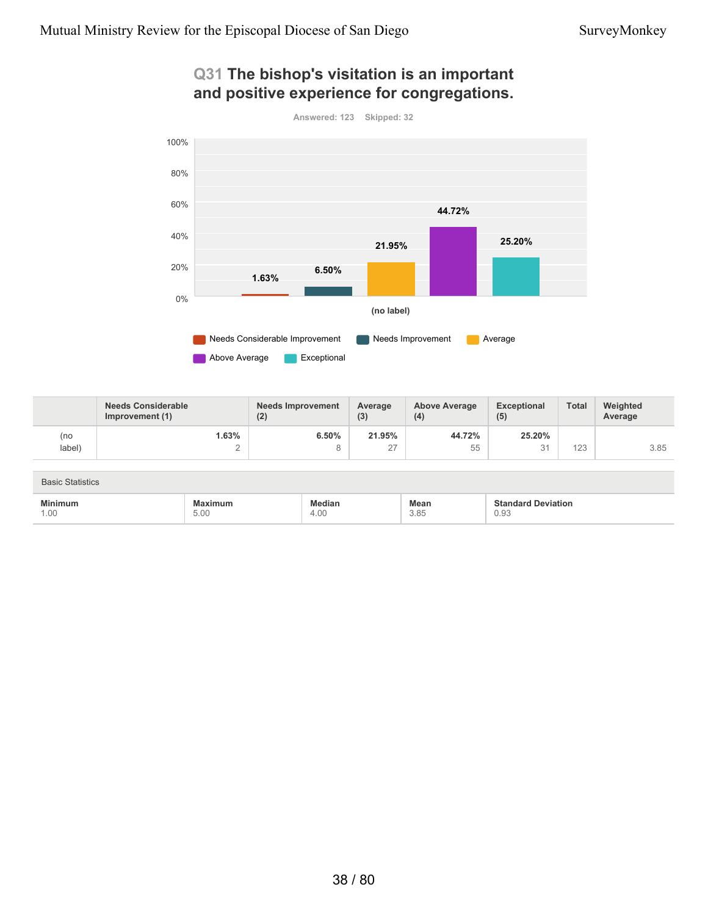

### **Q31 The bishop's visitation is an important and positive experience for congregations.**

|                         | <b>Needs Considerable</b><br>Improvement (1) | <b>Needs Improvement</b><br>(2) | Average<br>(3) | <b>Above Average</b><br>(4) | <b>Exceptional</b><br>(5) | <b>Total</b> | Weighted<br>Average |
|-------------------------|----------------------------------------------|---------------------------------|----------------|-----------------------------|---------------------------|--------------|---------------------|
| (no                     | 1.63%                                        | 6.50%                           | 21.95%         | 44.72%                      | 25.20%                    |              |                     |
| label)                  | $\Omega$<br>∠                                | 8                               | 27             | 55                          | 31                        | 123          | 3.85                |
|                         |                                              |                                 |                |                             |                           |              |                     |
| <b>Basic Statistics</b> |                                              |                                 |                |                             |                           |              |                     |
| <b>Minimum</b>          | <b>Maximum</b>                               | <b>Median</b>                   |                | Mean                        | <b>Standard Deviation</b> |              |                     |
| 1.00                    | 5.00                                         | 4.00                            |                | 3.85                        | 0.93                      |              |                     |

Above Average **Exceptional**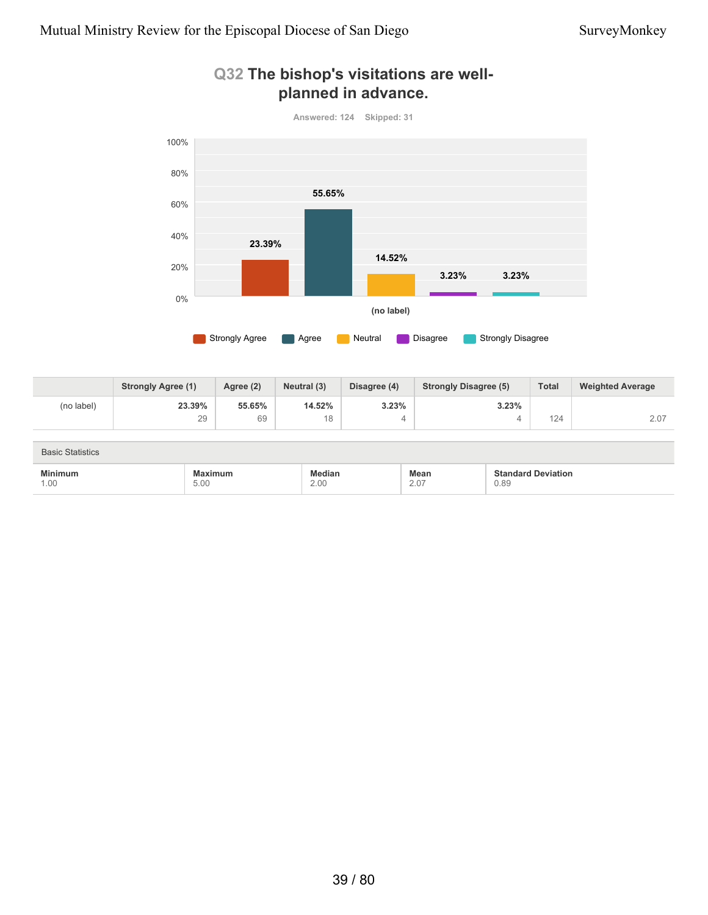

### **Q32 The bishop's visitations are wellplanned in advance.**

|            | <b>Strongly Agree (1)</b> | Agree (2) | Neutral (3) | Disagree (4) | <b>Strongly Disagree (5)</b> | <b>Total</b> | <b>Weighted Average</b> |
|------------|---------------------------|-----------|-------------|--------------|------------------------------|--------------|-------------------------|
| (no label) | 23.39%                    | 55.65%    | 14.52%      | 3.23%        | 3.23%                        |              |                         |
|            | 29                        | 69        | 18<br>◡     |              |                              | 124          | 2.07                    |

| <b>Basic Statistics</b> |                 |                |                     |                                   |  |  |  |
|-------------------------|-----------------|----------------|---------------------|-----------------------------------|--|--|--|
| <b>Minimum</b><br>1.00  | Maximum<br>5.00 | Median<br>2.00 | <b>Mean</b><br>2.07 | <b>Standard Deviation</b><br>0.89 |  |  |  |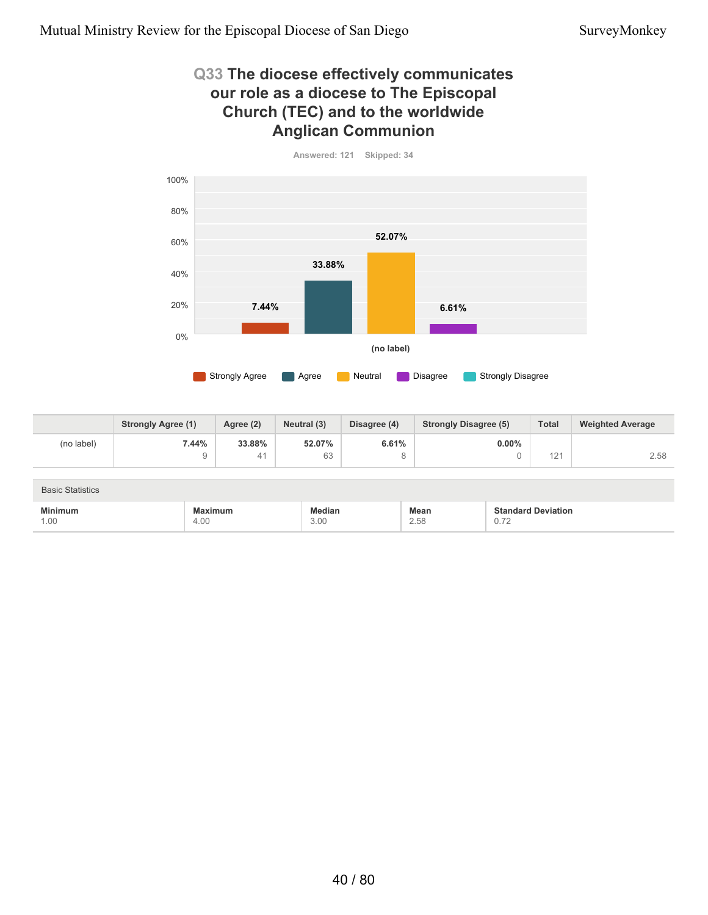4.00

1.00

### **Q33 The diocese effectively communicates our role as a diocese to The Episcopal Church (TEC) and to the worldwide Anglican Communion**



|                         | <b>Strongly Agree (1)</b> | Agree (2) | Neutral (3)   | Disagree (4) | <b>Strongly Disagree (5)</b> | <b>Total</b>              | <b>Weighted Average</b> |
|-------------------------|---------------------------|-----------|---------------|--------------|------------------------------|---------------------------|-------------------------|
| (no label)              | 7.44%                     | 33.88%    | 52.07%        | 6.61%        | $0.00\%$                     |                           |                         |
|                         | 9                         | 41        | 63            | 8            |                              | 121                       | 2.58                    |
|                         |                           |           |               |              |                              |                           |                         |
| <b>Basic Statistics</b> |                           |           |               |              |                              |                           |                         |
| <b>Minimum</b>          | <b>Maximum</b>            |           | <b>Median</b> |              | <b>Mean</b>                  | <b>Standard Deviation</b> |                         |

2.58

0.72

3.00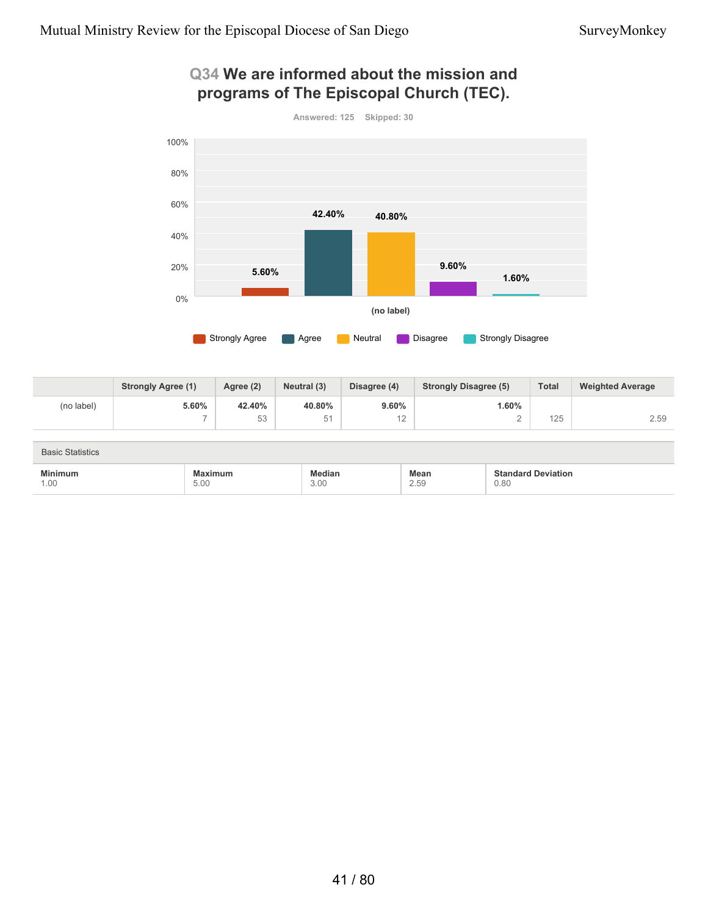### **Q34 We are informed about the mission and programs of The Episcopal Church (TEC).**



|            | <b>Strongly Agree (1)</b> | Agree (2) | Neutral (3) | Disagree (4) | <b>Strongly Disagree (5)</b> | <b>Total</b> | <b>Weighted Average</b> |
|------------|---------------------------|-----------|-------------|--------------|------------------------------|--------------|-------------------------|
| (no label) | 5.60%                     | 42.40%    | 40.80%      | 9.60%        | .60%                         |              |                         |
|            | $\overline{\phantom{a}}$  | 広っ<br>◡◡  | 51          | $\sim$<br>.  |                              | 125          | 2.59                    |

| <b>Basic Statistics</b> |         |               |             |                           |  |  |
|-------------------------|---------|---------------|-------------|---------------------------|--|--|
| Minimum                 | Maximum | <b>Aedian</b> | <b>Mean</b> | <b>Standard Deviation</b> |  |  |
| 1.00                    | 5.00    | 3.00          | 2.59        | 0.80                      |  |  |

## 41 / 80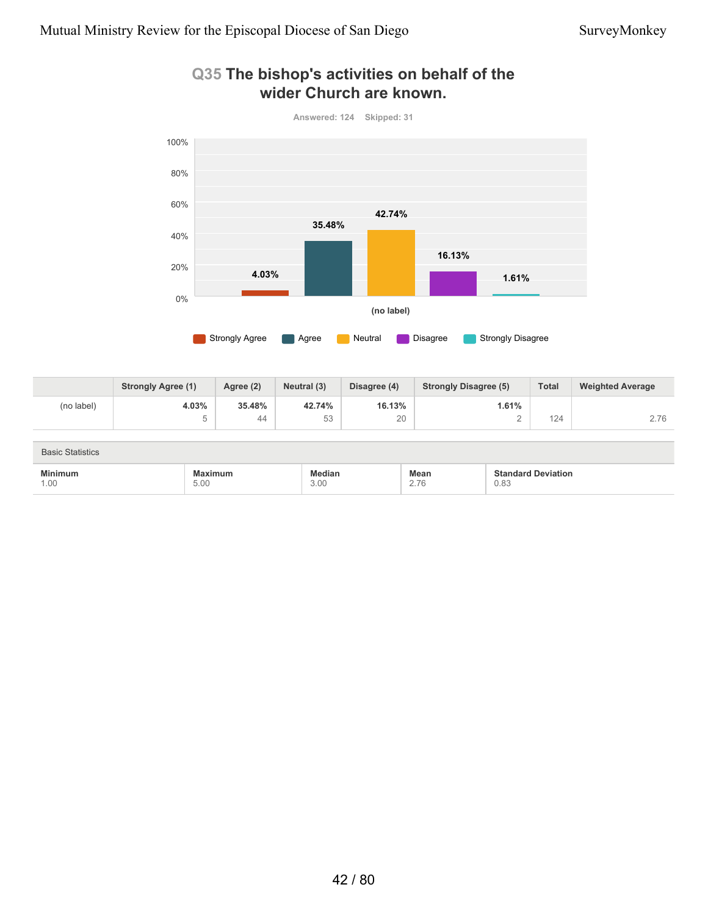

### **Q35 The bishop's activities on behalf of the wider Church are known.**

|            | <b>Strongly Agree (1)</b> | Agree (2) | Neutral (3) | Disagree (4) | <b>Strongly Disagree (5)</b> | <b>Total</b> | <b>Weighted Average</b> |
|------------|---------------------------|-----------|-------------|--------------|------------------------------|--------------|-------------------------|
| (no label) | 4.03%                     | 35.48%    | 42.74%      | 16.13%       | 1.61%                        |              |                         |
|            | $\overline{\phantom{a}}$  | 44        | 53          | 20           |                              | 124          | 2.76                    |

| <b>Basic Statistics</b> |                                                                                                    |                       |              |                                   |  |  |
|-------------------------|----------------------------------------------------------------------------------------------------|-----------------------|--------------|-----------------------------------|--|--|
| <b>Minimum</b><br>1.00  | Maximum<br>the contract of the contract of the contract of the contract of the contract of<br>5.00 | <b>Median</b><br>3.00 | Mean<br>2.76 | <b>Standard Deviation</b><br>0.83 |  |  |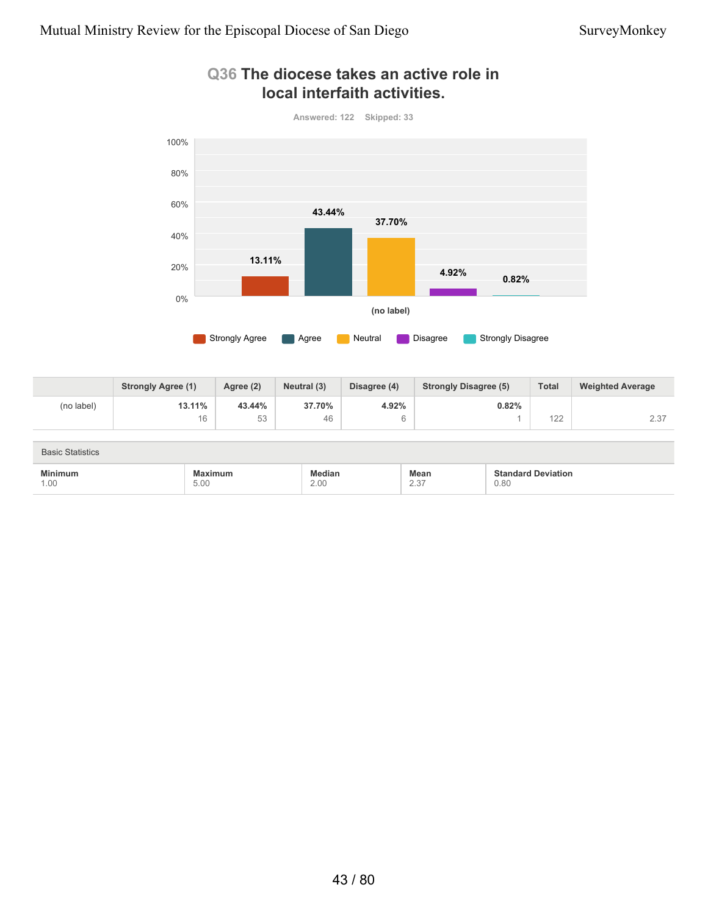

### **Q36 The diocese takes an active role in local interfaith activities.**

|            | <b>Strongly Agree (1)</b> | Agree (2) | Neutral (3) | Disagree (4) | <b>Strongly Disagree (5)</b> | <b>Total</b> | <b>Weighted Average</b> |
|------------|---------------------------|-----------|-------------|--------------|------------------------------|--------------|-------------------------|
| (no label) | 13.11%                    | 43.44%    | 37.70%      | 4.92%        | 0.82%                        |              |                         |
|            | 16                        | にっ<br>◡◡  | 46          |              |                              | 122          | 0.07<br>2.3.            |

| <b>Basic Statistics</b> |                                                                                                        |                |                                 |                                        |  |  |
|-------------------------|--------------------------------------------------------------------------------------------------------|----------------|---------------------------------|----------------------------------------|--|--|
| Minimum<br>1.00         | :imum<br>""<br>the contract of the contract of the contract of the contract of the contract of<br>5.00 | Median<br>2.00 | Mean<br>0.27<br>$\sim$ . $\sim$ | <b>Deviation</b><br>Standard T<br>0.80 |  |  |

# 43 / 80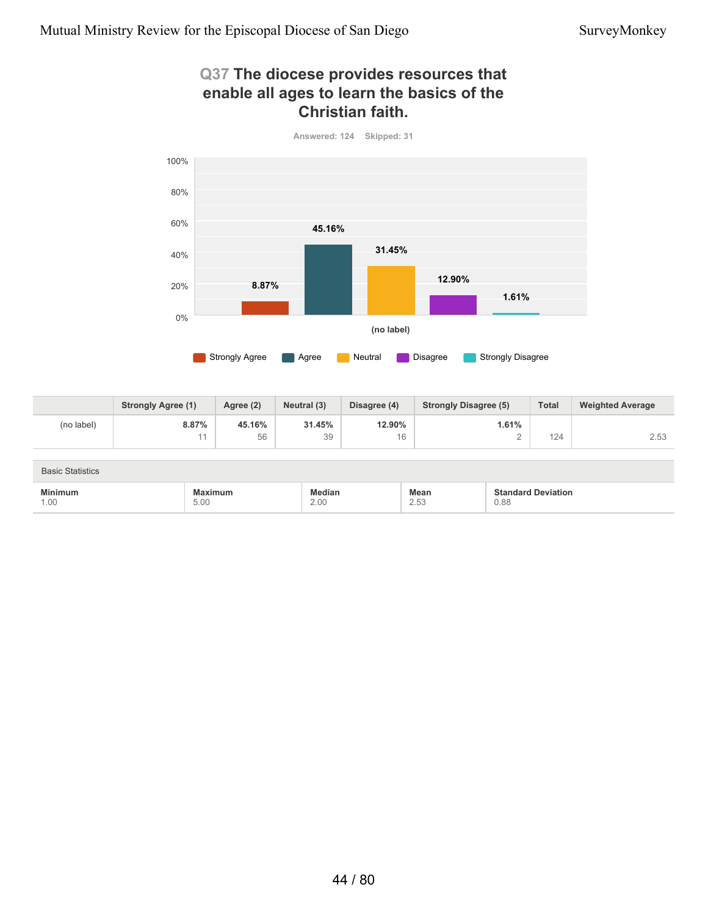### **Q37 The diocese provides resources that enable all ages to learn the basics of the Christian faith.**



**Answered: 124 Skipped: 31**

|            | <b>Strongly Agree (1)</b> | Agree (2) | Neutral (3) | Disagree (4) | <b>Strongly Disagree (5)</b> | <b>Total</b> | <b>Weighted Average</b> |
|------------|---------------------------|-----------|-------------|--------------|------------------------------|--------------|-------------------------|
| (no label) | 8.87%                     | 45.16%    | 31.45%      | 12.90%       | 1.61%                        |              |                         |
|            |                           | 56        | 39          | 16           |                              | 124          | 2.53                    |

| <b>Basic Statistics</b> |                        |                |                     |                                   |
|-------------------------|------------------------|----------------|---------------------|-----------------------------------|
| <b>Minimum</b><br>1.00  | <b>Maximum</b><br>5.00 | Median<br>2.00 | <b>Mean</b><br>2.53 | <b>Standard Deviation</b><br>0.88 |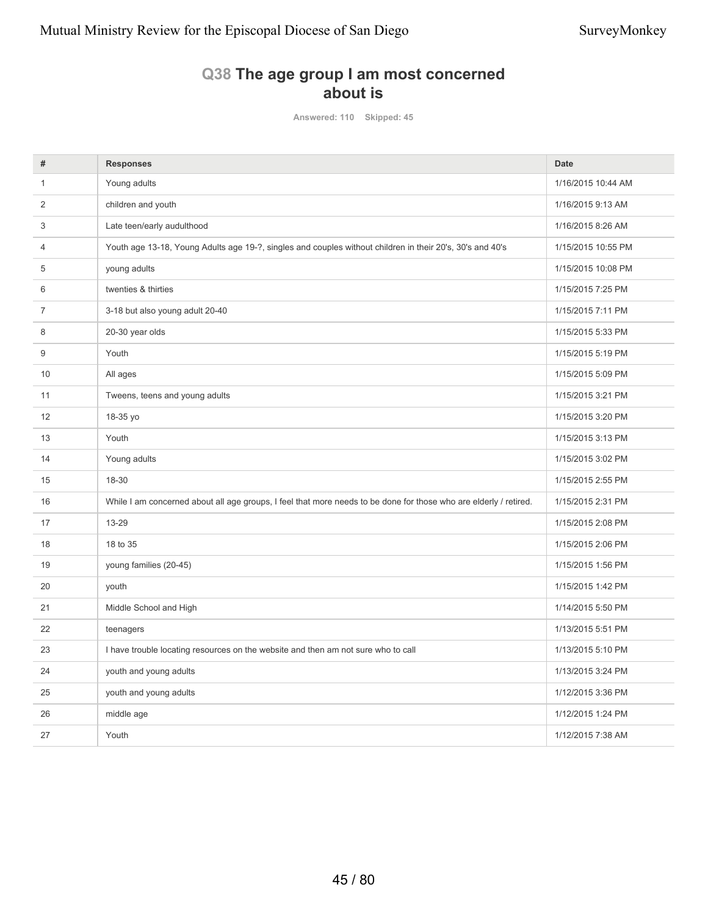## **Q38 The age group I am most concerned about is**

**Answered: 110 Skipped: 45**

| #  | <b>Responses</b>                                                                                                  | <b>Date</b>        |
|----|-------------------------------------------------------------------------------------------------------------------|--------------------|
| 1  | Young adults                                                                                                      | 1/16/2015 10:44 AM |
| 2  | children and youth                                                                                                | 1/16/2015 9:13 AM  |
| 3  | Late teen/early audulthood                                                                                        | 1/16/2015 8:26 AM  |
| 4  | Youth age 13-18, Young Adults age 19-?, singles and couples without children in their 20's, 30's and 40's         | 1/15/2015 10:55 PM |
| 5  | young adults                                                                                                      | 1/15/2015 10:08 PM |
| 6  | twenties & thirties                                                                                               | 1/15/2015 7:25 PM  |
| 7  | 3-18 but also young adult 20-40                                                                                   | 1/15/2015 7:11 PM  |
| 8  | 20-30 year olds                                                                                                   | 1/15/2015 5:33 PM  |
| 9  | Youth                                                                                                             | 1/15/2015 5:19 PM  |
| 10 | All ages                                                                                                          | 1/15/2015 5:09 PM  |
| 11 | Tweens, teens and young adults                                                                                    | 1/15/2015 3:21 PM  |
| 12 | 18-35 yo                                                                                                          | 1/15/2015 3:20 PM  |
| 13 | Youth                                                                                                             | 1/15/2015 3:13 PM  |
| 14 | Young adults                                                                                                      | 1/15/2015 3:02 PM  |
| 15 | 18-30                                                                                                             | 1/15/2015 2:55 PM  |
| 16 | While I am concerned about all age groups, I feel that more needs to be done for those who are elderly / retired. | 1/15/2015 2:31 PM  |
| 17 | 13-29                                                                                                             | 1/15/2015 2:08 PM  |
| 18 | 18 to 35                                                                                                          | 1/15/2015 2:06 PM  |
| 19 | young families (20-45)                                                                                            | 1/15/2015 1:56 PM  |
| 20 | youth                                                                                                             | 1/15/2015 1:42 PM  |
| 21 | Middle School and High                                                                                            | 1/14/2015 5:50 PM  |
| 22 | teenagers                                                                                                         | 1/13/2015 5:51 PM  |
| 23 | I have trouble locating resources on the website and then am not sure who to call                                 | 1/13/2015 5:10 PM  |
| 24 | youth and young adults                                                                                            | 1/13/2015 3:24 PM  |
| 25 | youth and young adults                                                                                            | 1/12/2015 3:36 PM  |
| 26 | middle age                                                                                                        | 1/12/2015 1:24 PM  |
| 27 | Youth                                                                                                             | 1/12/2015 7:38 AM  |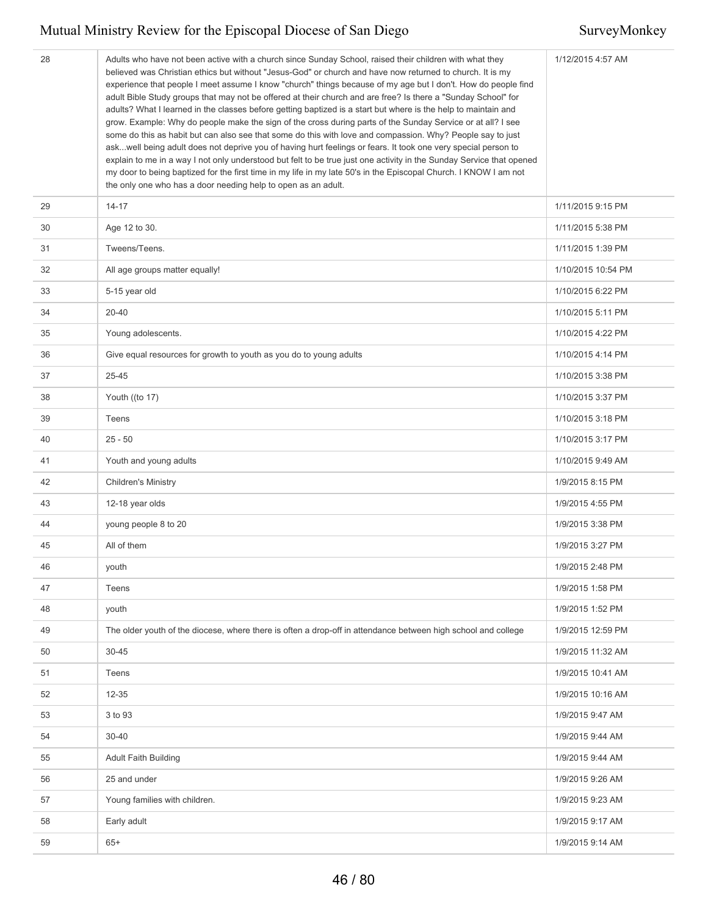| 28 | Adults who have not been active with a church since Sunday School, raised their children with what they<br>believed was Christian ethics but without "Jesus-God" or church and have now returned to church. It is my<br>experience that people I meet assume I know "church" things because of my age but I don't. How do people find<br>adult Bible Study groups that may not be offered at their church and are free? Is there a "Sunday School" for<br>adults? What I learned in the classes before getting baptized is a start but where is the help to maintain and<br>grow. Example: Why do people make the sign of the cross during parts of the Sunday Service or at all? I see<br>some do this as habit but can also see that some do this with love and compassion. Why? People say to just<br>askwell being adult does not deprive you of having hurt feelings or fears. It took one very special person to<br>explain to me in a way I not only understood but felt to be true just one activity in the Sunday Service that opened<br>my door to being baptized for the first time in my life in my late 50's in the Episcopal Church. I KNOW I am not<br>the only one who has a door needing help to open as an adult. | 1/12/2015 4:57 AM  |
|----|-------------------------------------------------------------------------------------------------------------------------------------------------------------------------------------------------------------------------------------------------------------------------------------------------------------------------------------------------------------------------------------------------------------------------------------------------------------------------------------------------------------------------------------------------------------------------------------------------------------------------------------------------------------------------------------------------------------------------------------------------------------------------------------------------------------------------------------------------------------------------------------------------------------------------------------------------------------------------------------------------------------------------------------------------------------------------------------------------------------------------------------------------------------------------------------------------------------------------------------|--------------------|
| 29 | $14 - 17$                                                                                                                                                                                                                                                                                                                                                                                                                                                                                                                                                                                                                                                                                                                                                                                                                                                                                                                                                                                                                                                                                                                                                                                                                           | 1/11/2015 9:15 PM  |
| 30 | Age 12 to 30.                                                                                                                                                                                                                                                                                                                                                                                                                                                                                                                                                                                                                                                                                                                                                                                                                                                                                                                                                                                                                                                                                                                                                                                                                       | 1/11/2015 5:38 PM  |
| 31 | Tweens/Teens.                                                                                                                                                                                                                                                                                                                                                                                                                                                                                                                                                                                                                                                                                                                                                                                                                                                                                                                                                                                                                                                                                                                                                                                                                       | 1/11/2015 1:39 PM  |
| 32 | All age groups matter equally!                                                                                                                                                                                                                                                                                                                                                                                                                                                                                                                                                                                                                                                                                                                                                                                                                                                                                                                                                                                                                                                                                                                                                                                                      | 1/10/2015 10:54 PM |
| 33 | 5-15 year old                                                                                                                                                                                                                                                                                                                                                                                                                                                                                                                                                                                                                                                                                                                                                                                                                                                                                                                                                                                                                                                                                                                                                                                                                       | 1/10/2015 6:22 PM  |
| 34 | 20-40                                                                                                                                                                                                                                                                                                                                                                                                                                                                                                                                                                                                                                                                                                                                                                                                                                                                                                                                                                                                                                                                                                                                                                                                                               | 1/10/2015 5:11 PM  |
| 35 | Young adolescents.                                                                                                                                                                                                                                                                                                                                                                                                                                                                                                                                                                                                                                                                                                                                                                                                                                                                                                                                                                                                                                                                                                                                                                                                                  | 1/10/2015 4:22 PM  |
| 36 | Give equal resources for growth to youth as you do to young adults                                                                                                                                                                                                                                                                                                                                                                                                                                                                                                                                                                                                                                                                                                                                                                                                                                                                                                                                                                                                                                                                                                                                                                  | 1/10/2015 4:14 PM  |
| 37 | 25-45                                                                                                                                                                                                                                                                                                                                                                                                                                                                                                                                                                                                                                                                                                                                                                                                                                                                                                                                                                                                                                                                                                                                                                                                                               | 1/10/2015 3:38 PM  |
| 38 | Youth ((to 17)                                                                                                                                                                                                                                                                                                                                                                                                                                                                                                                                                                                                                                                                                                                                                                                                                                                                                                                                                                                                                                                                                                                                                                                                                      | 1/10/2015 3:37 PM  |
| 39 | Teens                                                                                                                                                                                                                                                                                                                                                                                                                                                                                                                                                                                                                                                                                                                                                                                                                                                                                                                                                                                                                                                                                                                                                                                                                               | 1/10/2015 3:18 PM  |
| 40 | $25 - 50$                                                                                                                                                                                                                                                                                                                                                                                                                                                                                                                                                                                                                                                                                                                                                                                                                                                                                                                                                                                                                                                                                                                                                                                                                           | 1/10/2015 3:17 PM  |
| 41 | Youth and young adults                                                                                                                                                                                                                                                                                                                                                                                                                                                                                                                                                                                                                                                                                                                                                                                                                                                                                                                                                                                                                                                                                                                                                                                                              | 1/10/2015 9:49 AM  |
| 42 | <b>Children's Ministry</b>                                                                                                                                                                                                                                                                                                                                                                                                                                                                                                                                                                                                                                                                                                                                                                                                                                                                                                                                                                                                                                                                                                                                                                                                          | 1/9/2015 8:15 PM   |
| 43 | 12-18 year olds                                                                                                                                                                                                                                                                                                                                                                                                                                                                                                                                                                                                                                                                                                                                                                                                                                                                                                                                                                                                                                                                                                                                                                                                                     | 1/9/2015 4:55 PM   |
| 44 | young people 8 to 20                                                                                                                                                                                                                                                                                                                                                                                                                                                                                                                                                                                                                                                                                                                                                                                                                                                                                                                                                                                                                                                                                                                                                                                                                | 1/9/2015 3:38 PM   |
| 45 | All of them                                                                                                                                                                                                                                                                                                                                                                                                                                                                                                                                                                                                                                                                                                                                                                                                                                                                                                                                                                                                                                                                                                                                                                                                                         | 1/9/2015 3:27 PM   |
| 46 | youth                                                                                                                                                                                                                                                                                                                                                                                                                                                                                                                                                                                                                                                                                                                                                                                                                                                                                                                                                                                                                                                                                                                                                                                                                               | 1/9/2015 2:48 PM   |
| 47 | Teens                                                                                                                                                                                                                                                                                                                                                                                                                                                                                                                                                                                                                                                                                                                                                                                                                                                                                                                                                                                                                                                                                                                                                                                                                               | 1/9/2015 1:58 PM   |
| 48 | youth                                                                                                                                                                                                                                                                                                                                                                                                                                                                                                                                                                                                                                                                                                                                                                                                                                                                                                                                                                                                                                                                                                                                                                                                                               | 1/9/2015 1:52 PM   |
| 49 | The older youth of the diocese, where there is often a drop-off in attendance between high school and college                                                                                                                                                                                                                                                                                                                                                                                                                                                                                                                                                                                                                                                                                                                                                                                                                                                                                                                                                                                                                                                                                                                       | 1/9/2015 12:59 PM  |
| 50 | $30 - 45$                                                                                                                                                                                                                                                                                                                                                                                                                                                                                                                                                                                                                                                                                                                                                                                                                                                                                                                                                                                                                                                                                                                                                                                                                           | 1/9/2015 11:32 AM  |
| 51 | Teens                                                                                                                                                                                                                                                                                                                                                                                                                                                                                                                                                                                                                                                                                                                                                                                                                                                                                                                                                                                                                                                                                                                                                                                                                               | 1/9/2015 10:41 AM  |
| 52 | $12 - 35$                                                                                                                                                                                                                                                                                                                                                                                                                                                                                                                                                                                                                                                                                                                                                                                                                                                                                                                                                                                                                                                                                                                                                                                                                           | 1/9/2015 10:16 AM  |
| 53 | 3 to 93                                                                                                                                                                                                                                                                                                                                                                                                                                                                                                                                                                                                                                                                                                                                                                                                                                                                                                                                                                                                                                                                                                                                                                                                                             | 1/9/2015 9:47 AM   |
| 54 | 30-40                                                                                                                                                                                                                                                                                                                                                                                                                                                                                                                                                                                                                                                                                                                                                                                                                                                                                                                                                                                                                                                                                                                                                                                                                               | 1/9/2015 9:44 AM   |
| 55 | <b>Adult Faith Building</b>                                                                                                                                                                                                                                                                                                                                                                                                                                                                                                                                                                                                                                                                                                                                                                                                                                                                                                                                                                                                                                                                                                                                                                                                         | 1/9/2015 9:44 AM   |
| 56 | 25 and under                                                                                                                                                                                                                                                                                                                                                                                                                                                                                                                                                                                                                                                                                                                                                                                                                                                                                                                                                                                                                                                                                                                                                                                                                        | 1/9/2015 9:26 AM   |
| 57 | Young families with children.                                                                                                                                                                                                                                                                                                                                                                                                                                                                                                                                                                                                                                                                                                                                                                                                                                                                                                                                                                                                                                                                                                                                                                                                       | 1/9/2015 9:23 AM   |
| 58 | Early adult                                                                                                                                                                                                                                                                                                                                                                                                                                                                                                                                                                                                                                                                                                                                                                                                                                                                                                                                                                                                                                                                                                                                                                                                                         | 1/9/2015 9:17 AM   |
| 59 | $65+$                                                                                                                                                                                                                                                                                                                                                                                                                                                                                                                                                                                                                                                                                                                                                                                                                                                                                                                                                                                                                                                                                                                                                                                                                               | 1/9/2015 9:14 AM   |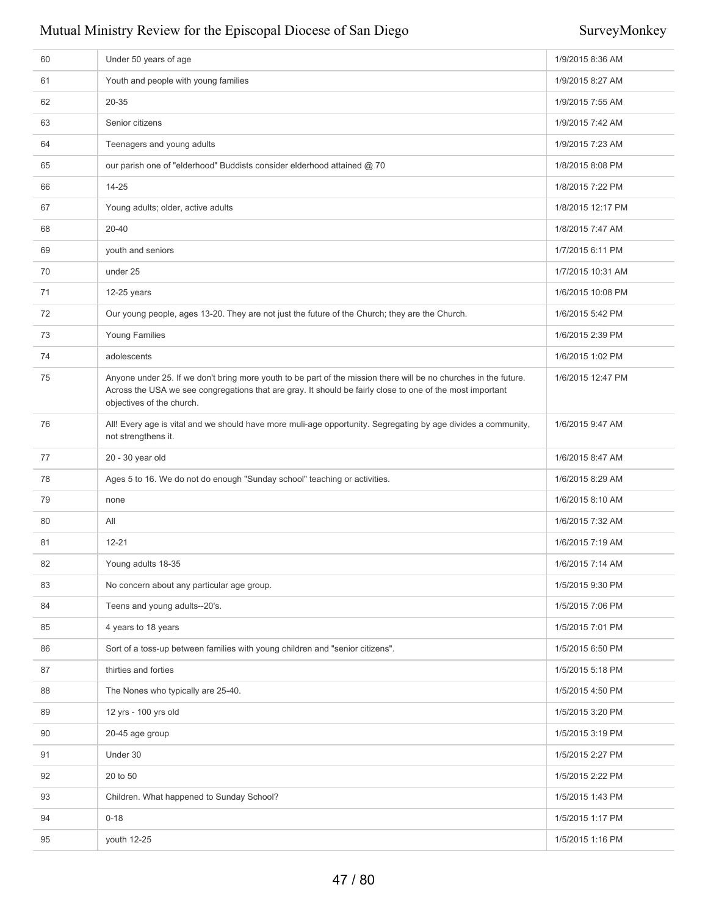| 60 | Under 50 years of age                                                                                                                                                                                                                                      | 1/9/2015 8:36 AM  |
|----|------------------------------------------------------------------------------------------------------------------------------------------------------------------------------------------------------------------------------------------------------------|-------------------|
| 61 | Youth and people with young families                                                                                                                                                                                                                       | 1/9/2015 8:27 AM  |
| 62 | 20-35                                                                                                                                                                                                                                                      | 1/9/2015 7:55 AM  |
| 63 | Senior citizens                                                                                                                                                                                                                                            | 1/9/2015 7:42 AM  |
| 64 | Teenagers and young adults                                                                                                                                                                                                                                 | 1/9/2015 7:23 AM  |
| 65 | our parish one of "elderhood" Buddists consider elderhood attained @ 70                                                                                                                                                                                    | 1/8/2015 8:08 PM  |
| 66 | 14-25                                                                                                                                                                                                                                                      | 1/8/2015 7:22 PM  |
| 67 | Young adults; older, active adults                                                                                                                                                                                                                         | 1/8/2015 12:17 PM |
| 68 | 20-40                                                                                                                                                                                                                                                      | 1/8/2015 7:47 AM  |
| 69 | youth and seniors                                                                                                                                                                                                                                          | 1/7/2015 6:11 PM  |
| 70 | under 25                                                                                                                                                                                                                                                   | 1/7/2015 10:31 AM |
| 71 | 12-25 years                                                                                                                                                                                                                                                | 1/6/2015 10:08 PM |
| 72 | Our young people, ages 13-20. They are not just the future of the Church; they are the Church.                                                                                                                                                             | 1/6/2015 5:42 PM  |
| 73 | Young Families                                                                                                                                                                                                                                             | 1/6/2015 2:39 PM  |
| 74 | adolescents                                                                                                                                                                                                                                                | 1/6/2015 1:02 PM  |
| 75 | Anyone under 25. If we don't bring more youth to be part of the mission there will be no churches in the future.<br>Across the USA we see congregations that are gray. It should be fairly close to one of the most important<br>objectives of the church. | 1/6/2015 12:47 PM |
| 76 | All! Every age is vital and we should have more muli-age opportunity. Segregating by age divides a community,<br>not strengthens it.                                                                                                                       | 1/6/2015 9:47 AM  |
| 77 | 20 - 30 year old                                                                                                                                                                                                                                           | 1/6/2015 8:47 AM  |
| 78 | Ages 5 to 16. We do not do enough "Sunday school" teaching or activities.                                                                                                                                                                                  | 1/6/2015 8:29 AM  |
| 79 | none                                                                                                                                                                                                                                                       | 1/6/2015 8:10 AM  |
| 80 | All                                                                                                                                                                                                                                                        | 1/6/2015 7:32 AM  |
| 81 | $12 - 21$                                                                                                                                                                                                                                                  | 1/6/2015 7:19 AM  |
| 82 | Young adults 18-35                                                                                                                                                                                                                                         | 1/6/2015 7:14 AM  |
| 83 | No concern about any particular age group.                                                                                                                                                                                                                 | 1/5/2015 9:30 PM  |
| 84 | Teens and young adults--20's.                                                                                                                                                                                                                              | 1/5/2015 7:06 PM  |
| 85 | 4 years to 18 years                                                                                                                                                                                                                                        | 1/5/2015 7:01 PM  |
| 86 | Sort of a toss-up between families with young children and "senior citizens".                                                                                                                                                                              | 1/5/2015 6:50 PM  |
| 87 | thirties and forties                                                                                                                                                                                                                                       | 1/5/2015 5:18 PM  |
| 88 | The Nones who typically are 25-40.                                                                                                                                                                                                                         | 1/5/2015 4:50 PM  |
| 89 | 12 yrs - 100 yrs old                                                                                                                                                                                                                                       | 1/5/2015 3:20 PM  |
| 90 | 20-45 age group                                                                                                                                                                                                                                            | 1/5/2015 3:19 PM  |
| 91 | Under 30                                                                                                                                                                                                                                                   | 1/5/2015 2:27 PM  |
| 92 | 20 to 50                                                                                                                                                                                                                                                   | 1/5/2015 2:22 PM  |
| 93 | Children. What happened to Sunday School?                                                                                                                                                                                                                  | 1/5/2015 1:43 PM  |
| 94 | $0 - 18$                                                                                                                                                                                                                                                   | 1/5/2015 1:17 PM  |
| 95 | youth 12-25                                                                                                                                                                                                                                                | 1/5/2015 1:16 PM  |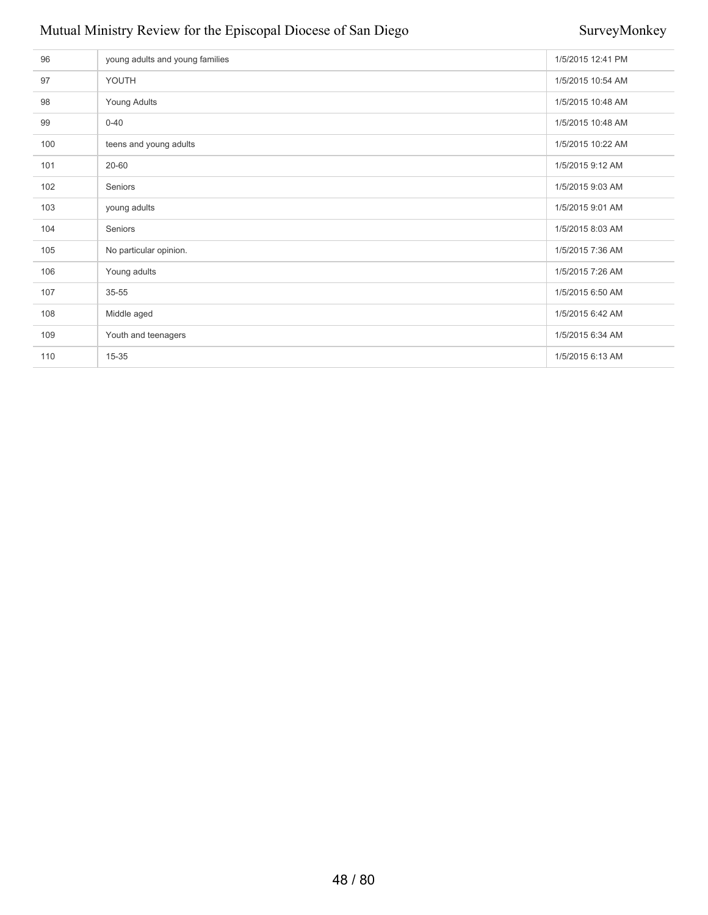| 96  | young adults and young families | 1/5/2015 12:41 PM |
|-----|---------------------------------|-------------------|
| 97  | YOUTH                           | 1/5/2015 10:54 AM |
| 98  | Young Adults                    | 1/5/2015 10:48 AM |
| 99  | $0 - 40$                        | 1/5/2015 10:48 AM |
| 100 | teens and young adults          | 1/5/2015 10:22 AM |
| 101 | 20-60                           | 1/5/2015 9:12 AM  |
| 102 | Seniors                         | 1/5/2015 9:03 AM  |
| 103 | young adults                    | 1/5/2015 9:01 AM  |
| 104 | Seniors                         | 1/5/2015 8:03 AM  |
| 105 | No particular opinion.          | 1/5/2015 7:36 AM  |
| 106 | Young adults                    | 1/5/2015 7:26 AM  |
| 107 | 35-55                           | 1/5/2015 6:50 AM  |
| 108 | Middle aged                     | 1/5/2015 6:42 AM  |
| 109 | Youth and teenagers             | 1/5/2015 6:34 AM  |
| 110 | 15-35                           | 1/5/2015 6:13 AM  |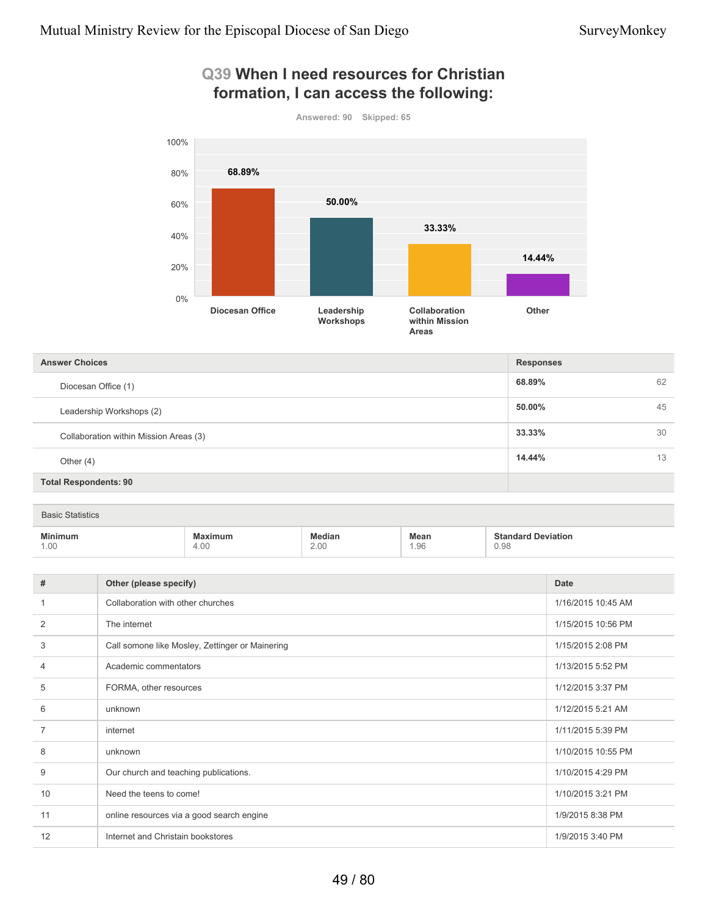### **Q39 When I need resources for Christian formation, I can access the following:**



### **68.89%** 62 **50.00%** 45 **33.33%** 30 **14.44%** 13 **Total Respondents: 90 Answer Choices Responses** Diocesan Office (1) Leadership Workshops (2) Collaboration within Mission Areas (3) Other (4)

| <b>Basic Statistics</b>                                                   |                                                                                                    |                |              |                                   |
|---------------------------------------------------------------------------|----------------------------------------------------------------------------------------------------|----------------|--------------|-----------------------------------|
| <b>Minimum</b><br>the contract of the contract of the contract of<br>1.00 | Maximum<br>the contract of the contract of the contract of the contract of the contract of<br>4.00 | Median<br>2.00 | Mean<br>1.96 | <b>Standard Deviation</b><br>0.98 |

| #              | Other (please specify)                          | Date               |
|----------------|-------------------------------------------------|--------------------|
| 1              | Collaboration with other churches               | 1/16/2015 10:45 AM |
| 2              | The internet                                    | 1/15/2015 10:56 PM |
| 3              | Call somone like Mosley, Zettinger or Mainering | 1/15/2015 2:08 PM  |
| 4              | Academic commentators                           | 1/13/2015 5:52 PM  |
| 5              | FORMA, other resources                          | 1/12/2015 3:37 PM  |
| 6              | unknown                                         | 1/12/2015 5:21 AM  |
| $\overline{7}$ | internet                                        | 1/11/2015 5:39 PM  |
| 8              | unknown                                         | 1/10/2015 10:55 PM |
| 9              | Our church and teaching publications.           | 1/10/2015 4:29 PM  |
| 10             | Need the teens to come!                         | 1/10/2015 3:21 PM  |
| 11             | online resources via a good search engine       | 1/9/2015 8:38 PM   |
| 12             | Internet and Christain bookstores               | 1/9/2015 3:40 PM   |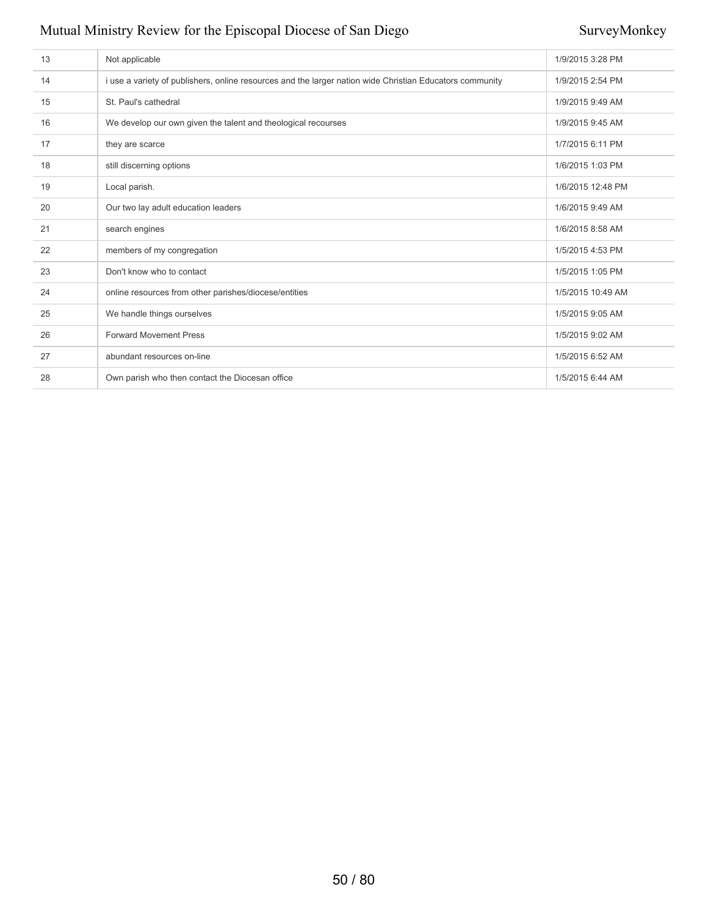| 13 | Not applicable                                                                                           | 1/9/2015 3:28 PM  |
|----|----------------------------------------------------------------------------------------------------------|-------------------|
| 14 | i use a variety of publishers, online resources and the larger nation wide Christian Educators community | 1/9/2015 2:54 PM  |
| 15 | St. Paul's cathedral                                                                                     | 1/9/2015 9:49 AM  |
| 16 | We develop our own given the talent and theological recourses                                            | 1/9/2015 9:45 AM  |
| 17 | they are scarce                                                                                          | 1/7/2015 6:11 PM  |
| 18 | still discerning options                                                                                 | 1/6/2015 1:03 PM  |
| 19 | Local parish.                                                                                            | 1/6/2015 12:48 PM |
| 20 | Our two lay adult education leaders                                                                      | 1/6/2015 9:49 AM  |
| 21 | search engines                                                                                           | 1/6/2015 8:58 AM  |
| 22 | members of my congregation                                                                               | 1/5/2015 4:53 PM  |
| 23 | Don't know who to contact                                                                                | 1/5/2015 1:05 PM  |
| 24 | online resources from other parishes/diocese/entities                                                    | 1/5/2015 10:49 AM |
| 25 | We handle things ourselves                                                                               | 1/5/2015 9:05 AM  |
| 26 | <b>Forward Movement Press</b>                                                                            | 1/5/2015 9:02 AM  |
| 27 | abundant resources on-line                                                                               | 1/5/2015 6:52 AM  |
| 28 | Own parish who then contact the Diocesan office                                                          | 1/5/2015 6:44 AM  |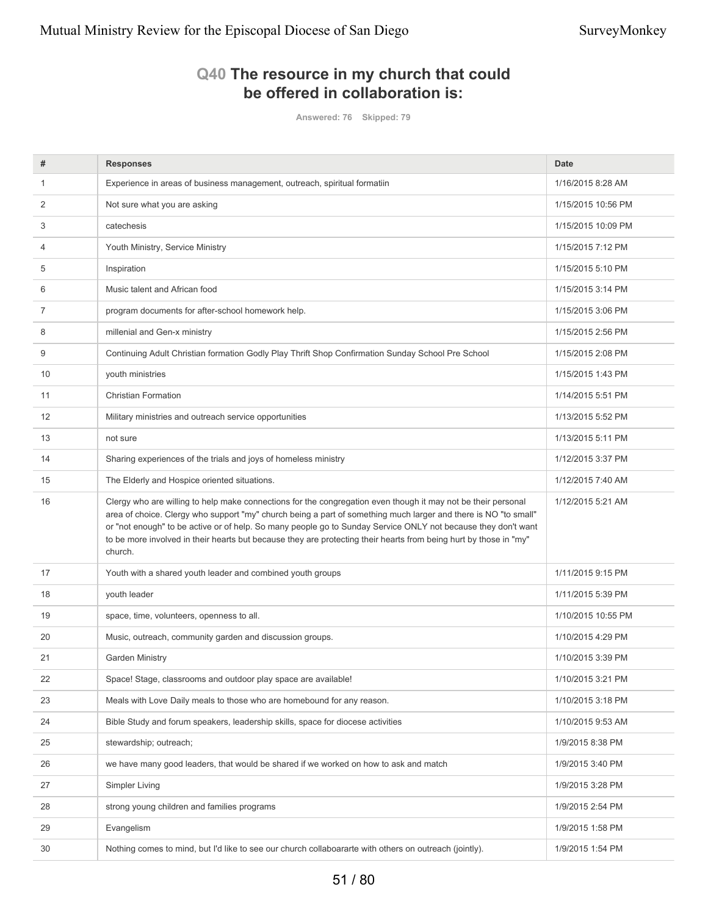## **Q40 The resource in my church that could be offered in collaboration is:**

**Answered: 76 Skipped: 79**

| #  | <b>Responses</b>                                                                                                                                                                                                                                                                                                                                                                                                                                                                  | <b>Date</b>        |
|----|-----------------------------------------------------------------------------------------------------------------------------------------------------------------------------------------------------------------------------------------------------------------------------------------------------------------------------------------------------------------------------------------------------------------------------------------------------------------------------------|--------------------|
| 1  | Experience in areas of business management, outreach, spiritual formatiin                                                                                                                                                                                                                                                                                                                                                                                                         | 1/16/2015 8:28 AM  |
| 2  | Not sure what you are asking                                                                                                                                                                                                                                                                                                                                                                                                                                                      | 1/15/2015 10:56 PM |
| 3  | catechesis                                                                                                                                                                                                                                                                                                                                                                                                                                                                        | 1/15/2015 10:09 PM |
| 4  | Youth Ministry, Service Ministry                                                                                                                                                                                                                                                                                                                                                                                                                                                  | 1/15/2015 7:12 PM  |
| 5  | Inspiration                                                                                                                                                                                                                                                                                                                                                                                                                                                                       | 1/15/2015 5:10 PM  |
| 6  | Music talent and African food                                                                                                                                                                                                                                                                                                                                                                                                                                                     | 1/15/2015 3:14 PM  |
| 7  | program documents for after-school homework help.                                                                                                                                                                                                                                                                                                                                                                                                                                 | 1/15/2015 3:06 PM  |
| 8  | millenial and Gen-x ministry                                                                                                                                                                                                                                                                                                                                                                                                                                                      | 1/15/2015 2:56 PM  |
| 9  | Continuing Adult Christian formation Godly Play Thrift Shop Confirmation Sunday School Pre School                                                                                                                                                                                                                                                                                                                                                                                 | 1/15/2015 2:08 PM  |
| 10 | youth ministries                                                                                                                                                                                                                                                                                                                                                                                                                                                                  | 1/15/2015 1:43 PM  |
| 11 | <b>Christian Formation</b>                                                                                                                                                                                                                                                                                                                                                                                                                                                        | 1/14/2015 5:51 PM  |
| 12 | Military ministries and outreach service opportunities                                                                                                                                                                                                                                                                                                                                                                                                                            | 1/13/2015 5:52 PM  |
| 13 | not sure                                                                                                                                                                                                                                                                                                                                                                                                                                                                          | 1/13/2015 5:11 PM  |
| 14 | Sharing experiences of the trials and joys of homeless ministry                                                                                                                                                                                                                                                                                                                                                                                                                   | 1/12/2015 3:37 PM  |
| 15 | The Elderly and Hospice oriented situations.                                                                                                                                                                                                                                                                                                                                                                                                                                      | 1/12/2015 7:40 AM  |
| 16 | Clergy who are willing to help make connections for the congregation even though it may not be their personal<br>area of choice. Clergy who support "my" church being a part of something much larger and there is NO "to small"<br>or "not enough" to be active or of help. So many people go to Sunday Service ONLY not because they don't want<br>to be more involved in their hearts but because they are protecting their hearts from being hurt by those in "my"<br>church. | 1/12/2015 5:21 AM  |
| 17 | Youth with a shared youth leader and combined youth groups                                                                                                                                                                                                                                                                                                                                                                                                                        | 1/11/2015 9:15 PM  |
| 18 | youth leader                                                                                                                                                                                                                                                                                                                                                                                                                                                                      | 1/11/2015 5:39 PM  |
| 19 | space, time, volunteers, openness to all.                                                                                                                                                                                                                                                                                                                                                                                                                                         | 1/10/2015 10:55 PM |
| 20 | Music, outreach, community garden and discussion groups.                                                                                                                                                                                                                                                                                                                                                                                                                          | 1/10/2015 4:29 PM  |
| 21 | <b>Garden Ministry</b>                                                                                                                                                                                                                                                                                                                                                                                                                                                            | 1/10/2015 3:39 PM  |
| 22 | Space! Stage, classrooms and outdoor play space are available!                                                                                                                                                                                                                                                                                                                                                                                                                    | 1/10/2015 3:21 PM  |
| 23 | Meals with Love Daily meals to those who are homebound for any reason.                                                                                                                                                                                                                                                                                                                                                                                                            | 1/10/2015 3:18 PM  |
| 24 | Bible Study and forum speakers, leadership skills, space for diocese activities                                                                                                                                                                                                                                                                                                                                                                                                   | 1/10/2015 9:53 AM  |
| 25 | stewardship; outreach;                                                                                                                                                                                                                                                                                                                                                                                                                                                            | 1/9/2015 8:38 PM   |
| 26 | we have many good leaders, that would be shared if we worked on how to ask and match                                                                                                                                                                                                                                                                                                                                                                                              | 1/9/2015 3:40 PM   |
| 27 | Simpler Living                                                                                                                                                                                                                                                                                                                                                                                                                                                                    | 1/9/2015 3:28 PM   |
| 28 | strong young children and families programs                                                                                                                                                                                                                                                                                                                                                                                                                                       | 1/9/2015 2:54 PM   |
| 29 | Evangelism                                                                                                                                                                                                                                                                                                                                                                                                                                                                        | 1/9/2015 1:58 PM   |
| 30 | Nothing comes to mind, but I'd like to see our church collaboararte with others on outreach (jointly).                                                                                                                                                                                                                                                                                                                                                                            | 1/9/2015 1:54 PM   |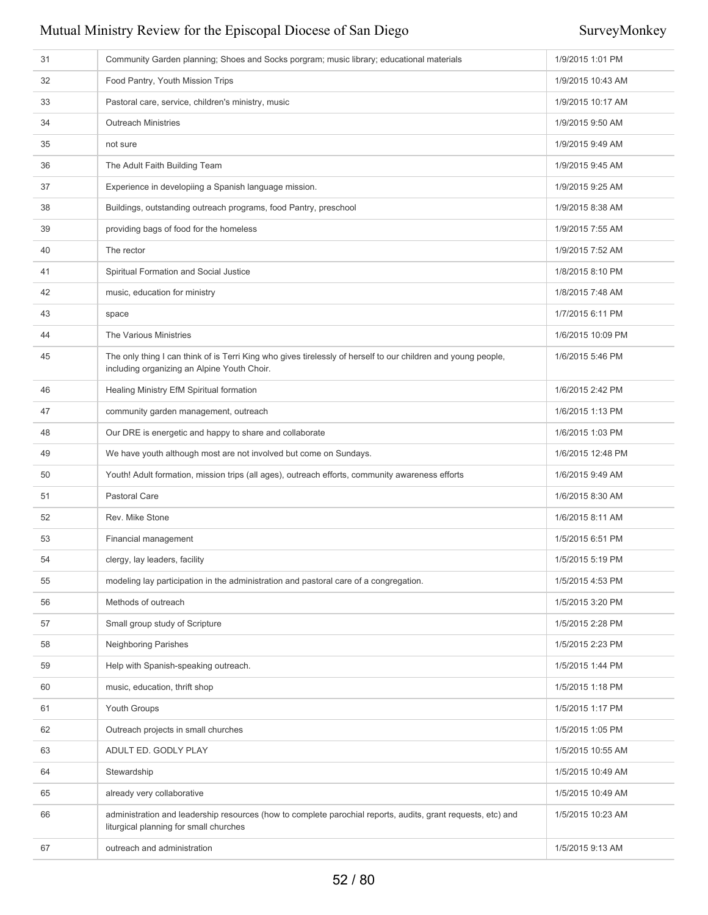| 31 | Community Garden planning; Shoes and Socks porgram; music library; educational materials                                                                     | 1/9/2015 1:01 PM  |
|----|--------------------------------------------------------------------------------------------------------------------------------------------------------------|-------------------|
| 32 | Food Pantry, Youth Mission Trips                                                                                                                             | 1/9/2015 10:43 AM |
| 33 | Pastoral care, service, children's ministry, music                                                                                                           | 1/9/2015 10:17 AM |
| 34 | <b>Outreach Ministries</b>                                                                                                                                   | 1/9/2015 9:50 AM  |
| 35 | not sure                                                                                                                                                     | 1/9/2015 9:49 AM  |
| 36 | The Adult Faith Building Team                                                                                                                                | 1/9/2015 9:45 AM  |
| 37 | Experience in developiing a Spanish language mission.                                                                                                        | 1/9/2015 9:25 AM  |
| 38 | Buildings, outstanding outreach programs, food Pantry, preschool                                                                                             | 1/9/2015 8:38 AM  |
| 39 | providing bags of food for the homeless                                                                                                                      | 1/9/2015 7:55 AM  |
| 40 | The rector                                                                                                                                                   | 1/9/2015 7:52 AM  |
| 41 | Spiritual Formation and Social Justice                                                                                                                       | 1/8/2015 8:10 PM  |
| 42 | music, education for ministry                                                                                                                                | 1/8/2015 7:48 AM  |
| 43 | space                                                                                                                                                        | 1/7/2015 6:11 PM  |
| 44 | The Various Ministries                                                                                                                                       | 1/6/2015 10:09 PM |
| 45 | The only thing I can think of is Terri King who gives tirelessly of herself to our children and young people,<br>including organizing an Alpine Youth Choir. | 1/6/2015 5:46 PM  |
| 46 | Healing Ministry EfM Spiritual formation                                                                                                                     | 1/6/2015 2:42 PM  |
| 47 | community garden management, outreach                                                                                                                        | 1/6/2015 1:13 PM  |
| 48 | Our DRE is energetic and happy to share and collaborate                                                                                                      | 1/6/2015 1:03 PM  |
| 49 | We have youth although most are not involved but come on Sundays.                                                                                            | 1/6/2015 12:48 PM |
| 50 | Youth! Adult formation, mission trips (all ages), outreach efforts, community awareness efforts                                                              | 1/6/2015 9:49 AM  |
| 51 | Pastoral Care                                                                                                                                                | 1/6/2015 8:30 AM  |
| 52 | Rev. Mike Stone                                                                                                                                              | 1/6/2015 8:11 AM  |
| 53 | Financial management                                                                                                                                         | 1/5/2015 6:51 PM  |
| 54 | clergy, lay leaders, facility                                                                                                                                | 1/5/2015 5:19 PM  |
| 55 | modeling lay participation in the administration and pastoral care of a congregation.                                                                        | 1/5/2015 4:53 PM  |
| 56 | Methods of outreach                                                                                                                                          | 1/5/2015 3:20 PM  |
| 57 | Small group study of Scripture                                                                                                                               | 1/5/2015 2:28 PM  |
| 58 | Neighboring Parishes                                                                                                                                         | 1/5/2015 2:23 PM  |
| 59 | Help with Spanish-speaking outreach.                                                                                                                         | 1/5/2015 1:44 PM  |
| 60 | music, education, thrift shop                                                                                                                                | 1/5/2015 1:18 PM  |
| 61 | Youth Groups                                                                                                                                                 | 1/5/2015 1:17 PM  |
| 62 | Outreach projects in small churches                                                                                                                          | 1/5/2015 1:05 PM  |
| 63 | ADULT ED. GODLY PLAY                                                                                                                                         | 1/5/2015 10:55 AM |
| 64 | Stewardship                                                                                                                                                  | 1/5/2015 10:49 AM |
| 65 | already very collaborative                                                                                                                                   | 1/5/2015 10:49 AM |
| 66 | administration and leadership resources (how to complete parochial reports, audits, grant requests, etc) and<br>liturgical planning for small churches       | 1/5/2015 10:23 AM |
| 67 | outreach and administration                                                                                                                                  | 1/5/2015 9:13 AM  |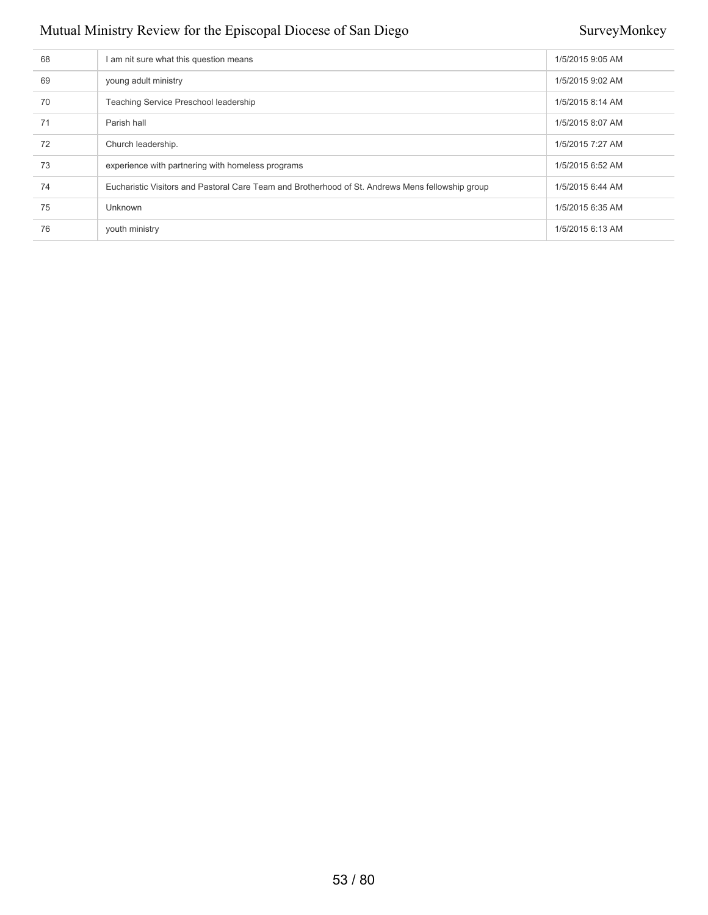| 68 | I am nit sure what this question means                                                           | 1/5/2015 9:05 AM |
|----|--------------------------------------------------------------------------------------------------|------------------|
| 69 | young adult ministry                                                                             | 1/5/2015 9:02 AM |
| 70 | Teaching Service Preschool leadership                                                            | 1/5/2015 8:14 AM |
| 71 | Parish hall                                                                                      | 1/5/2015 8:07 AM |
| 72 | Church leadership.                                                                               | 1/5/2015 7:27 AM |
| 73 | experience with partnering with homeless programs                                                | 1/5/2015 6:52 AM |
| 74 | Eucharistic Visitors and Pastoral Care Team and Brotherhood of St. Andrews Mens fellowship group | 1/5/2015 6:44 AM |
| 75 | <b>Unknown</b>                                                                                   | 1/5/2015 6:35 AM |
| 76 | youth ministry                                                                                   | 1/5/2015 6:13 AM |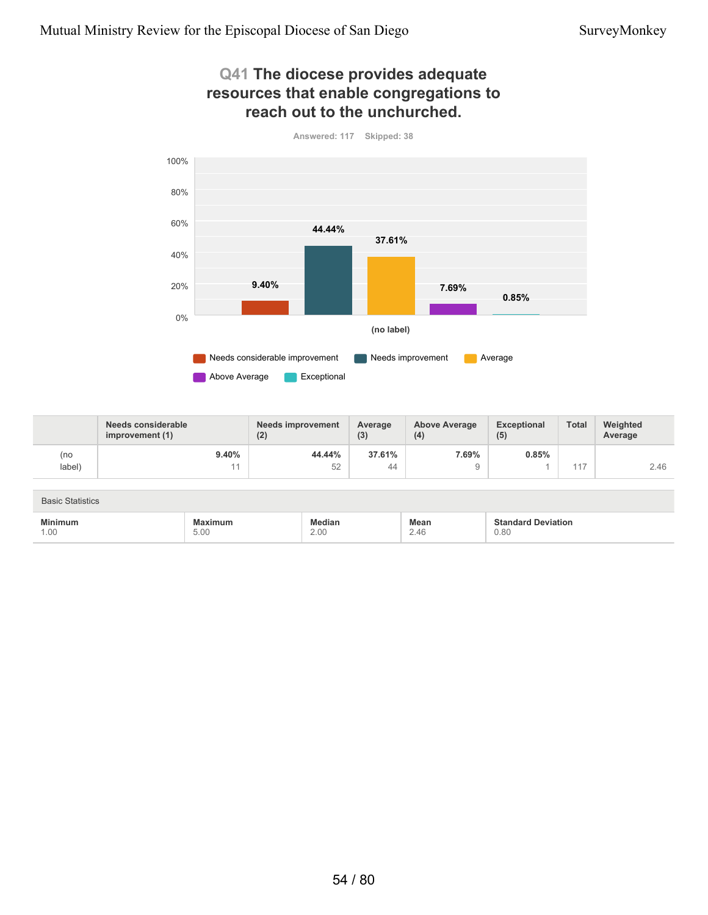5.00

1.00

### **Q41 The diocese provides adequate resources that enable congregations to reach out to the unchurched.**



|                         | Needs considerable<br>improvement (1) | <b>Needs improvement</b><br>(2) | Average<br>(3) | <b>Above Average</b><br>(4) | Exceptional<br>(5)        | <b>Total</b> | Weighted<br>Average |
|-------------------------|---------------------------------------|---------------------------------|----------------|-----------------------------|---------------------------|--------------|---------------------|
| (no                     | 9.40%                                 | 44.44%                          | 37.61%         | 7.69%                       | 0.85%                     |              |                     |
| label)                  | 11                                    | 52                              | 44             | 9                           |                           | 117          | 2.46                |
|                         |                                       |                                 |                |                             |                           |              |                     |
| <b>Basic Statistics</b> |                                       |                                 |                |                             |                           |              |                     |
| <b>Minimum</b>          | <b>Maximum</b>                        | <b>Median</b>                   |                | <b>Mean</b>                 | <b>Standard Deviation</b> |              |                     |

2.46

0.80

2.00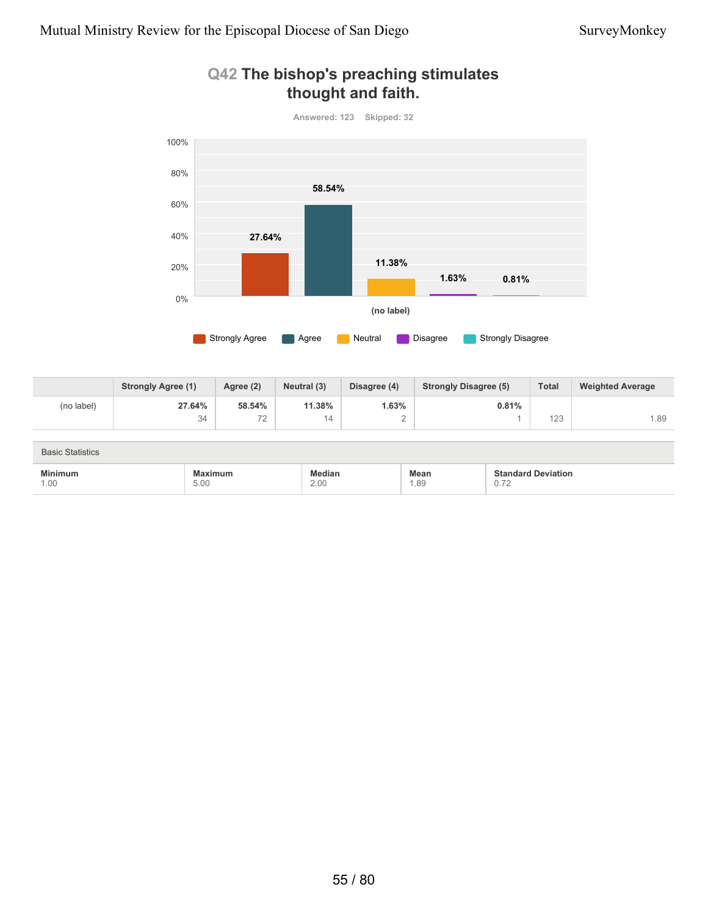

### **Q42 The bishop's preaching stimulates thought and faith.**

|            | <b>Strongly Agree (1)</b> | Agree (2) | Neutral (3) | Disagree (4) | <b>Strongly Disagree (5)</b> | <b>Total</b> | <b>Weighted Average</b> |
|------------|---------------------------|-----------|-------------|--------------|------------------------------|--------------|-------------------------|
| (no label) | 27.64%                    | 58.54%    | 11.38%      | 1.63%        | 0.81%                        |              |                         |
|            | 34                        | 70<br>-   | 14          |              |                              | 123          | 1.89                    |

| <b>Basic Statistics</b> |                 |                |             |                                                       |
|-------------------------|-----------------|----------------|-------------|-------------------------------------------------------|
| <b>Minimum</b><br>1.00  | Maximum<br>5.00 | Median<br>2.00 | Mean<br>.89 | <b>Standard Deviation</b><br>70<br>$\cup$ . $\iota$ 4 |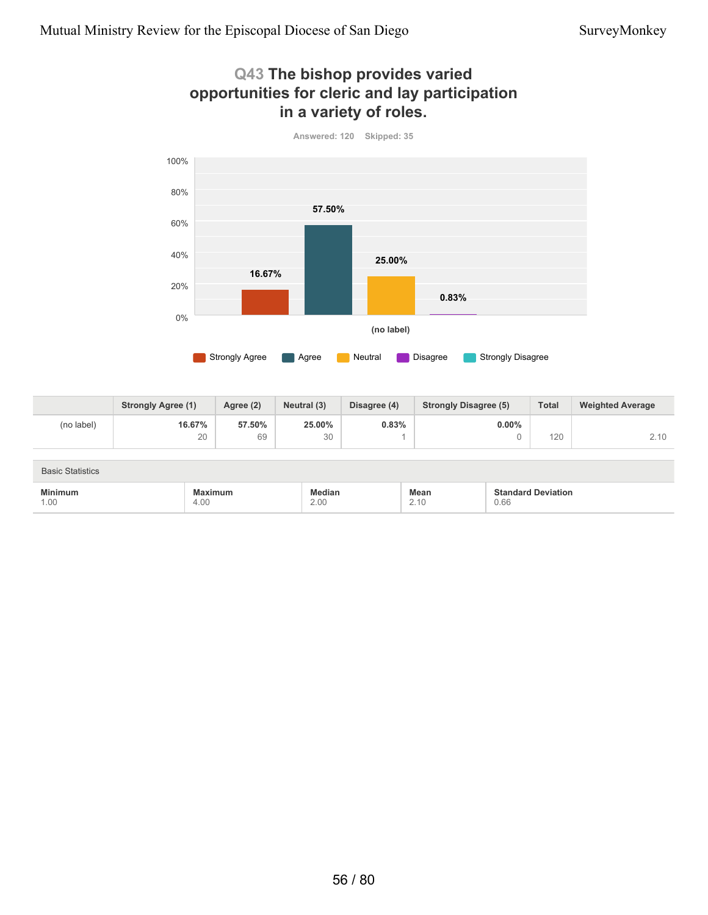



|            | <b>Strongly Agree (1)</b> | Agree (2) | Neutral (3) | Disagree (4) | <b>Strongly Disagree (5)</b> | <b>Total</b> | <b>Weighted Average</b> |
|------------|---------------------------|-----------|-------------|--------------|------------------------------|--------------|-------------------------|
| (no label) | 16.67%                    | 57.50%    | 25.00%      | 0.83%        | $0.00\%$                     |              |                         |
|            | 20                        | 69        | 30          |              |                              | 120          | <u>_</u>                |

| <b>Basic Statistics</b> |                                                                                                           |                |              |                                   |  |  |
|-------------------------|-----------------------------------------------------------------------------------------------------------|----------------|--------------|-----------------------------------|--|--|
| <b>Minimum</b><br>1.00  | <b>Maximum</b><br>the contract of the contract of the contract of the contract of the contract of<br>4.00 | Median<br>2.00 | Mean<br>2.10 | <b>Standard Deviation</b><br>0.66 |  |  |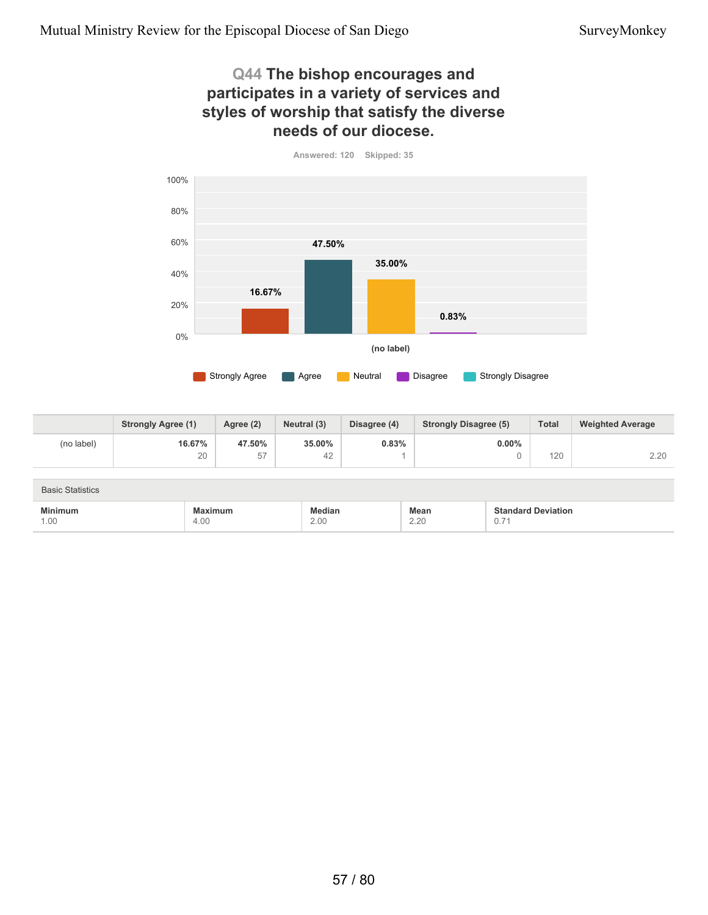4.00

1.00

### **Q44 The bishop encourages and participates in a variety of services and styles of worship that satisfy the diverse needs of our diocese.**



|                         | <b>Strongly Agree (1)</b> | Agree (2) | Neutral (3)   | Disagree (4) | <b>Strongly Disagree (5)</b> | <b>Total</b>              | <b>Weighted Average</b> |
|-------------------------|---------------------------|-----------|---------------|--------------|------------------------------|---------------------------|-------------------------|
| (no label)              | 16.67%                    | 47.50%    | 35,00%        | 0.83%        | $0.00\%$                     |                           |                         |
|                         | 20                        | 57        | 42            |              |                              | 120                       | 2.20                    |
|                         |                           |           |               |              |                              |                           |                         |
| <b>Basic Statistics</b> |                           |           |               |              |                              |                           |                         |
| <b>Minimum</b>          | <b>Maximum</b>            |           | <b>Median</b> |              | <b>Mean</b>                  | <b>Standard Deviation</b> |                         |

2.20

0.71

2.00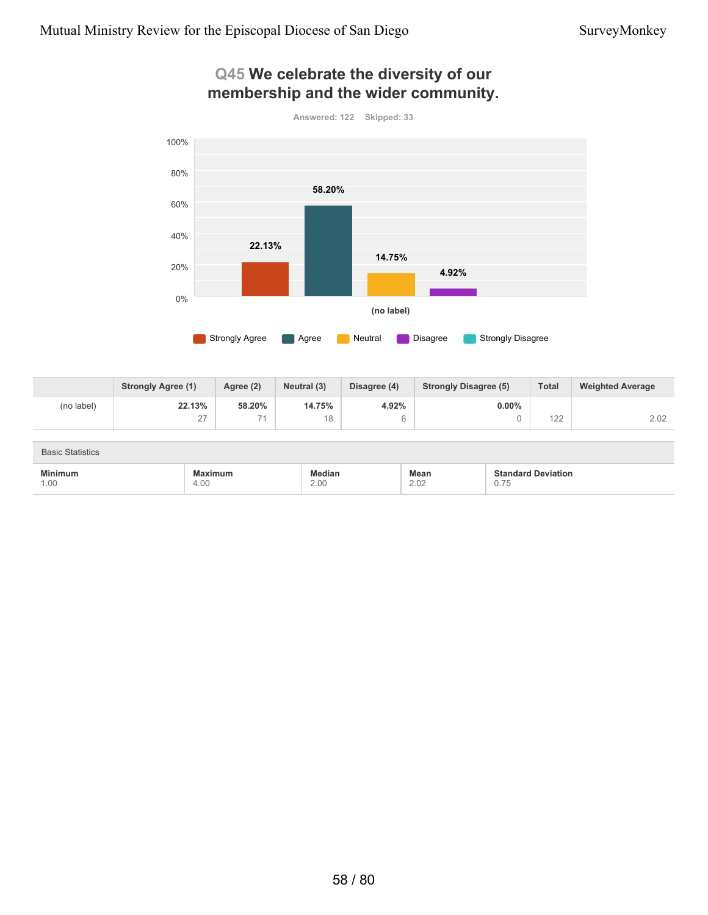

### **Q45 We celebrate the diversity of our membership and the wider community.**

|            | <b>Strongly Agree (1)</b> | Agree (2)                | Neutral (3) | Disagree (4) | <b>Strongly Disagree (5)</b> | <b>Total</b> | <b>Weighted Average</b> |
|------------|---------------------------|--------------------------|-------------|--------------|------------------------------|--------------|-------------------------|
| (no label) | 22.13%                    | 58.20%                   | 14.75%      | 4.92%        | $0.00\%$                     |              |                         |
|            | $\sim$<br>-               | $\overline{\phantom{a}}$ | 18          |              |                              | 100<br>122   | 2.02                    |

| <b>Basic Statistics</b> |                 |                |              |                                   |
|-------------------------|-----------------|----------------|--------------|-----------------------------------|
| <b>Minimum</b><br>1.00  | Maximum<br>4.00 | Median<br>2.00 | Mean<br>2.02 | <b>Standard Deviation</b><br>0.75 |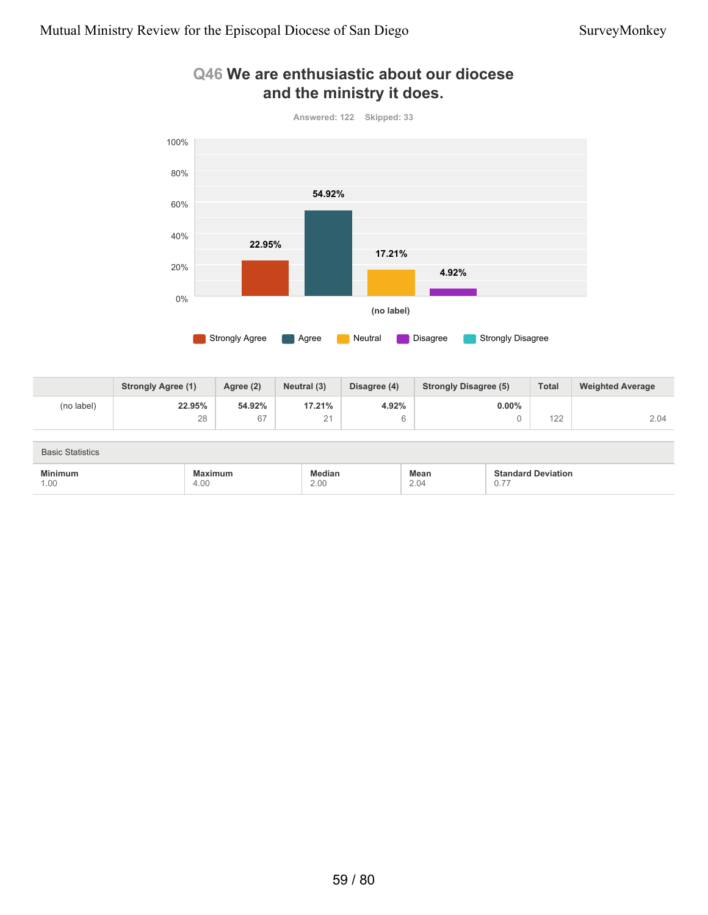

### **Q46 We are enthusiastic about our diocese and the ministry it does.**

|            | <b>Strongly Agree (1)</b> | Agree (2) | Neutral (3)           | Disagree (4) | <b>Strongly Disagree (5)</b> | <b>Total</b>      | <b>Weighted Average</b> |
|------------|---------------------------|-----------|-----------------------|--------------|------------------------------|-------------------|-------------------------|
| (no label) | 22.95%                    | 54.92%    | 17.21%                | 4.92%        | $0.00\%$                     |                   |                         |
|            | 28                        | $\sim$    | $\bigcap$<br><u>_</u> |              |                              | $\sqrt{2}$<br>122 | 2.04                    |

| <b>Basic Statistics</b> |                        |                |              |                                                        |
|-------------------------|------------------------|----------------|--------------|--------------------------------------------------------|
| <b>Minimum</b><br>1.00  | <b>Maximum</b><br>4.00 | Median<br>2.00 | Mean<br>2.04 | <b>Standard Deviation</b><br>$- -$<br>$\cup$ . $\iota$ |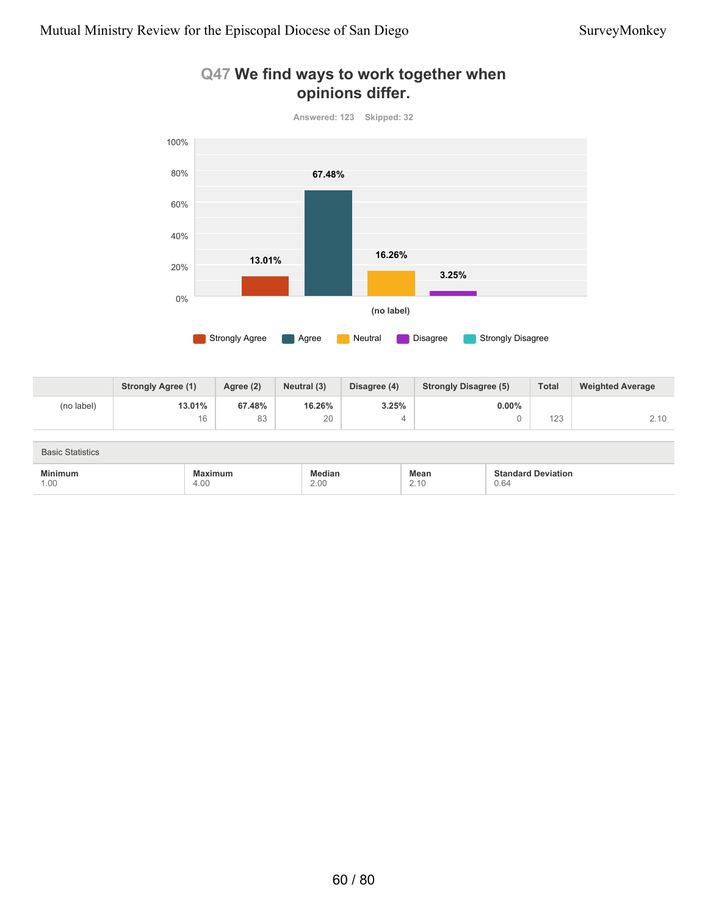

### **Q47 We find ways to work together when opinions differ.**

|            | <b>Strongly Agree (1)</b> | Agree (2)     | Neutral (3) | Disagree (4) | <b>Strongly Disagree (5)</b> | <b>Total</b> | <b>Weighted Average</b> |
|------------|---------------------------|---------------|-------------|--------------|------------------------------|--------------|-------------------------|
| (no label) | 13.01%                    | 67.48%        | 16.26%      | 3.25%        | $0.00\%$                     |              |                         |
|            | 16                        | $\circ$<br>၀၁ | 20          |              |                              | 123          | 2.10                    |

| <b>Basic Statistics</b> |                 |                       |                                                        |                                   |  |
|-------------------------|-----------------|-----------------------|--------------------------------------------------------|-----------------------------------|--|
| <b>Minimum</b><br>1.00  | Maximum<br>4.00 | <b>Median</b><br>2.00 | <b>Mean</b><br>2.10<br>the contract of the contract of | <b>Standard Deviation</b><br>0.64 |  |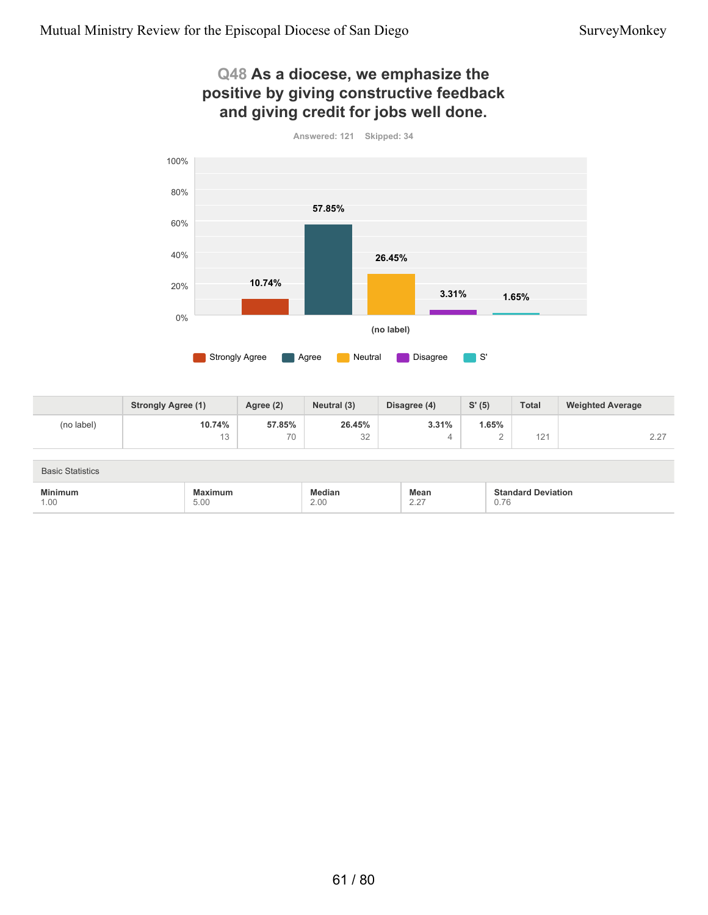### **Q48 As a diocese, we emphasize the positive by giving constructive feedback and giving credit for jobs well done.**



**10.74%** 13 **57.85%** 70 **26.45%** 32 **3.31%** 4 **1.65%** 2  $121$  2.27 **Strongly Agree (1) Agree (2) Neutral (3) Disagree (4) S' (5) Total Weighted Average** (no label)

| <b>Basic Statistics</b> |                 |                |                                   |                                   |  |
|-------------------------|-----------------|----------------|-----------------------------------|-----------------------------------|--|
| <b>Minimum</b><br>1.00  | Maximum<br>5.00 | Median<br>2.00 | Mean<br>∩ 07<br>$\sim$ . $\sim$ 1 | <b>Standard Deviation</b><br>0.76 |  |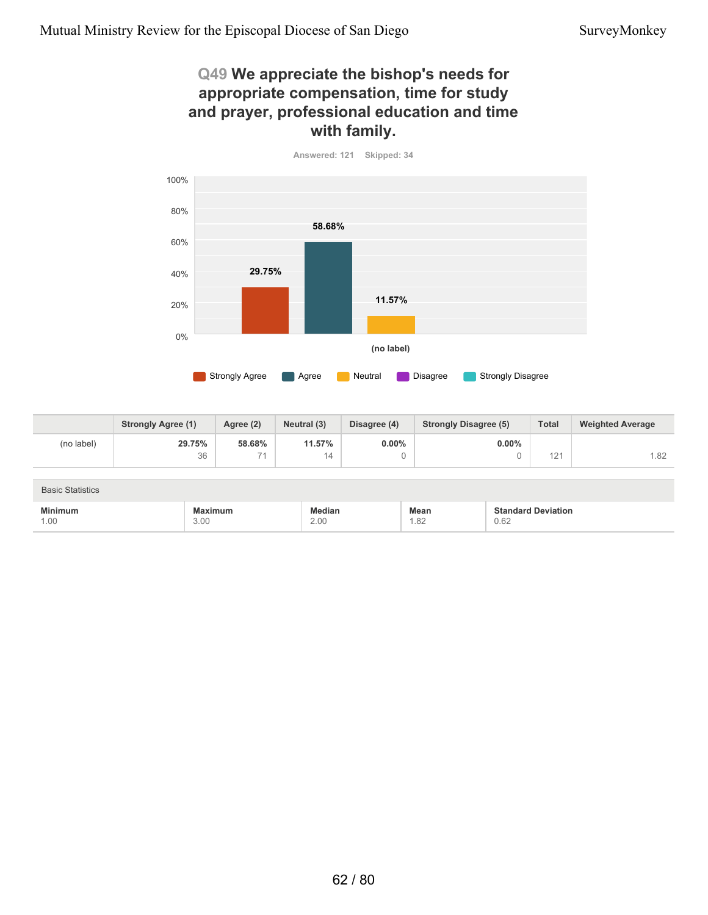### **Q49 We appreciate the bishop's needs for appropriate compensation, time for study and prayer, professional education and time with family.**





|                         | <b>Strongly Agree (1)</b> | Agree (2) | Neutral (3) | Disagree (4) | <b>Strongly Disagree (5)</b> | <b>Total</b> | <b>Weighted Average</b> |
|-------------------------|---------------------------|-----------|-------------|--------------|------------------------------|--------------|-------------------------|
| (no label)              | 29.75%                    | 58.68%    | 11.57%      | $0.00\%$     | $0.00\%$                     |              |                         |
|                         | 36                        | 74        | 14          |              |                              | 121          | 1.82                    |
|                         |                           |           |             |              |                              |              |                         |
| <b>Basic Statistics</b> |                           |           |             |              |                              |              |                         |

| $\cdots$<br>the contract of the contract of the contract of the contract of the contract of | the contract of the contract of the contract of the contract of the contract of |                       | Mean |                |
|---------------------------------------------------------------------------------------------|---------------------------------------------------------------------------------|-----------------------|------|----------------|
| $\cdot$ 00                                                                                  | 3.00                                                                            | $\cap$ $\cap$<br>Z.UU | 1.OZ | $\sim$<br>0.62 |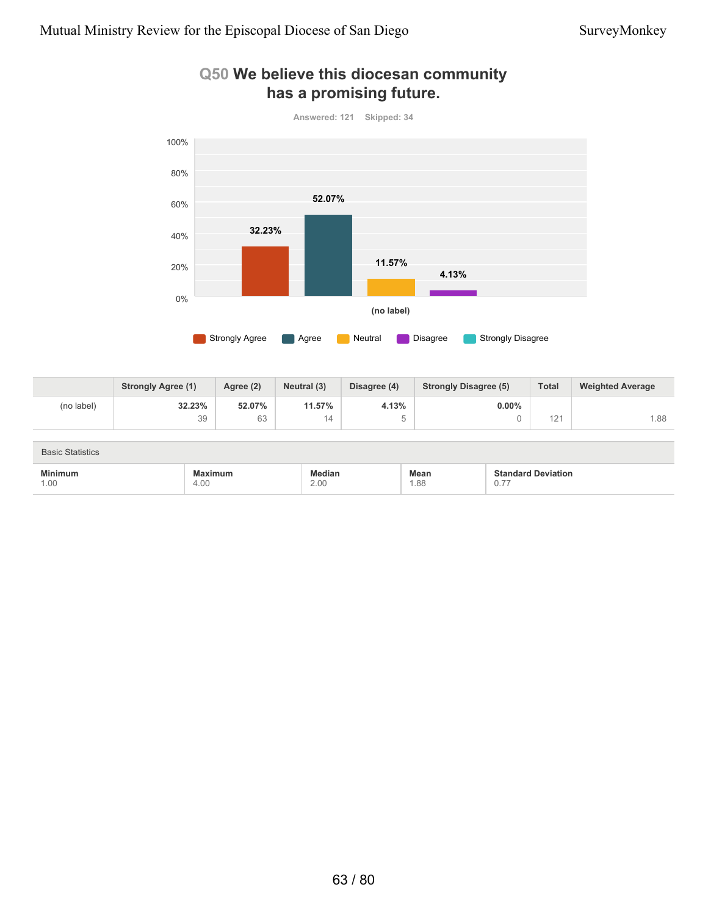

### **Q50 We believe this diocesan community has a promising future.**

|            | <b>Strongly Agree (1)</b> | Agree (2) | Neutral (3) | Disagree (4) | <b>Strongly Disagree (5)</b> | <b>Total</b>     | <b>Weighted Average</b> |
|------------|---------------------------|-----------|-------------|--------------|------------------------------|------------------|-------------------------|
| (no label) | 32.23%                    | 52.07%    | 11.57%      | 4.13%        | $0.00\%$                     |                  |                         |
|            | 39                        | 62<br>ნე  | ۹4∟         |              |                              | $\sim$<br>$\sim$ | 1.88                    |

| <b>Basic Statistics</b>                                       |                 |                |                                                 |                                              |
|---------------------------------------------------------------|-----------------|----------------|-------------------------------------------------|----------------------------------------------|
| <b>Minimum</b><br>the contract of the contract of the<br>1.00 | Maximum<br>4.00 | Median<br>2.00 | <b>Mean</b><br>1.88<br>$\overline{\phantom{a}}$ | <b>Standard Deviation</b><br>$- -$<br>$\cup$ |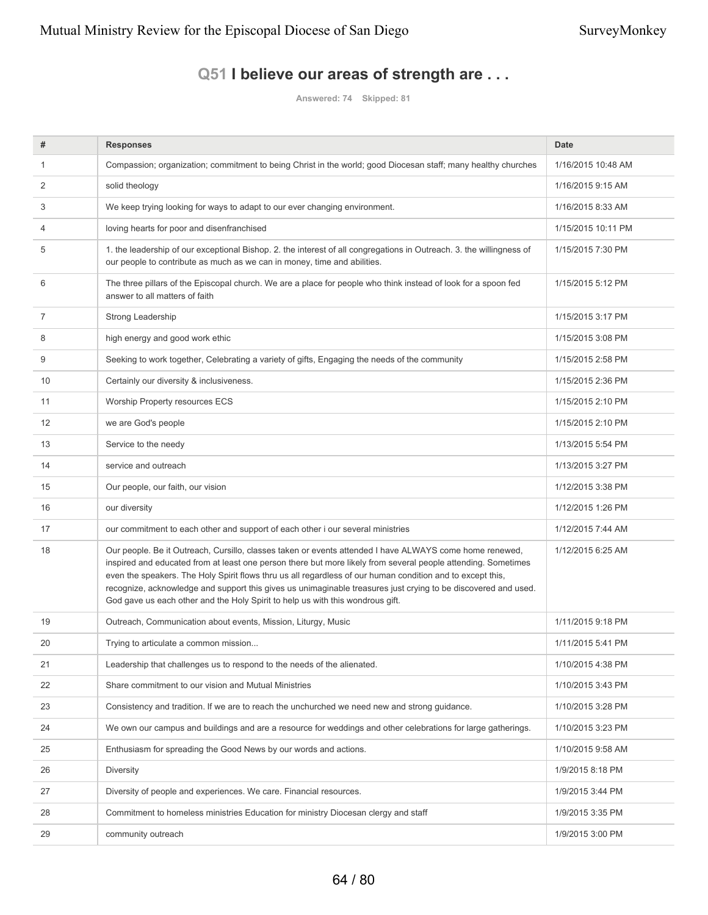### **Q51 I believe our areas of strength are . . .**

**Answered: 74 Skipped: 81**

| #  | <b>Responses</b>                                                                                                                                                                                                                                                                                                                                                                                                                                                                                                                           | <b>Date</b>        |
|----|--------------------------------------------------------------------------------------------------------------------------------------------------------------------------------------------------------------------------------------------------------------------------------------------------------------------------------------------------------------------------------------------------------------------------------------------------------------------------------------------------------------------------------------------|--------------------|
| 1  | Compassion; organization; commitment to being Christ in the world; good Diocesan staff; many healthy churches                                                                                                                                                                                                                                                                                                                                                                                                                              | 1/16/2015 10:48 AM |
| 2  | solid theology                                                                                                                                                                                                                                                                                                                                                                                                                                                                                                                             | 1/16/2015 9:15 AM  |
| 3  | We keep trying looking for ways to adapt to our ever changing environment.                                                                                                                                                                                                                                                                                                                                                                                                                                                                 | 1/16/2015 8:33 AM  |
| 4  | loving hearts for poor and disenfranchised                                                                                                                                                                                                                                                                                                                                                                                                                                                                                                 | 1/15/2015 10:11 PM |
| 5  | 1. the leadership of our exceptional Bishop. 2. the interest of all congregations in Outreach. 3. the willingness of<br>our people to contribute as much as we can in money, time and abilities.                                                                                                                                                                                                                                                                                                                                           | 1/15/2015 7:30 PM  |
| 6  | The three pillars of the Episcopal church. We are a place for people who think instead of look for a spoon fed<br>answer to all matters of faith                                                                                                                                                                                                                                                                                                                                                                                           | 1/15/2015 5:12 PM  |
| 7  | Strong Leadership                                                                                                                                                                                                                                                                                                                                                                                                                                                                                                                          | 1/15/2015 3:17 PM  |
| 8  | high energy and good work ethic                                                                                                                                                                                                                                                                                                                                                                                                                                                                                                            | 1/15/2015 3:08 PM  |
| 9  | Seeking to work together, Celebrating a variety of gifts, Engaging the needs of the community                                                                                                                                                                                                                                                                                                                                                                                                                                              | 1/15/2015 2:58 PM  |
| 10 | Certainly our diversity & inclusiveness.                                                                                                                                                                                                                                                                                                                                                                                                                                                                                                   | 1/15/2015 2:36 PM  |
| 11 | <b>Worship Property resources ECS</b>                                                                                                                                                                                                                                                                                                                                                                                                                                                                                                      | 1/15/2015 2:10 PM  |
| 12 | we are God's people                                                                                                                                                                                                                                                                                                                                                                                                                                                                                                                        | 1/15/2015 2:10 PM  |
| 13 | Service to the needy                                                                                                                                                                                                                                                                                                                                                                                                                                                                                                                       | 1/13/2015 5:54 PM  |
| 14 | service and outreach                                                                                                                                                                                                                                                                                                                                                                                                                                                                                                                       | 1/13/2015 3:27 PM  |
| 15 | Our people, our faith, our vision                                                                                                                                                                                                                                                                                                                                                                                                                                                                                                          | 1/12/2015 3:38 PM  |
| 16 | our diversity                                                                                                                                                                                                                                                                                                                                                                                                                                                                                                                              | 1/12/2015 1:26 PM  |
| 17 | our commitment to each other and support of each other i our several ministries                                                                                                                                                                                                                                                                                                                                                                                                                                                            | 1/12/2015 7:44 AM  |
| 18 | Our people. Be it Outreach, Cursillo, classes taken or events attended I have ALWAYS come home renewed,<br>inspired and educated from at least one person there but more likely from several people attending. Sometimes<br>even the speakers. The Holy Spirit flows thru us all regardless of our human condition and to except this,<br>recognize, acknowledge and support this gives us unimaginable treasures just crying to be discovered and used.<br>God gave us each other and the Holy Spirit to help us with this wondrous gift. | 1/12/2015 6:25 AM  |
| 19 | Outreach, Communication about events, Mission, Liturgy, Music                                                                                                                                                                                                                                                                                                                                                                                                                                                                              | 1/11/2015 9:18 PM  |
| 20 | Trying to articulate a common mission                                                                                                                                                                                                                                                                                                                                                                                                                                                                                                      | 1/11/2015 5:41 PM  |
| 21 | Leadership that challenges us to respond to the needs of the alienated.                                                                                                                                                                                                                                                                                                                                                                                                                                                                    | 1/10/2015 4:38 PM  |
| 22 | Share commitment to our vision and Mutual Ministries                                                                                                                                                                                                                                                                                                                                                                                                                                                                                       | 1/10/2015 3:43 PM  |
| 23 | Consistency and tradition. If we are to reach the unchurched we need new and strong guidance.                                                                                                                                                                                                                                                                                                                                                                                                                                              | 1/10/2015 3:28 PM  |
| 24 | We own our campus and buildings and are a resource for weddings and other celebrations for large gatherings.                                                                                                                                                                                                                                                                                                                                                                                                                               | 1/10/2015 3:23 PM  |
| 25 | Enthusiasm for spreading the Good News by our words and actions.                                                                                                                                                                                                                                                                                                                                                                                                                                                                           | 1/10/2015 9:58 AM  |
| 26 | <b>Diversity</b>                                                                                                                                                                                                                                                                                                                                                                                                                                                                                                                           | 1/9/2015 8:18 PM   |
| 27 | Diversity of people and experiences. We care. Financial resources.                                                                                                                                                                                                                                                                                                                                                                                                                                                                         | 1/9/2015 3:44 PM   |
| 28 | Commitment to homeless ministries Education for ministry Diocesan clergy and staff                                                                                                                                                                                                                                                                                                                                                                                                                                                         | 1/9/2015 3:35 PM   |
| 29 | community outreach                                                                                                                                                                                                                                                                                                                                                                                                                                                                                                                         | 1/9/2015 3:00 PM   |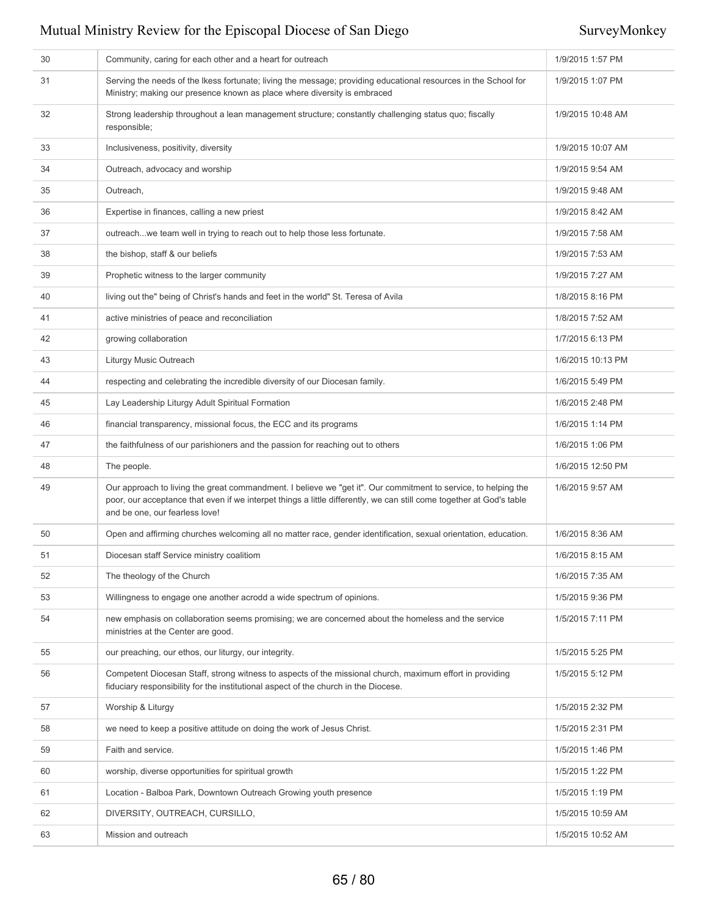| 30 | Community, caring for each other and a heart for outreach                                                                                                                                                                                                                | 1/9/2015 1:57 PM  |
|----|--------------------------------------------------------------------------------------------------------------------------------------------------------------------------------------------------------------------------------------------------------------------------|-------------------|
| 31 | Serving the needs of the Ikess fortunate; living the message; providing educational resources in the School for<br>Ministry; making our presence known as place where diversity is embraced                                                                              | 1/9/2015 1:07 PM  |
| 32 | Strong leadership throughout a lean management structure; constantly challenging status quo; fiscally<br>responsible;                                                                                                                                                    | 1/9/2015 10:48 AM |
| 33 | Inclusiveness, positivity, diversity                                                                                                                                                                                                                                     | 1/9/2015 10:07 AM |
| 34 | Outreach, advocacy and worship                                                                                                                                                                                                                                           | 1/9/2015 9:54 AM  |
| 35 | Outreach,                                                                                                                                                                                                                                                                | 1/9/2015 9:48 AM  |
| 36 | Expertise in finances, calling a new priest                                                                                                                                                                                                                              | 1/9/2015 8:42 AM  |
| 37 | outreachwe team well in trying to reach out to help those less fortunate.                                                                                                                                                                                                | 1/9/2015 7:58 AM  |
| 38 | the bishop, staff & our beliefs                                                                                                                                                                                                                                          | 1/9/2015 7:53 AM  |
| 39 | Prophetic witness to the larger community                                                                                                                                                                                                                                | 1/9/2015 7:27 AM  |
| 40 | living out the" being of Christ's hands and feet in the world" St. Teresa of Avila                                                                                                                                                                                       | 1/8/2015 8:16 PM  |
| 41 | active ministries of peace and reconciliation                                                                                                                                                                                                                            | 1/8/2015 7:52 AM  |
| 42 | growing collaboration                                                                                                                                                                                                                                                    | 1/7/2015 6:13 PM  |
| 43 | Liturgy Music Outreach                                                                                                                                                                                                                                                   | 1/6/2015 10:13 PM |
| 44 | respecting and celebrating the incredible diversity of our Diocesan family.                                                                                                                                                                                              | 1/6/2015 5:49 PM  |
| 45 | Lay Leadership Liturgy Adult Spiritual Formation                                                                                                                                                                                                                         | 1/6/2015 2:48 PM  |
| 46 | financial transparency, missional focus, the ECC and its programs                                                                                                                                                                                                        | 1/6/2015 1:14 PM  |
| 47 | the faithfulness of our parishioners and the passion for reaching out to others                                                                                                                                                                                          | 1/6/2015 1:06 PM  |
| 48 | The people.                                                                                                                                                                                                                                                              | 1/6/2015 12:50 PM |
| 49 | Our approach to living the great commandment. I believe we "get it". Our commitment to service, to helping the<br>poor, our acceptance that even if we interpet things a little differently, we can still come together at God's table<br>and be one, our fearless love! | 1/6/2015 9:57 AM  |
| 50 | Open and affirming churches welcoming all no matter race, gender identification, sexual orientation, education.                                                                                                                                                          | 1/6/2015 8:36 AM  |
| 51 | Diocesan staff Service ministry coalitiom                                                                                                                                                                                                                                | 1/6/2015 8:15 AM  |
| 52 | The theology of the Church                                                                                                                                                                                                                                               | 1/6/2015 7:35 AM  |
| 53 | Willingness to engage one another acrodd a wide spectrum of opinions.                                                                                                                                                                                                    | 1/5/2015 9:36 PM  |
| 54 | new emphasis on collaboration seems promising; we are concerned about the homeless and the service<br>ministries at the Center are good.                                                                                                                                 | 1/5/2015 7:11 PM  |
| 55 | our preaching, our ethos, our liturgy, our integrity.                                                                                                                                                                                                                    | 1/5/2015 5:25 PM  |
| 56 | Competent Diocesan Staff, strong witness to aspects of the missional church, maximum effort in providing<br>fiduciary responsibility for the institutional aspect of the church in the Diocese.                                                                          | 1/5/2015 5:12 PM  |
| 57 | Worship & Liturgy                                                                                                                                                                                                                                                        | 1/5/2015 2:32 PM  |
| 58 | we need to keep a positive attitude on doing the work of Jesus Christ.                                                                                                                                                                                                   | 1/5/2015 2:31 PM  |
| 59 | Faith and service.                                                                                                                                                                                                                                                       | 1/5/2015 1:46 PM  |
| 60 | worship, diverse opportunities for spiritual growth                                                                                                                                                                                                                      | 1/5/2015 1:22 PM  |
| 61 | Location - Balboa Park, Downtown Outreach Growing youth presence                                                                                                                                                                                                         | 1/5/2015 1:19 PM  |
| 62 | DIVERSITY, OUTREACH, CURSILLO,                                                                                                                                                                                                                                           | 1/5/2015 10:59 AM |
| 63 | Mission and outreach                                                                                                                                                                                                                                                     | 1/5/2015 10:52 AM |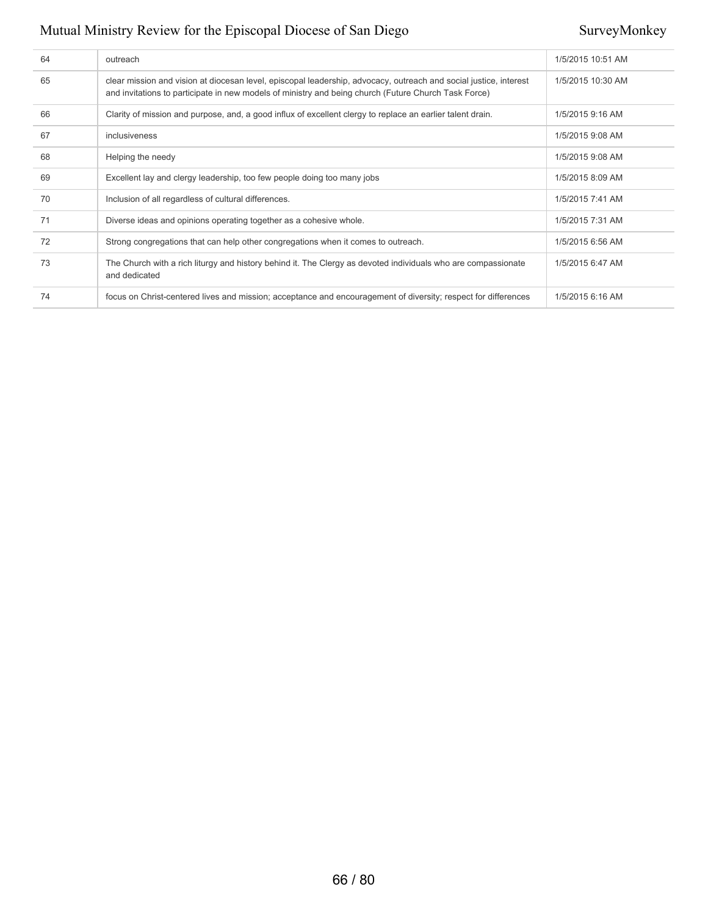| 64 | outreach                                                                                                                                                                                                                  | 1/5/2015 10:51 AM |
|----|---------------------------------------------------------------------------------------------------------------------------------------------------------------------------------------------------------------------------|-------------------|
| 65 | clear mission and vision at diocesan level, episcopal leadership, advocacy, outreach and social justice, interest<br>and invitations to participate in new models of ministry and being church (Future Church Task Force) | 1/5/2015 10:30 AM |
| 66 | Clarity of mission and purpose, and, a good influx of excellent clergy to replace an earlier talent drain.                                                                                                                | 1/5/2015 9:16 AM  |
| 67 | inclusiveness                                                                                                                                                                                                             | 1/5/2015 9:08 AM  |
| 68 | Helping the needy                                                                                                                                                                                                         | 1/5/2015 9:08 AM  |
| 69 | Excellent lay and clergy leadership, too few people doing too many jobs                                                                                                                                                   | 1/5/2015 8:09 AM  |
| 70 | Inclusion of all regardless of cultural differences.                                                                                                                                                                      | 1/5/2015 7:41 AM  |
| 71 | Diverse ideas and opinions operating together as a cohesive whole.                                                                                                                                                        | 1/5/2015 7:31 AM  |
| 72 | Strong congregations that can help other congregations when it comes to outreach.                                                                                                                                         | 1/5/2015 6:56 AM  |
| 73 | The Church with a rich liturgy and history behind it. The Clergy as devoted individuals who are compassionate<br>and dedicated                                                                                            | 1/5/2015 6:47 AM  |
| 74 | focus on Christ-centered lives and mission; acceptance and encouragement of diversity; respect for differences                                                                                                            | 1/5/2015 6:16 AM  |
|    |                                                                                                                                                                                                                           |                   |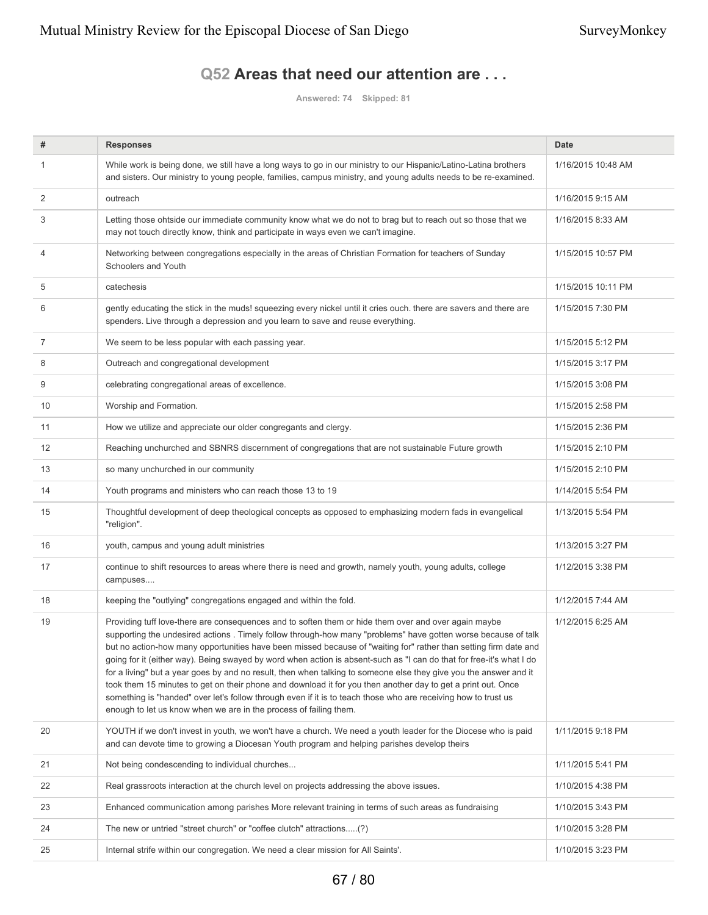### **Q52 Areas that need our attention are . . .**

**Answered: 74 Skipped: 81**

| #              | <b>Responses</b>                                                                                                                                                                                                                                                                                                                                                                                                                                                                                                                                                                                                                                                                                                                                                                                                                                                                               | <b>Date</b>        |
|----------------|------------------------------------------------------------------------------------------------------------------------------------------------------------------------------------------------------------------------------------------------------------------------------------------------------------------------------------------------------------------------------------------------------------------------------------------------------------------------------------------------------------------------------------------------------------------------------------------------------------------------------------------------------------------------------------------------------------------------------------------------------------------------------------------------------------------------------------------------------------------------------------------------|--------------------|
| 1              | While work is being done, we still have a long ways to go in our ministry to our Hispanic/Latino-Latina brothers<br>and sisters. Our ministry to young people, families, campus ministry, and young adults needs to be re-examined.                                                                                                                                                                                                                                                                                                                                                                                                                                                                                                                                                                                                                                                            | 1/16/2015 10:48 AM |
| 2              | outreach                                                                                                                                                                                                                                                                                                                                                                                                                                                                                                                                                                                                                                                                                                                                                                                                                                                                                       | 1/16/2015 9:15 AM  |
| 3              | Letting those ohtside our immediate community know what we do not to brag but to reach out so those that we<br>may not touch directly know, think and participate in ways even we can't imagine.                                                                                                                                                                                                                                                                                                                                                                                                                                                                                                                                                                                                                                                                                               | 1/16/2015 8:33 AM  |
| 4              | Networking between congregations especially in the areas of Christian Formation for teachers of Sunday<br>Schoolers and Youth                                                                                                                                                                                                                                                                                                                                                                                                                                                                                                                                                                                                                                                                                                                                                                  | 1/15/2015 10:57 PM |
| 5              | catechesis                                                                                                                                                                                                                                                                                                                                                                                                                                                                                                                                                                                                                                                                                                                                                                                                                                                                                     | 1/15/2015 10:11 PM |
| 6              | gently educating the stick in the muds! squeezing every nickel until it cries ouch. there are savers and there are<br>spenders. Live through a depression and you learn to save and reuse everything.                                                                                                                                                                                                                                                                                                                                                                                                                                                                                                                                                                                                                                                                                          | 1/15/2015 7:30 PM  |
| $\overline{7}$ | We seem to be less popular with each passing year.                                                                                                                                                                                                                                                                                                                                                                                                                                                                                                                                                                                                                                                                                                                                                                                                                                             | 1/15/2015 5:12 PM  |
| 8              | Outreach and congregational development                                                                                                                                                                                                                                                                                                                                                                                                                                                                                                                                                                                                                                                                                                                                                                                                                                                        | 1/15/2015 3:17 PM  |
| 9              | celebrating congregational areas of excellence.                                                                                                                                                                                                                                                                                                                                                                                                                                                                                                                                                                                                                                                                                                                                                                                                                                                | 1/15/2015 3:08 PM  |
| 10             | Worship and Formation.                                                                                                                                                                                                                                                                                                                                                                                                                                                                                                                                                                                                                                                                                                                                                                                                                                                                         | 1/15/2015 2:58 PM  |
| 11             | How we utilize and appreciate our older congregants and clergy.                                                                                                                                                                                                                                                                                                                                                                                                                                                                                                                                                                                                                                                                                                                                                                                                                                | 1/15/2015 2:36 PM  |
| 12             | Reaching unchurched and SBNRS discernment of congregations that are not sustainable Future growth                                                                                                                                                                                                                                                                                                                                                                                                                                                                                                                                                                                                                                                                                                                                                                                              | 1/15/2015 2:10 PM  |
| 13             | so many unchurched in our community                                                                                                                                                                                                                                                                                                                                                                                                                                                                                                                                                                                                                                                                                                                                                                                                                                                            | 1/15/2015 2:10 PM  |
| 14             | Youth programs and ministers who can reach those 13 to 19                                                                                                                                                                                                                                                                                                                                                                                                                                                                                                                                                                                                                                                                                                                                                                                                                                      | 1/14/2015 5:54 PM  |
| 15             | Thoughtful development of deep theological concepts as opposed to emphasizing modern fads in evangelical<br>"religion".                                                                                                                                                                                                                                                                                                                                                                                                                                                                                                                                                                                                                                                                                                                                                                        | 1/13/2015 5:54 PM  |
| 16             | youth, campus and young adult ministries                                                                                                                                                                                                                                                                                                                                                                                                                                                                                                                                                                                                                                                                                                                                                                                                                                                       | 1/13/2015 3:27 PM  |
| 17             | continue to shift resources to areas where there is need and growth, namely youth, young adults, college<br>campuses                                                                                                                                                                                                                                                                                                                                                                                                                                                                                                                                                                                                                                                                                                                                                                           | 1/12/2015 3:38 PM  |
| 18             | keeping the "outlying" congregations engaged and within the fold.                                                                                                                                                                                                                                                                                                                                                                                                                                                                                                                                                                                                                                                                                                                                                                                                                              | 1/12/2015 7:44 AM  |
| 19             | Providing tuff love-there are consequences and to soften them or hide them over and over again maybe<br>supporting the undesired actions . Timely follow through-how many "problems" have gotten worse because of talk<br>but no action-how many opportunities have been missed because of "waiting for" rather than setting firm date and<br>going for it (either way). Being swayed by word when action is absent-such as "I can do that for free-it's what I do<br>for a living" but a year goes by and no result, then when talking to someone else they give you the answer and it<br>took them 15 minutes to get on their phone and download it for you then another day to get a print out. Once<br>something is "handed" over let's follow through even if it is to teach those who are receiving how to trust us<br>enough to let us know when we are in the process of failing them. | 1/12/2015 6:25 AM  |
| 20             | YOUTH if we don't invest in youth, we won't have a church. We need a youth leader for the Diocese who is paid<br>and can devote time to growing a Diocesan Youth program and helping parishes develop theirs                                                                                                                                                                                                                                                                                                                                                                                                                                                                                                                                                                                                                                                                                   | 1/11/2015 9:18 PM  |
| 21             | Not being condescending to individual churches                                                                                                                                                                                                                                                                                                                                                                                                                                                                                                                                                                                                                                                                                                                                                                                                                                                 | 1/11/2015 5:41 PM  |
| 22             | Real grassroots interaction at the church level on projects addressing the above issues.                                                                                                                                                                                                                                                                                                                                                                                                                                                                                                                                                                                                                                                                                                                                                                                                       | 1/10/2015 4:38 PM  |
| 23             | Enhanced communication among parishes More relevant training in terms of such areas as fundraising                                                                                                                                                                                                                                                                                                                                                                                                                                                                                                                                                                                                                                                                                                                                                                                             | 1/10/2015 3:43 PM  |
| 24             | The new or untried "street church" or "coffee clutch" attractions(?)                                                                                                                                                                                                                                                                                                                                                                                                                                                                                                                                                                                                                                                                                                                                                                                                                           | 1/10/2015 3:28 PM  |
| 25             | Internal strife within our congregation. We need a clear mission for All Saints'.                                                                                                                                                                                                                                                                                                                                                                                                                                                                                                                                                                                                                                                                                                                                                                                                              | 1/10/2015 3:23 PM  |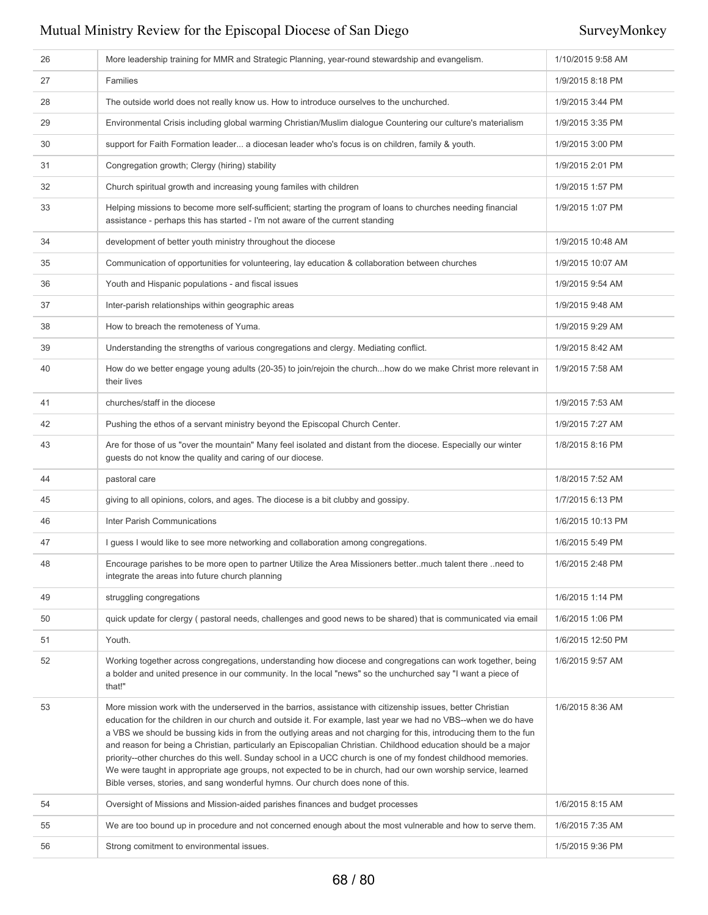| 26 | More leadership training for MMR and Strategic Planning, year-round stewardship and evangelism.                                                                                                                                                                                                                                                                                                                                                                                                                                                                                                                                                                                                                                                                                          | 1/10/2015 9:58 AM |
|----|------------------------------------------------------------------------------------------------------------------------------------------------------------------------------------------------------------------------------------------------------------------------------------------------------------------------------------------------------------------------------------------------------------------------------------------------------------------------------------------------------------------------------------------------------------------------------------------------------------------------------------------------------------------------------------------------------------------------------------------------------------------------------------------|-------------------|
| 27 | Families                                                                                                                                                                                                                                                                                                                                                                                                                                                                                                                                                                                                                                                                                                                                                                                 | 1/9/2015 8:18 PM  |
| 28 | The outside world does not really know us. How to introduce ourselves to the unchurched.                                                                                                                                                                                                                                                                                                                                                                                                                                                                                                                                                                                                                                                                                                 | 1/9/2015 3:44 PM  |
| 29 | Environmental Crisis including global warming Christian/Muslim dialogue Countering our culture's materialism                                                                                                                                                                                                                                                                                                                                                                                                                                                                                                                                                                                                                                                                             | 1/9/2015 3:35 PM  |
| 30 | support for Faith Formation leader a diocesan leader who's focus is on children, family & youth.                                                                                                                                                                                                                                                                                                                                                                                                                                                                                                                                                                                                                                                                                         | 1/9/2015 3:00 PM  |
| 31 | Congregation growth; Clergy (hiring) stability                                                                                                                                                                                                                                                                                                                                                                                                                                                                                                                                                                                                                                                                                                                                           | 1/9/2015 2:01 PM  |
| 32 | Church spiritual growth and increasing young familes with children                                                                                                                                                                                                                                                                                                                                                                                                                                                                                                                                                                                                                                                                                                                       | 1/9/2015 1:57 PM  |
| 33 | Helping missions to become more self-sufficient; starting the program of loans to churches needing financial<br>assistance - perhaps this has started - I'm not aware of the current standing                                                                                                                                                                                                                                                                                                                                                                                                                                                                                                                                                                                            | 1/9/2015 1:07 PM  |
| 34 | development of better youth ministry throughout the diocese                                                                                                                                                                                                                                                                                                                                                                                                                                                                                                                                                                                                                                                                                                                              | 1/9/2015 10:48 AM |
| 35 | Communication of opportunities for volunteering, lay education & collaboration between churches                                                                                                                                                                                                                                                                                                                                                                                                                                                                                                                                                                                                                                                                                          | 1/9/2015 10:07 AM |
| 36 | Youth and Hispanic populations - and fiscal issues                                                                                                                                                                                                                                                                                                                                                                                                                                                                                                                                                                                                                                                                                                                                       | 1/9/2015 9:54 AM  |
| 37 | Inter-parish relationships within geographic areas                                                                                                                                                                                                                                                                                                                                                                                                                                                                                                                                                                                                                                                                                                                                       | 1/9/2015 9:48 AM  |
| 38 | How to breach the remoteness of Yuma.                                                                                                                                                                                                                                                                                                                                                                                                                                                                                                                                                                                                                                                                                                                                                    | 1/9/2015 9:29 AM  |
| 39 | Understanding the strengths of various congregations and clergy. Mediating conflict.                                                                                                                                                                                                                                                                                                                                                                                                                                                                                                                                                                                                                                                                                                     | 1/9/2015 8:42 AM  |
| 40 | How do we better engage young adults (20-35) to join/rejoin the churchhow do we make Christ more relevant in<br>their lives                                                                                                                                                                                                                                                                                                                                                                                                                                                                                                                                                                                                                                                              | 1/9/2015 7:58 AM  |
| 41 | churches/staff in the diocese                                                                                                                                                                                                                                                                                                                                                                                                                                                                                                                                                                                                                                                                                                                                                            | 1/9/2015 7:53 AM  |
| 42 | Pushing the ethos of a servant ministry beyond the Episcopal Church Center.                                                                                                                                                                                                                                                                                                                                                                                                                                                                                                                                                                                                                                                                                                              | 1/9/2015 7:27 AM  |
| 43 | Are for those of us "over the mountain" Many feel isolated and distant from the diocese. Especially our winter<br>guests do not know the quality and caring of our diocese.                                                                                                                                                                                                                                                                                                                                                                                                                                                                                                                                                                                                              | 1/8/2015 8:16 PM  |
| 44 | pastoral care                                                                                                                                                                                                                                                                                                                                                                                                                                                                                                                                                                                                                                                                                                                                                                            | 1/8/2015 7:52 AM  |
| 45 | giving to all opinions, colors, and ages. The diocese is a bit clubby and gossipy.                                                                                                                                                                                                                                                                                                                                                                                                                                                                                                                                                                                                                                                                                                       | 1/7/2015 6:13 PM  |
| 46 | Inter Parish Communications                                                                                                                                                                                                                                                                                                                                                                                                                                                                                                                                                                                                                                                                                                                                                              | 1/6/2015 10:13 PM |
| 47 | I guess I would like to see more networking and collaboration among congregations.                                                                                                                                                                                                                                                                                                                                                                                                                                                                                                                                                                                                                                                                                                       | 1/6/2015 5:49 PM  |
| 48 | Encourage parishes to be more open to partner Utilize the Area Missioners better. much talent there need to<br>integrate the areas into future church planning                                                                                                                                                                                                                                                                                                                                                                                                                                                                                                                                                                                                                           | 1/6/2015 2:48 PM  |
| 49 | struggling congregations                                                                                                                                                                                                                                                                                                                                                                                                                                                                                                                                                                                                                                                                                                                                                                 | 1/6/2015 1:14 PM  |
| 50 | quick update for clergy (pastoral needs, challenges and good news to be shared) that is communicated via email                                                                                                                                                                                                                                                                                                                                                                                                                                                                                                                                                                                                                                                                           | 1/6/2015 1:06 PM  |
| 51 | Youth.                                                                                                                                                                                                                                                                                                                                                                                                                                                                                                                                                                                                                                                                                                                                                                                   | 1/6/2015 12:50 PM |
| 52 | Working together across congregations, understanding how diocese and congregations can work together, being<br>1/6/2015 9:57 AM<br>a bolder and united presence in our community. In the local "news" so the unchurched say "I want a piece of<br>that!"                                                                                                                                                                                                                                                                                                                                                                                                                                                                                                                                 |                   |
| 53 | More mission work with the underserved in the barrios, assistance with citizenship issues, better Christian<br>education for the children in our church and outside it. For example, last year we had no VBS--when we do have<br>a VBS we should be bussing kids in from the outlying areas and not charging for this, introducing them to the fun<br>and reason for being a Christian, particularly an Episcopalian Christian. Childhood education should be a major<br>priority--other churches do this well. Sunday school in a UCC church is one of my fondest childhood memories.<br>We were taught in appropriate age groups, not expected to be in church, had our own worship service, learned<br>Bible verses, stories, and sang wonderful hymns. Our church does none of this. | 1/6/2015 8:36 AM  |
| 54 | Oversight of Missions and Mission-aided parishes finances and budget processes                                                                                                                                                                                                                                                                                                                                                                                                                                                                                                                                                                                                                                                                                                           | 1/6/2015 8:15 AM  |
| 55 | We are too bound up in procedure and not concerned enough about the most vulnerable and how to serve them.                                                                                                                                                                                                                                                                                                                                                                                                                                                                                                                                                                                                                                                                               | 1/6/2015 7:35 AM  |
| 56 | Strong comitment to environmental issues.                                                                                                                                                                                                                                                                                                                                                                                                                                                                                                                                                                                                                                                                                                                                                | 1/5/2015 9:36 PM  |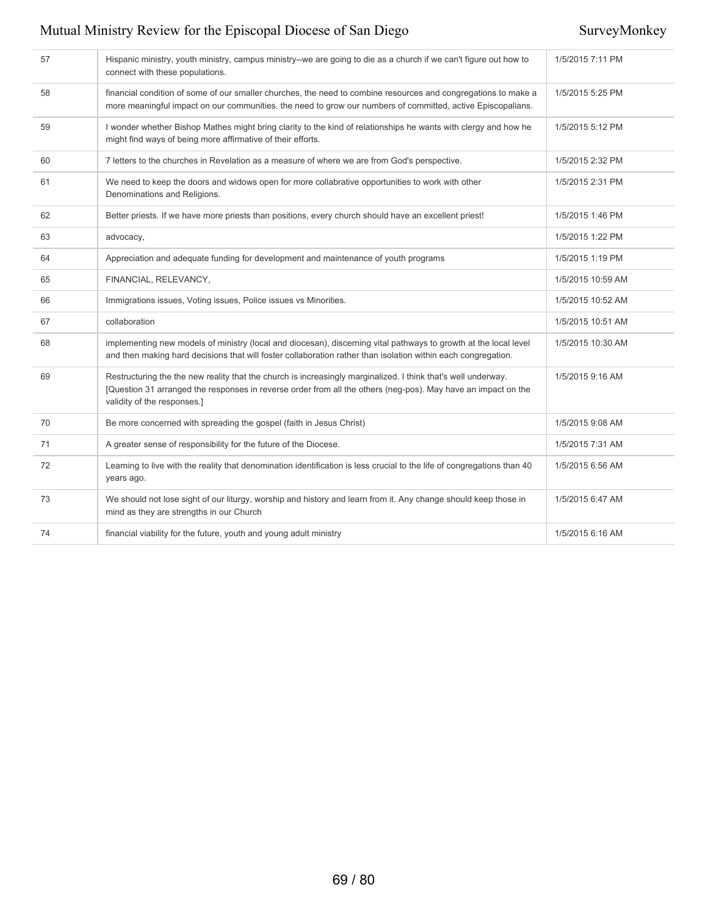| 57 | Hispanic ministry, youth ministry, campus ministry--we are going to die as a church if we can't figure out how to<br>connect with these populations.                                                                                                          | 1/5/2015 7:11 PM  |
|----|---------------------------------------------------------------------------------------------------------------------------------------------------------------------------------------------------------------------------------------------------------------|-------------------|
| 58 | financial condition of some of our smaller churches, the need to combine resources and congregations to make a<br>more meaningful impact on our communities. the need to grow our numbers of committed, active Episcopalians.                                 | 1/5/2015 5:25 PM  |
| 59 | I wonder whether Bishop Mathes might bring clarity to the kind of relationships he wants with clergy and how he<br>might find ways of being more affirmative of their efforts.                                                                                | 1/5/2015 5:12 PM  |
| 60 | 7 letters to the churches in Revelation as a measure of where we are from God's perspective.                                                                                                                                                                  | 1/5/2015 2:32 PM  |
| 61 | We need to keep the doors and widows open for more collabrative opportunities to work with other<br>Denominations and Religions.                                                                                                                              | 1/5/2015 2:31 PM  |
| 62 | Better priests. If we have more priests than positions, every church should have an excellent priest!                                                                                                                                                         | 1/5/2015 1:46 PM  |
| 63 | advocacy,                                                                                                                                                                                                                                                     | 1/5/2015 1:22 PM  |
| 64 | Appreciation and adequate funding for development and maintenance of youth programs                                                                                                                                                                           | 1/5/2015 1:19 PM  |
| 65 | FINANCIAL, RELEVANCY,                                                                                                                                                                                                                                         | 1/5/2015 10:59 AM |
| 66 | Immigrations issues, Voting issues, Police issues vs Minorities.                                                                                                                                                                                              | 1/5/2015 10:52 AM |
| 67 | collaboration                                                                                                                                                                                                                                                 | 1/5/2015 10:51 AM |
| 68 | implementing new models of ministry (local and diocesan), discerning vital pathways to growth at the local level<br>and then making hard decisions that will foster collaboration rather than isolation within each congregation.                             | 1/5/2015 10:30 AM |
| 69 | Restructuring the the new reality that the church is increasingly marginalized. I think that's well underway.<br>[Question 31 arranged the responses in reverse order from all the others (neg-pos). May have an impact on the<br>validity of the responses.] | 1/5/2015 9:16 AM  |
| 70 | Be more concerned with spreading the gospel (faith in Jesus Christ)                                                                                                                                                                                           | 1/5/2015 9:08 AM  |
| 71 | A greater sense of responsibility for the future of the Diocese.                                                                                                                                                                                              | 1/5/2015 7:31 AM  |
| 72 | Learning to live with the reality that denomination identification is less crucial to the life of congregations than 40<br>years ago.                                                                                                                         | 1/5/2015 6:56 AM  |
| 73 | We should not lose sight of our liturgy, worship and history and learn from it. Any change should keep those in<br>mind as they are strengths in our Church                                                                                                   | 1/5/2015 6:47 AM  |
| 74 | financial viability for the future, youth and young adult ministry                                                                                                                                                                                            | 1/5/2015 6:16 AM  |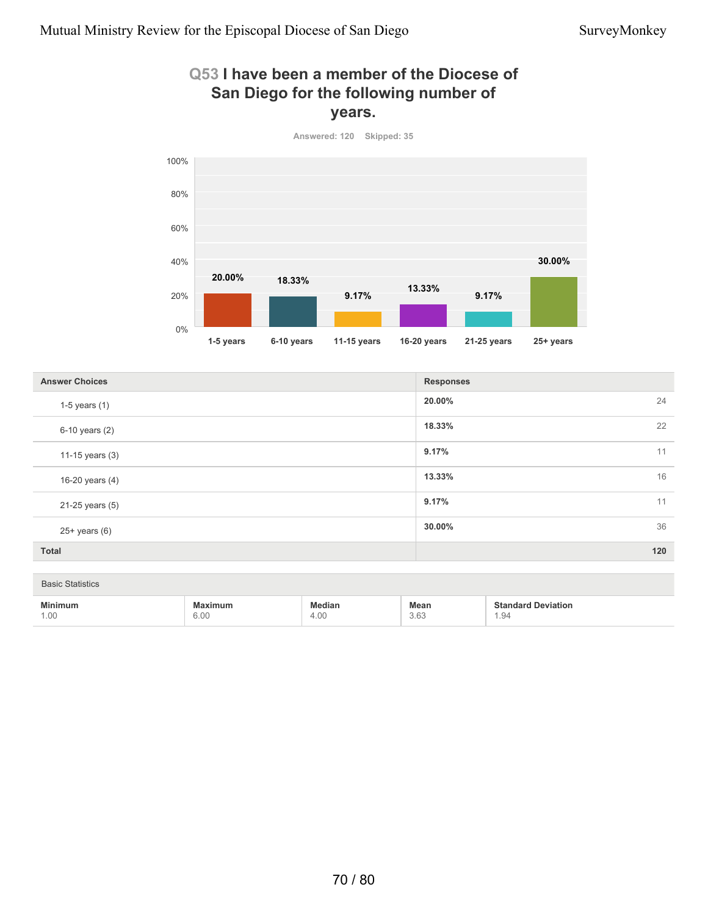### **Q53 I have been a member of the Diocese of San Diego for the following number of years.**



**20.00%** 24 **18.33%** 22 **9.17%** 11 **13.33%** 16 **9.17%** 11 **30.00%** 36 **Total 120 Answer Choices Responses Responses** 1-5 years (1) 6-10 years (2) 11-15 years (3) 16-20 years (4) 21-25 years (5) 25+ years (6)

| <b>Statistics</b><br><b>Basic</b> |                        |                       |                   |                                    |  |  |  |
|-----------------------------------|------------------------|-----------------------|-------------------|------------------------------------|--|--|--|
| <b>Minimum</b><br>1.00            | <b>Maximum</b><br>6.00 | <b>Median</b><br>4.00 | Mean<br>3.63<br>. | <b>Standard Deviation</b><br>94، ، |  |  |  |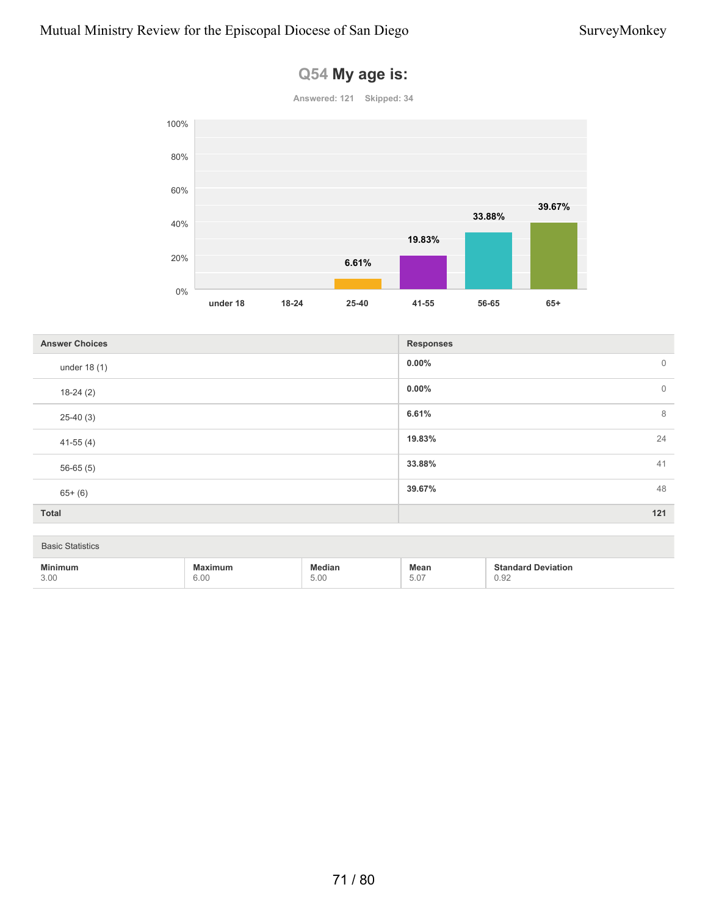

### **Q54 My age is:**

| <b>Answer Choices</b> | <b>Responses</b>        |
|-----------------------|-------------------------|
| under 18 (1)          | $0.00\%$<br>$\mathbf 0$ |
| $18-24(2)$            | $0.00\%$<br>$\mathbf 0$ |
| $25-40(3)$            | 6.61%<br>8              |
| $41-55(4)$            | 24<br>19.83%            |
| $56-65(5)$            | 33.88%<br>41            |
| $65+ (6)$             | 39.67%<br>48            |
| Total                 | 121                     |

### Basic Statistics

| <b>Min</b> | iuri                 |                           | Mean                       |      |
|------------|----------------------|---------------------------|----------------------------|------|
| 3.00       | $\sim$ $\sim$<br>U.U | $\sim$<br>$\cup$ . $\cup$ | $\sim$ $-$<br>U.U I<br>___ | ∪.∪∠ |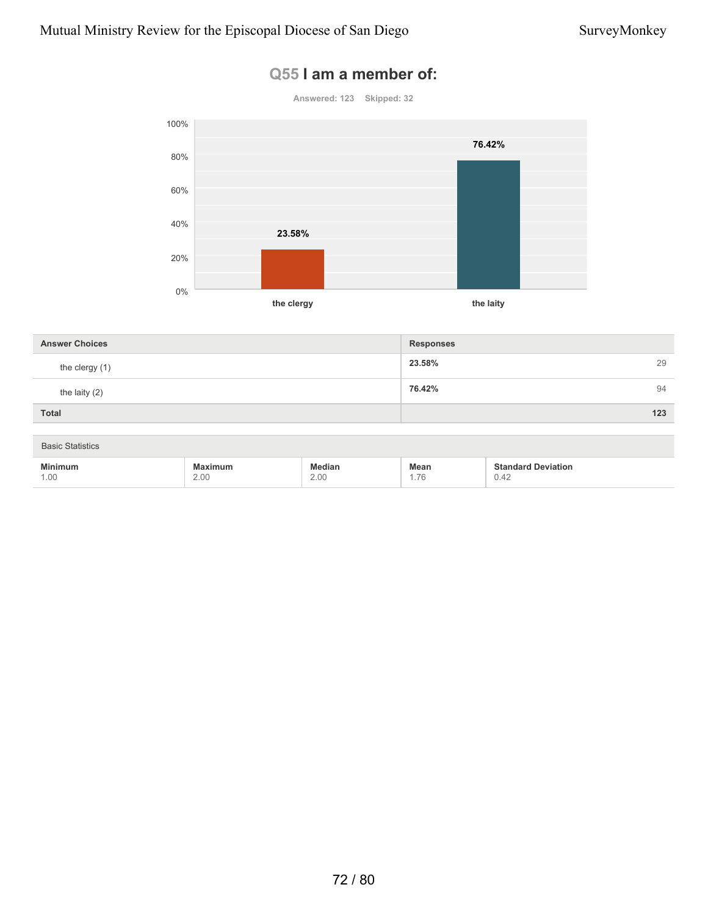### **Q55 I am a member of:**



| <b>Answer Choices</b> | <b>Responses</b> |
|-----------------------|------------------|
| the clergy (1)        | 23.58%<br>29     |
| the laity $(2)$       | 76.42%<br>94     |
| <b>Total</b>          | 123              |

| <b>Basic Statistics</b> |              |                       |                     |                                                                      |  |  |  |
|-------------------------|--------------|-----------------------|---------------------|----------------------------------------------------------------------|--|--|--|
| <b>Minimum</b><br>1.00  | imum<br>2.00 | <b>fedian</b><br>2.00 | <b>Mean</b><br>. 76 | <b>Standard Deviation</b><br>0.42<br>the contract of the contract of |  |  |  |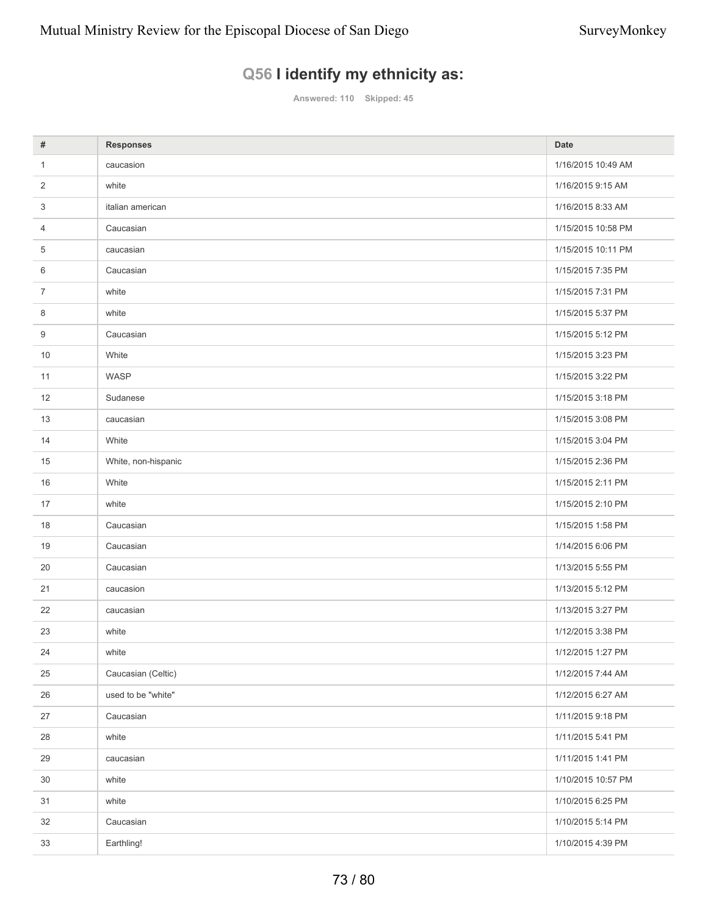# **Q56 I identify my ethnicity as:**

**Answered: 110 Skipped: 45**

| #              | <b>Responses</b>    | <b>Date</b>        |
|----------------|---------------------|--------------------|
| 1              | caucasion           | 1/16/2015 10:49 AM |
| 2              | white               | 1/16/2015 9:15 AM  |
| 3              | italian american    | 1/16/2015 8:33 AM  |
| 4              | Caucasian           | 1/15/2015 10:58 PM |
| 5              | caucasian           | 1/15/2015 10:11 PM |
| 6              | Caucasian           | 1/15/2015 7:35 PM  |
| $\overline{7}$ | white               | 1/15/2015 7:31 PM  |
| 8              | white               | 1/15/2015 5:37 PM  |
| 9              | Caucasian           | 1/15/2015 5:12 PM  |
| 10             | White               | 1/15/2015 3:23 PM  |
| 11             | WASP                | 1/15/2015 3:22 PM  |
| 12             | Sudanese            | 1/15/2015 3:18 PM  |
| 13             | caucasian           | 1/15/2015 3:08 PM  |
| 14             | White               | 1/15/2015 3:04 PM  |
| 15             | White, non-hispanic | 1/15/2015 2:36 PM  |
| 16             | White               | 1/15/2015 2:11 PM  |
| 17             | white               | 1/15/2015 2:10 PM  |
| 18             | Caucasian           | 1/15/2015 1:58 PM  |
| 19             | Caucasian           | 1/14/2015 6:06 PM  |
| 20             | Caucasian           | 1/13/2015 5:55 PM  |
| 21             | caucasion           | 1/13/2015 5:12 PM  |
| 22             | caucasian           | 1/13/2015 3:27 PM  |
| 23             | white               | 1/12/2015 3:38 PM  |
| 24             | white               | 1/12/2015 1:27 PM  |
| 25             | Caucasian (Celtic)  | 1/12/2015 7:44 AM  |
| 26             | used to be "white"  | 1/12/2015 6:27 AM  |
| 27             | Caucasian           | 1/11/2015 9:18 PM  |
| 28             | white               | 1/11/2015 5:41 PM  |
| 29             | caucasian           | 1/11/2015 1:41 PM  |
| 30             | white               | 1/10/2015 10:57 PM |
| 31             | white               | 1/10/2015 6:25 PM  |
| 32             | Caucasian           | 1/10/2015 5:14 PM  |
| 33             | Earthling!          | 1/10/2015 4:39 PM  |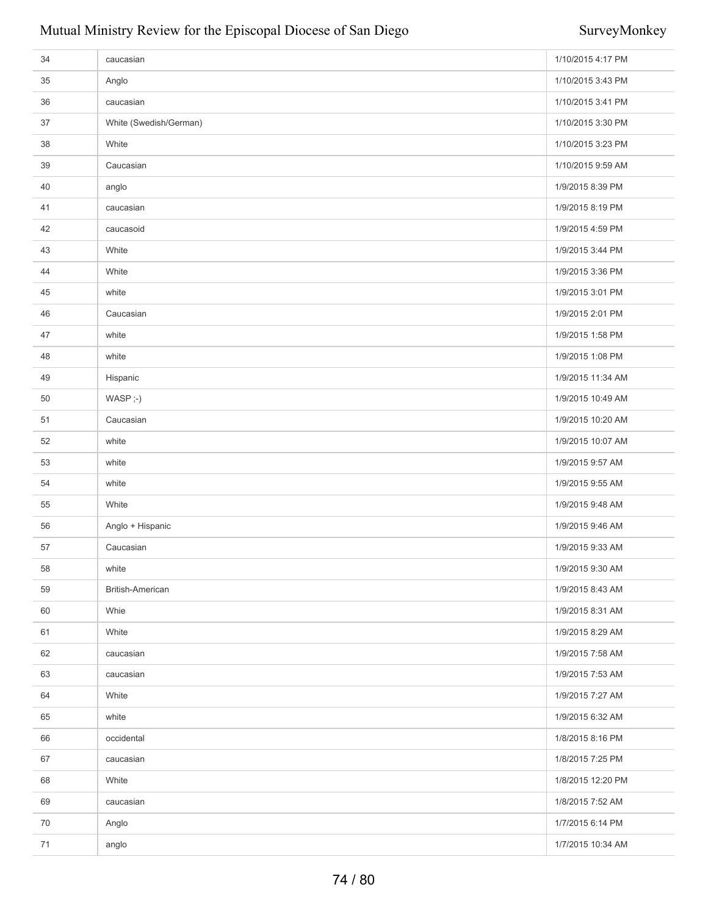# Mutual Ministry Review for the Episcopal Diocese of San Diego SurveyMonkey

| 34 | caucasian              | 1/10/2015 4:17 PM |
|----|------------------------|-------------------|
| 35 | Anglo                  | 1/10/2015 3:43 PM |
| 36 | caucasian              | 1/10/2015 3:41 PM |
| 37 | White (Swedish/German) | 1/10/2015 3:30 PM |
| 38 | White                  | 1/10/2015 3:23 PM |
| 39 | Caucasian              | 1/10/2015 9:59 AM |
| 40 | anglo                  | 1/9/2015 8:39 PM  |
| 41 | caucasian              | 1/9/2015 8:19 PM  |
| 42 | caucasoid              | 1/9/2015 4:59 PM  |
| 43 | White                  | 1/9/2015 3:44 PM  |
| 44 | White                  | 1/9/2015 3:36 PM  |
| 45 | white                  | 1/9/2015 3:01 PM  |
| 46 | Caucasian              | 1/9/2015 2:01 PM  |
| 47 | white                  | 1/9/2015 1:58 PM  |
| 48 | white                  | 1/9/2015 1:08 PM  |
| 49 | Hispanic               | 1/9/2015 11:34 AM |
| 50 | WASP ;-)               | 1/9/2015 10:49 AM |
| 51 | Caucasian              | 1/9/2015 10:20 AM |
| 52 | white                  | 1/9/2015 10:07 AM |
| 53 | white                  | 1/9/2015 9:57 AM  |
| 54 | white                  | 1/9/2015 9:55 AM  |
| 55 | White                  | 1/9/2015 9:48 AM  |
| 56 | Anglo + Hispanic       | 1/9/2015 9:46 AM  |
| 57 | Caucasian              | 1/9/2015 9:33 AM  |
| 58 | white                  | 1/9/2015 9:30 AM  |
| 59 | British-American       | 1/9/2015 8:43 AM  |
| 60 | Whie                   | 1/9/2015 8:31 AM  |
| 61 | White                  | 1/9/2015 8:29 AM  |
| 62 | caucasian              | 1/9/2015 7:58 AM  |
| 63 | caucasian              | 1/9/2015 7:53 AM  |
| 64 | White                  | 1/9/2015 7:27 AM  |
| 65 | white                  | 1/9/2015 6:32 AM  |
| 66 | occidental             | 1/8/2015 8:16 PM  |
| 67 | caucasian              | 1/8/2015 7:25 PM  |
| 68 | White                  | 1/8/2015 12:20 PM |
| 69 | caucasian              | 1/8/2015 7:52 AM  |
| 70 | Anglo                  | 1/7/2015 6:14 PM  |
| 71 | anglo                  | 1/7/2015 10:34 AM |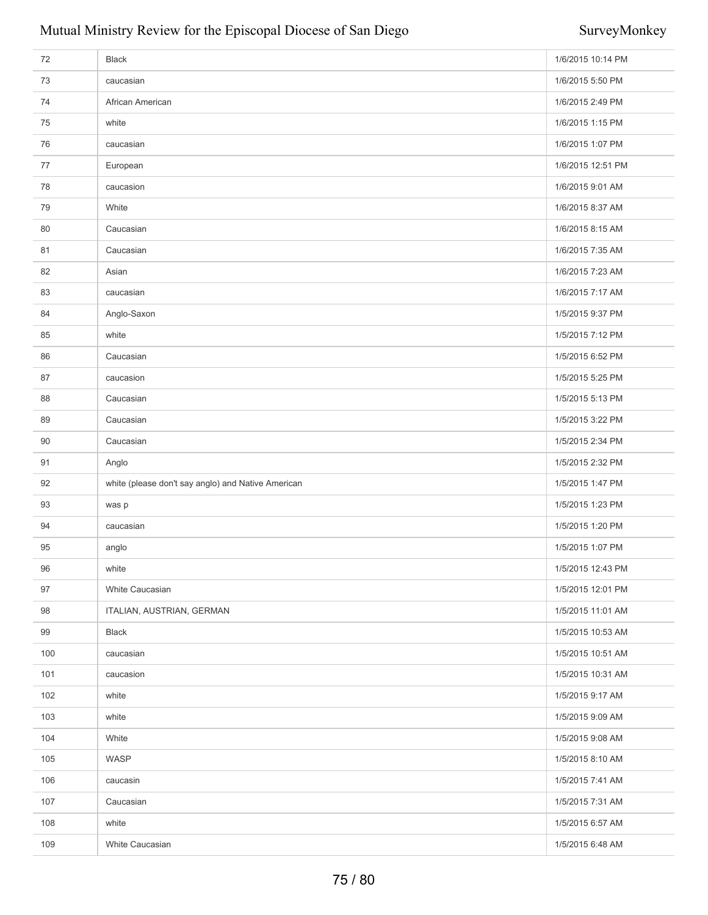# Mutual Ministry Review for the Episcopal Diocese of San Diego SurveyMonkey

| 72  | <b>Black</b>                                       | 1/6/2015 10:14 PM |
|-----|----------------------------------------------------|-------------------|
| 73  | caucasian                                          | 1/6/2015 5:50 PM  |
| 74  | African American                                   | 1/6/2015 2:49 PM  |
| 75  | white                                              | 1/6/2015 1:15 PM  |
| 76  | caucasian                                          | 1/6/2015 1:07 PM  |
| 77  | European                                           | 1/6/2015 12:51 PM |
| 78  | caucasion                                          | 1/6/2015 9:01 AM  |
| 79  | White                                              | 1/6/2015 8:37 AM  |
| 80  | Caucasian                                          | 1/6/2015 8:15 AM  |
| 81  | Caucasian                                          | 1/6/2015 7:35 AM  |
| 82  | Asian                                              | 1/6/2015 7:23 AM  |
| 83  | caucasian                                          | 1/6/2015 7:17 AM  |
| 84  | Anglo-Saxon                                        | 1/5/2015 9:37 PM  |
| 85  | white                                              | 1/5/2015 7:12 PM  |
| 86  | Caucasian                                          | 1/5/2015 6:52 PM  |
| 87  | caucasion                                          | 1/5/2015 5:25 PM  |
| 88  | Caucasian                                          | 1/5/2015 5:13 PM  |
| 89  | Caucasian                                          | 1/5/2015 3:22 PM  |
| 90  | Caucasian                                          | 1/5/2015 2:34 PM  |
| 91  | Anglo                                              | 1/5/2015 2:32 PM  |
| 92  | white (please don't say anglo) and Native American | 1/5/2015 1:47 PM  |
| 93  | was p                                              | 1/5/2015 1:23 PM  |
| 94  | caucasian                                          | 1/5/2015 1:20 PM  |
| 95  | anglo                                              | 1/5/2015 1:07 PM  |
| 96  | white                                              | 1/5/2015 12:43 PM |
| 97  | White Caucasian                                    | 1/5/2015 12:01 PM |
| 98  | ITALIAN, AUSTRIAN, GERMAN                          | 1/5/2015 11:01 AM |
| 99  | <b>Black</b>                                       | 1/5/2015 10:53 AM |
| 100 | caucasian                                          | 1/5/2015 10:51 AM |
| 101 | caucasion                                          | 1/5/2015 10:31 AM |
| 102 | white                                              | 1/5/2015 9:17 AM  |
| 103 | white                                              | 1/5/2015 9:09 AM  |
| 104 | White                                              | 1/5/2015 9:08 AM  |
| 105 | WASP                                               | 1/5/2015 8:10 AM  |
| 106 | caucasin                                           | 1/5/2015 7:41 AM  |
| 107 | Caucasian                                          | 1/5/2015 7:31 AM  |
| 108 | white                                              | 1/5/2015 6:57 AM  |
| 109 | White Caucasian                                    | 1/5/2015 6:48 AM  |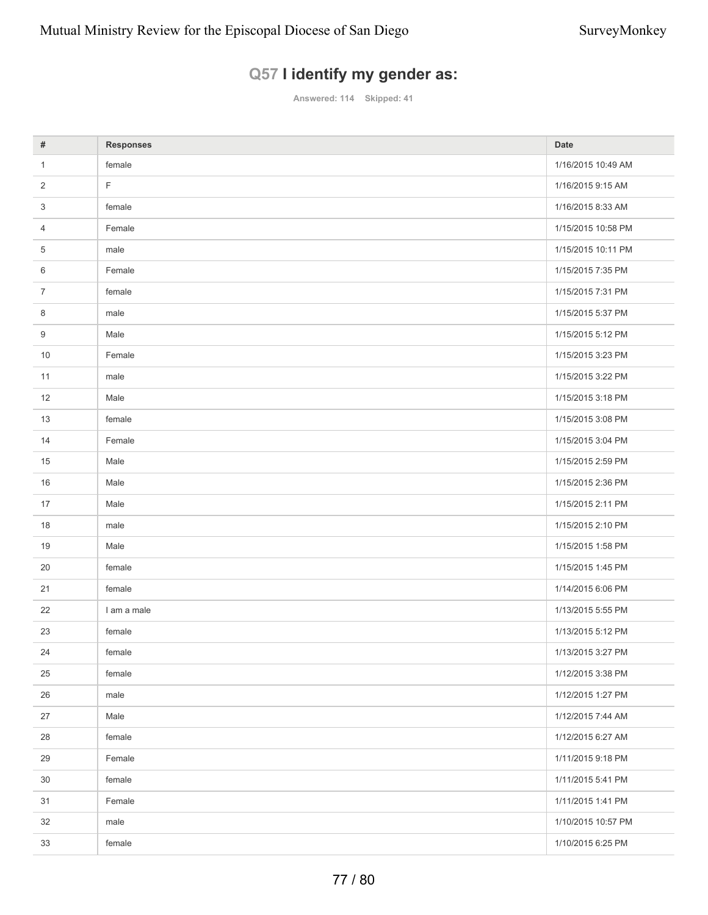# **Q57 I identify my gender as:**

**Answered: 114 Skipped: 41**

| #              | <b>Responses</b> | <b>Date</b>        |
|----------------|------------------|--------------------|
| 1              | female           | 1/16/2015 10:49 AM |
| $\overline{2}$ | F                | 1/16/2015 9:15 AM  |
| 3              | female           | 1/16/2015 8:33 AM  |
| 4              | Female           | 1/15/2015 10:58 PM |
| 5              | male             | 1/15/2015 10:11 PM |
| 6              | Female           | 1/15/2015 7:35 PM  |
| $\overline{7}$ | female           | 1/15/2015 7:31 PM  |
| 8              | male             | 1/15/2015 5:37 PM  |
| 9              | Male             | 1/15/2015 5:12 PM  |
| 10             | Female           | 1/15/2015 3:23 PM  |
| 11             | male             | 1/15/2015 3:22 PM  |
| 12             | Male             | 1/15/2015 3:18 PM  |
| 13             | female           | 1/15/2015 3:08 PM  |
| 14             | Female           | 1/15/2015 3:04 PM  |
| 15             | Male             | 1/15/2015 2:59 PM  |
| 16             | Male             | 1/15/2015 2:36 PM  |
| 17             | Male             | 1/15/2015 2:11 PM  |
| 18             | male             | 1/15/2015 2:10 PM  |
| 19             | Male             | 1/15/2015 1:58 PM  |
| 20             | female           | 1/15/2015 1:45 PM  |
| 21             | female           | 1/14/2015 6:06 PM  |
| 22             | I am a male      | 1/13/2015 5:55 PM  |
| 23             | female           | 1/13/2015 5:12 PM  |
| 24             | female           | 1/13/2015 3:27 PM  |
| 25             | female           | 1/12/2015 3:38 PM  |
| 26             | male             | 1/12/2015 1:27 PM  |
| 27             | Male             | 1/12/2015 7:44 AM  |
| 28             | female           | 1/12/2015 6:27 AM  |
| 29             | Female           | 1/11/2015 9:18 PM  |
| 30             | female           | 1/11/2015 5:41 PM  |
| 31             | Female           | 1/11/2015 1:41 PM  |
| 32             | male             | 1/10/2015 10:57 PM |
| 33             | female           | 1/10/2015 6:25 PM  |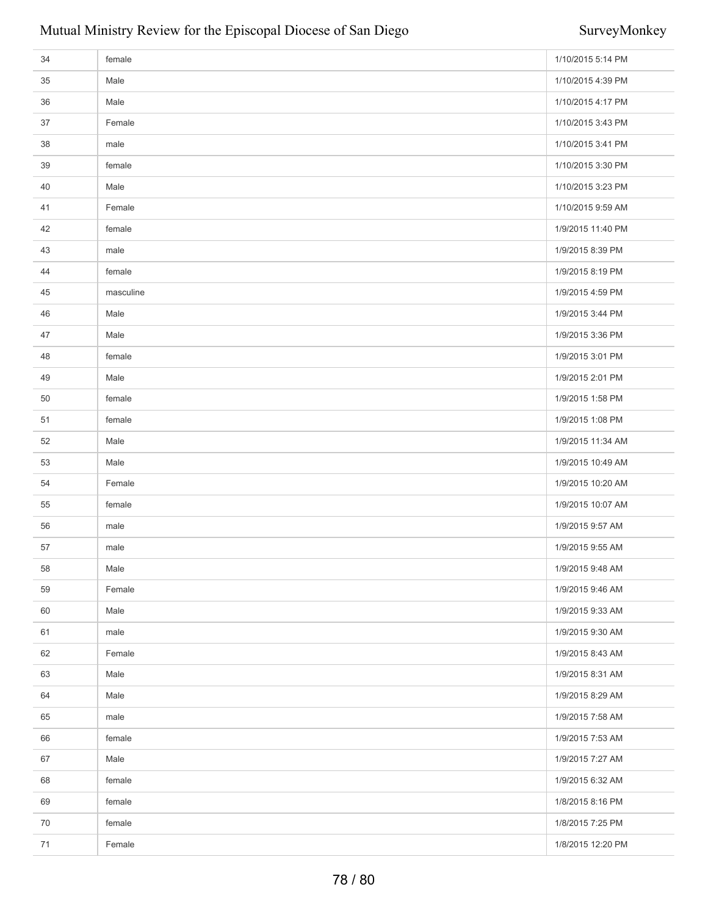| 34   | female    | 1/10/2015 5:14 PM |
|------|-----------|-------------------|
| 35   | Male      | 1/10/2015 4:39 PM |
| 36   | Male      | 1/10/2015 4:17 PM |
| 37   | Female    | 1/10/2015 3:43 PM |
| 38   | male      | 1/10/2015 3:41 PM |
| 39   | female    | 1/10/2015 3:30 PM |
| 40   | Male      | 1/10/2015 3:23 PM |
| 41   | Female    | 1/10/2015 9:59 AM |
| 42   | female    | 1/9/2015 11:40 PM |
| 43   | male      | 1/9/2015 8:39 PM  |
| 44   | female    | 1/9/2015 8:19 PM  |
| 45   | masculine | 1/9/2015 4:59 PM  |
| 46   | Male      | 1/9/2015 3:44 PM  |
| 47   | Male      | 1/9/2015 3:36 PM  |
| 48   | female    | 1/9/2015 3:01 PM  |
| 49   | Male      | 1/9/2015 2:01 PM  |
| 50   | female    | 1/9/2015 1:58 PM  |
| 51   | female    | 1/9/2015 1:08 PM  |
| 52   | Male      | 1/9/2015 11:34 AM |
| 53   | Male      | 1/9/2015 10:49 AM |
| 54   | Female    | 1/9/2015 10:20 AM |
| 55   | female    | 1/9/2015 10:07 AM |
| 56   | male      | 1/9/2015 9:57 AM  |
| 57   | male      | 1/9/2015 9:55 AM  |
| 58   | Male      | 1/9/2015 9:48 AM  |
| 59   | Female    | 1/9/2015 9:46 AM  |
| 60   | Male      | 1/9/2015 9:33 AM  |
| 61   | male      | 1/9/2015 9:30 AM  |
| 62   | Female    | 1/9/2015 8:43 AM  |
| 63   | Male      | 1/9/2015 8:31 AM  |
| 64   | Male      | 1/9/2015 8:29 AM  |
| 65   | male      | 1/9/2015 7:58 AM  |
| 66   | female    | 1/9/2015 7:53 AM  |
| 67   | Male      | 1/9/2015 7:27 AM  |
| 68   | female    | 1/9/2015 6:32 AM  |
| 69   | female    | 1/8/2015 8:16 PM  |
| 70   | female    | 1/8/2015 7:25 PM  |
| $71$ | Female    | 1/8/2015 12:20 PM |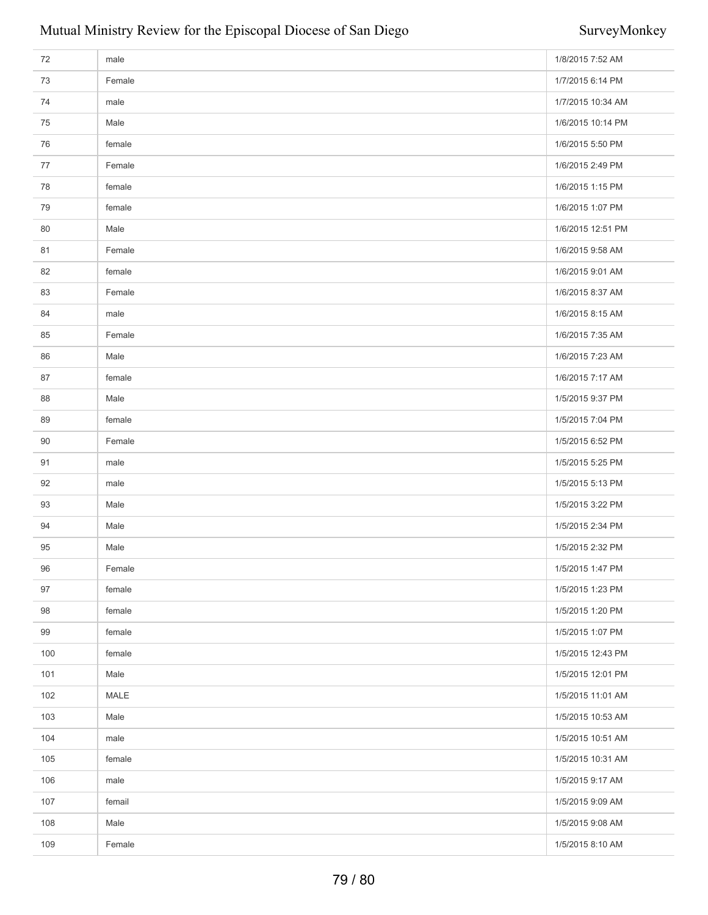| 72  | male   | 1/8/2015 7:52 AM  |
|-----|--------|-------------------|
| 73  | Female | 1/7/2015 6:14 PM  |
| 74  | male   | 1/7/2015 10:34 AM |
| 75  | Male   | 1/6/2015 10:14 PM |
| 76  | female | 1/6/2015 5:50 PM  |
| 77  | Female | 1/6/2015 2:49 PM  |
| 78  | female | 1/6/2015 1:15 PM  |
| 79  | female | 1/6/2015 1:07 PM  |
| 80  | Male   | 1/6/2015 12:51 PM |
| 81  | Female | 1/6/2015 9:58 AM  |
| 82  | female | 1/6/2015 9:01 AM  |
| 83  | Female | 1/6/2015 8:37 AM  |
| 84  | male   | 1/6/2015 8:15 AM  |
| 85  | Female | 1/6/2015 7:35 AM  |
| 86  | Male   | 1/6/2015 7:23 AM  |
| 87  | female | 1/6/2015 7:17 AM  |
| 88  | Male   | 1/5/2015 9:37 PM  |
| 89  | female | 1/5/2015 7:04 PM  |
| 90  | Female | 1/5/2015 6:52 PM  |
| 91  | male   | 1/5/2015 5:25 PM  |
| 92  | male   | 1/5/2015 5:13 PM  |
| 93  | Male   | 1/5/2015 3:22 PM  |
| 94  | Male   | 1/5/2015 2:34 PM  |
| 95  | Male   | 1/5/2015 2:32 PM  |
| 96  | Female | 1/5/2015 1:47 PM  |
| 97  | female | 1/5/2015 1:23 PM  |
| 98  | female | 1/5/2015 1:20 PM  |
| 99  | female | 1/5/2015 1:07 PM  |
| 100 | female | 1/5/2015 12:43 PM |
| 101 | Male   | 1/5/2015 12:01 PM |
| 102 | MALE   | 1/5/2015 11:01 AM |
| 103 | Male   | 1/5/2015 10:53 AM |
| 104 | male   | 1/5/2015 10:51 AM |
| 105 | female | 1/5/2015 10:31 AM |
| 106 | male   | 1/5/2015 9:17 AM  |
| 107 | femail | 1/5/2015 9:09 AM  |
| 108 | Male   | 1/5/2015 9:08 AM  |
| 109 | Female | 1/5/2015 8:10 AM  |